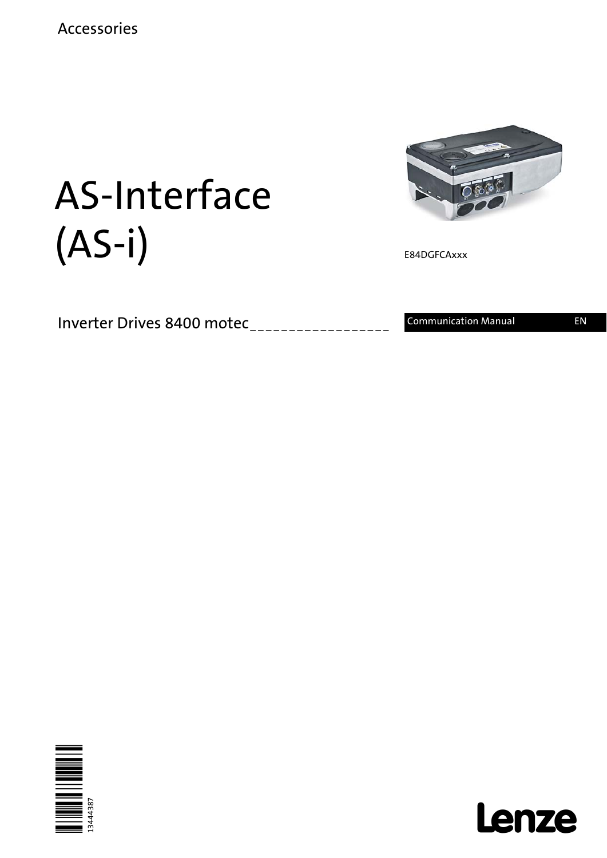

E84DGFCAxxx

# AS-Interface (AS-i)

Inverter Drives 8400 motec\_\_\_\_\_\_\_\_\_\_\_\_\_\_\_\_\_\_\_\_ Communication Manual EN



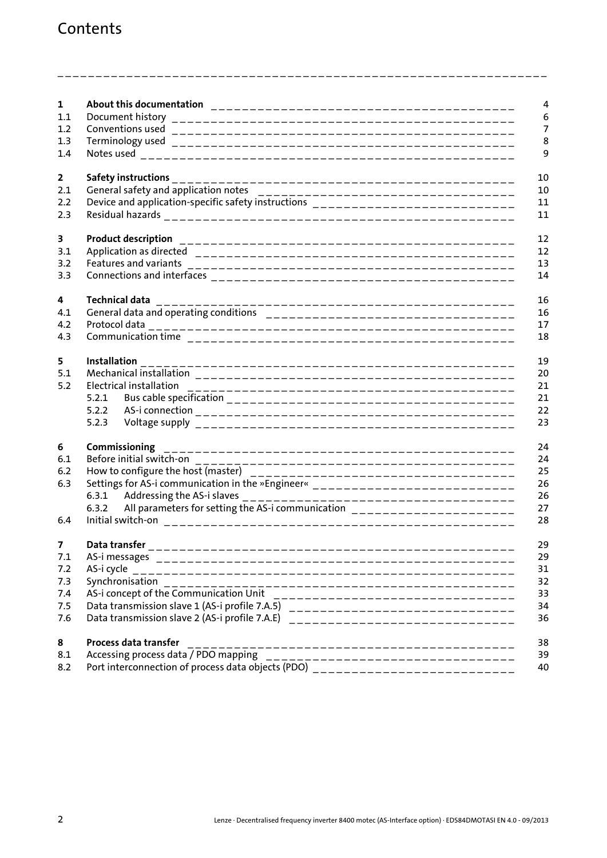## Contents

| $\mathbf{1}$ |                                                                                                                                                                         |
|--------------|-------------------------------------------------------------------------------------------------------------------------------------------------------------------------|
| 1.1          |                                                                                                                                                                         |
| 1.2          |                                                                                                                                                                         |
| 1.3          |                                                                                                                                                                         |
| 1.4          |                                                                                                                                                                         |
|              |                                                                                                                                                                         |
| $\mathbf{2}$ |                                                                                                                                                                         |
| 2.1          |                                                                                                                                                                         |
| 2.2          | Device and application-specific safety instructions ____________________________                                                                                        |
| 2.3          |                                                                                                                                                                         |
| 3            |                                                                                                                                                                         |
| 3.1          |                                                                                                                                                                         |
| 3.2          |                                                                                                                                                                         |
| 3.3          |                                                                                                                                                                         |
|              |                                                                                                                                                                         |
| 4            | <b>Technical data</b>                                                                                                                                                   |
| 4.1          |                                                                                                                                                                         |
| 4.2          |                                                                                                                                                                         |
| 4.3          |                                                                                                                                                                         |
| 5            |                                                                                                                                                                         |
| 5.1          |                                                                                                                                                                         |
| 5.2          |                                                                                                                                                                         |
|              | 5.2.1                                                                                                                                                                   |
|              | 5.2.2                                                                                                                                                                   |
|              | 5.2.3                                                                                                                                                                   |
| 6            | Commissioning                                                                                                                                                           |
| 6.1          |                                                                                                                                                                         |
| 6.2          |                                                                                                                                                                         |
| 6.3          | Settings for AS-i communication in the »Engineer« _____________________________                                                                                         |
|              |                                                                                                                                                                         |
|              | All parameters for setting the AS-i communication _______________________<br>6.3.2                                                                                      |
| 6.4          | Initial switch-on                                                                                                                                                       |
| 7            | Data transfer                                                                                                                                                           |
| 7.1          |                                                                                                                                                                         |
| 7.2          | AS-i cycle                                                                                                                                                              |
| 7.3          | Synchronisation                                                                                                                                                         |
| 7.4          |                                                                                                                                                                         |
| 7.5          |                                                                                                                                                                         |
| 7.6          | Data transmission slave 1 (AS-i profile 7.A.5) _________________________________<br>Data transmission slave 2 (AS-i profile 7.A.E)<br>_________________________________ |
|              |                                                                                                                                                                         |
| 8            | Process data transfer<br>------------------------------------                                                                                                           |
| 8.1          | Accessing process data / PDO mapping<br>Accessing process data / PDO mapping<br>Port interconnection of process data objects (PDO) _____________________________        |
| 8.2          |                                                                                                                                                                         |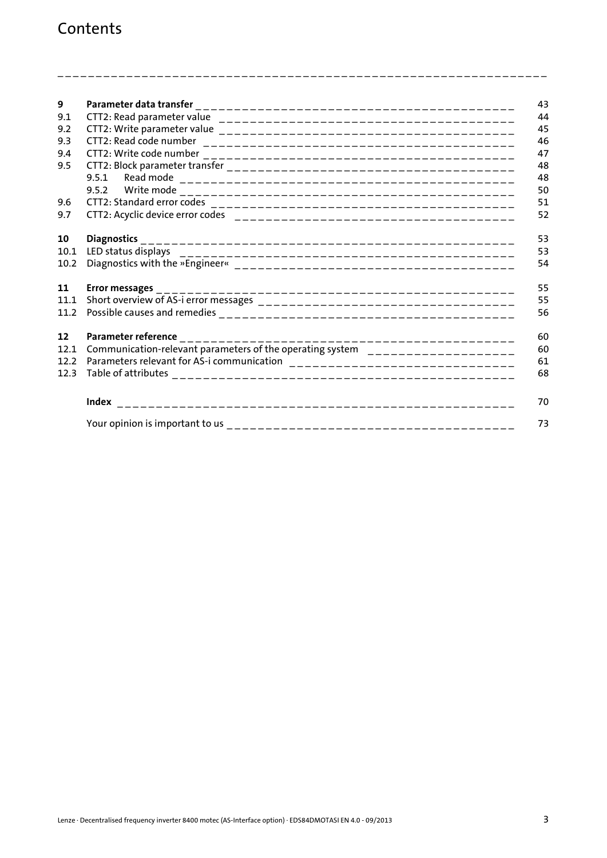| 9    |                                                                                 |
|------|---------------------------------------------------------------------------------|
| 9.1  |                                                                                 |
| 9.2  |                                                                                 |
| 9.3  | CTT2: Read code number                                                          |
| 9.4  |                                                                                 |
| 9.5  |                                                                                 |
|      | 9.5.1                                                                           |
|      | 9.5.2                                                                           |
| 9.6  |                                                                                 |
| 9.7  |                                                                                 |
| 10   | <b>Diagnostics</b>                                                              |
| 10.1 |                                                                                 |
| 10.2 |                                                                                 |
|      |                                                                                 |
| 11   | <b>Error messages</b>                                                           |
| 11.1 |                                                                                 |
| 11.2 |                                                                                 |
|      |                                                                                 |
| 12   | Parameter reference                                                             |
| 12.1 | Communication-relevant parameters of the operating system _____________________ |
| 12.2 |                                                                                 |
| 12.3 |                                                                                 |
|      |                                                                                 |
|      |                                                                                 |
|      |                                                                                 |
|      |                                                                                 |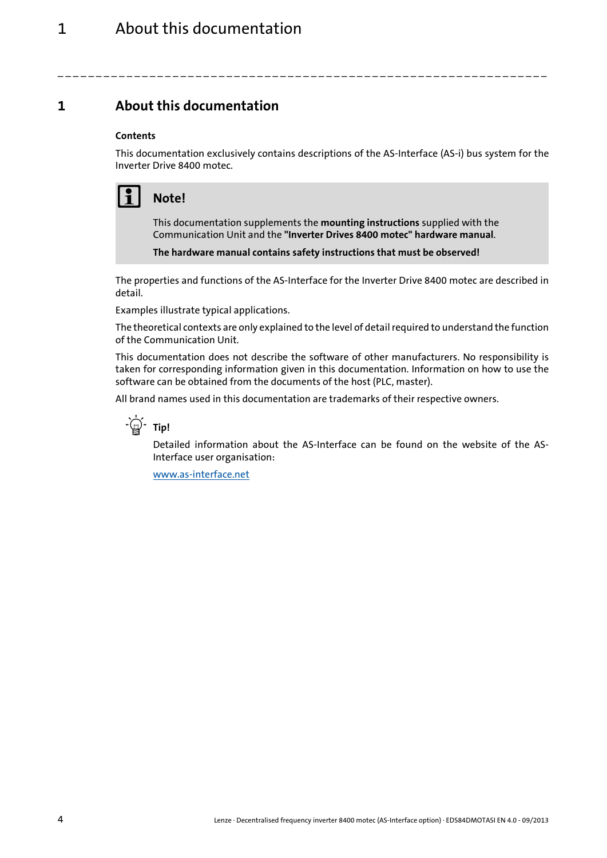<span id="page-3-0"></span>**1 About this documentation**

#### **Contents**

This documentation exclusively contains descriptions of the AS-Interface (AS-i) bus system for the Inverter Drive 8400 motec.

\_ \_ \_ \_ \_ \_ \_ \_ \_ \_ \_ \_ \_ \_ \_ \_ \_ \_ \_ \_ \_ \_ \_ \_ \_ \_ \_ \_ \_ \_ \_ \_ \_ \_ \_ \_ \_ \_ \_ \_ \_ \_ \_ \_ \_ \_ \_ \_ \_ \_ \_ \_ \_ \_ \_ \_ \_ \_ \_ \_ \_ \_ \_ \_

## **Note!**

This documentation supplements the **mounting instructions** supplied with the Communication Unit and the **"Inverter Drives 8400 motec" hardware manual**.

**The hardware manual contains safety instructions that must be observed!**

The properties and functions of the AS-Interface for the Inverter Drive 8400 motec are described in detail.

Examples illustrate typical applications.

The theoretical contexts are only explained to the level of detail required to understand the function of the Communication Unit.

This documentation does not describe the software of other manufacturers. No responsibility is taken for corresponding information given in this documentation. Information on how to use the software can be obtained from the documents of the host (PLC, master).

All brand names used in this documentation are trademarks of their respective owners.



Detailed information about the AS-Interface can be found on the website of the AS-Interface user organisation:

[www.as-interface.net](http://www.as-interface.net)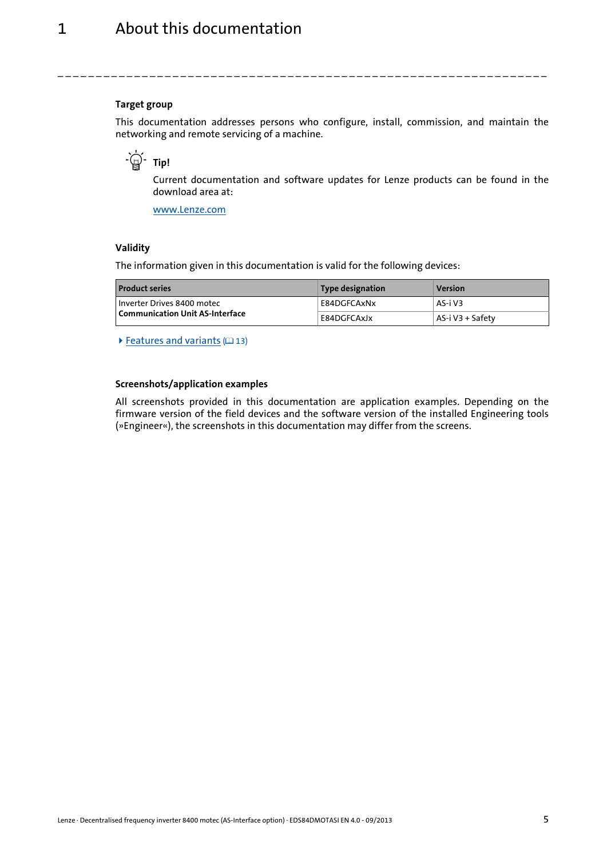#### **Target group**

This documentation addresses persons who configure, install, commission, and maintain the networking and remote servicing of a machine.

## **- Φ΄ τip!**

Current documentation and software updates for Lenze products can be found in the download area at:

\_ \_ \_ \_ \_ \_ \_ \_ \_ \_ \_ \_ \_ \_ \_ \_ \_ \_ \_ \_ \_ \_ \_ \_ \_ \_ \_ \_ \_ \_ \_ \_ \_ \_ \_ \_ \_ \_ \_ \_ \_ \_ \_ \_ \_ \_ \_ \_ \_ \_ \_ \_ \_ \_ \_ \_ \_ \_ \_ \_ \_ \_ \_ \_

[www.Lenze.com](http://www.Lenze.com)

#### **Validity**

The information given in this documentation is valid for the following devices:

| <b>Product series</b>           | Type designation | <b>Version</b>   |
|---------------------------------|------------------|------------------|
| l Inverter Drives 8400 motec    | E84DGFCAxNx      | AS-i V3          |
| Communication Unit AS-Interface | E84DGFCAxJx      | AS-i V3 + Safety |

 $\blacktriangleright$  [Features and variants](#page-12-1) ( $\text{13}$ )

#### **Screenshots/application examples**

All screenshots provided in this documentation are application examples. Depending on the firmware version of the field devices and the software version of the installed Engineering tools (»Engineer«), the screenshots in this documentation may differ from the screens.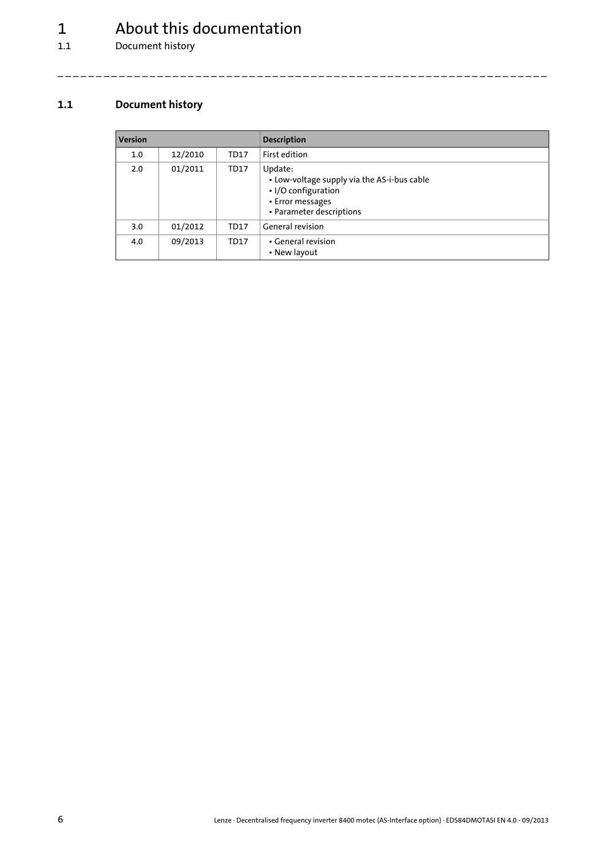## 1 About this documentation<br>1.1 Document history

Document history

#### <span id="page-5-0"></span>**1.1 Document history**

| <b>Version</b> |         |             | <b>Description</b>                                                                                                            |  |
|----------------|---------|-------------|-------------------------------------------------------------------------------------------------------------------------------|--|
| 1.0            | 12/2010 | <b>TD17</b> | First edition                                                                                                                 |  |
| 2.0            | 01/2011 | <b>TD17</b> | Update:<br>• Low-voltage supply via the AS-i-bus cable<br>• I/O configuration<br>• Error messages<br>• Parameter descriptions |  |
| 3.0            | 01/2012 | <b>TD17</b> | General revision                                                                                                              |  |
| 4.0            | 09/2013 | <b>TD17</b> | • General revision<br>• New layout                                                                                            |  |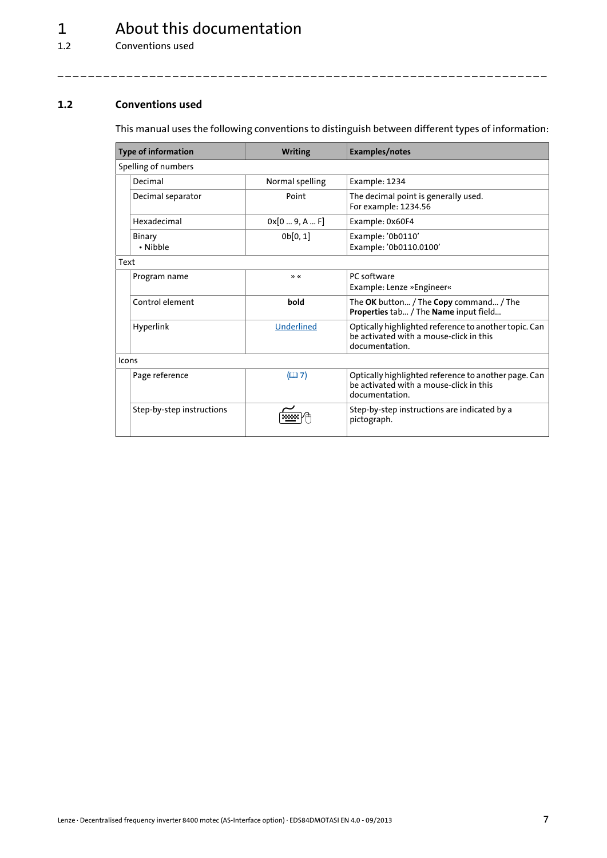## 1 About this documentation

1.2 Conventions used

#### <span id="page-6-0"></span>**1.2 Conventions used**

This manual uses the following conventions to distinguish between different types of information:

<span id="page-6-2"></span><span id="page-6-1"></span>

|       | <b>Type of information</b> | <b>Writing</b>    | Examples/notes                                                                                                     |
|-------|----------------------------|-------------------|--------------------------------------------------------------------------------------------------------------------|
|       | Spelling of numbers        |                   |                                                                                                                    |
|       | Decimal                    | Normal spelling   | Example: 1234                                                                                                      |
|       | Decimal separator          | Point             | The decimal point is generally used.<br>For example: 1234.56                                                       |
|       | Hexadecimal                | 0x[09, AF]        | Example: 0x60F4                                                                                                    |
|       | <b>Binary</b><br>• Nibble  | 0b[0,1]           | Example: '0b0110'<br>Example: '0b0110.0100'                                                                        |
| Text  |                            |                   |                                                                                                                    |
|       | Program name               | "                 | PC software<br>Example: Lenze »Engineer«                                                                           |
|       | Control element            | bold              | The OK button / The Copy command / The<br>Properties tab / The Name input field                                    |
|       | Hyperlink                  | Underlined        | Optically highlighted reference to another topic. Can<br>be activated with a mouse-click in this<br>documentation. |
| Icons |                            |                   |                                                                                                                    |
|       | Page reference             | (D <sup>2</sup> ) | Optically highlighted reference to another page. Can<br>be activated with a mouse-click in this<br>documentation.  |
|       | Step-by-step instructions  |                   | Step-by-step instructions are indicated by a<br>pictograph.                                                        |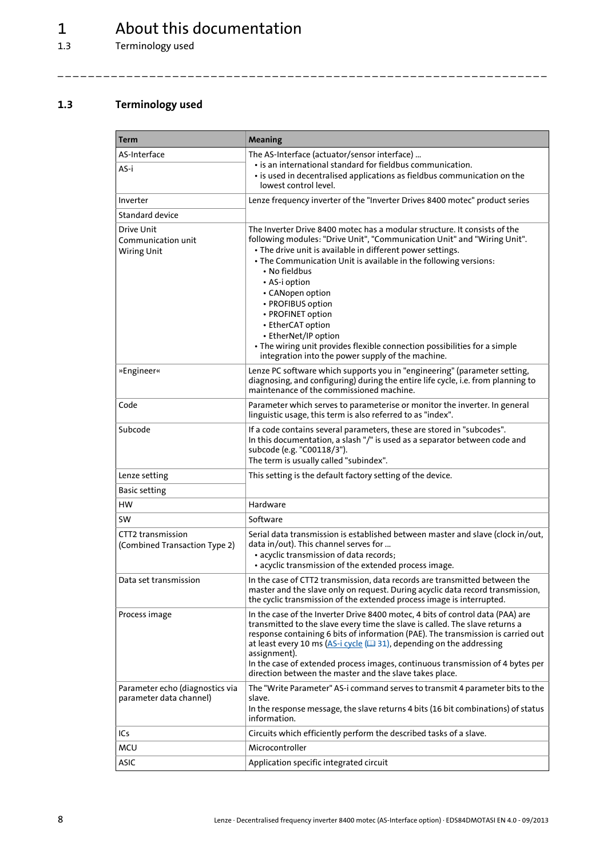## 1  $\frac{1}{1.3}$  About this documentation

Terminology used

#### <span id="page-7-0"></span>**1.3 Terminology used**

| Term                                                       | <b>Meaning</b>                                                                                                                                                                                                                                                                                                                                                                                                                                                                                                                                                               |
|------------------------------------------------------------|------------------------------------------------------------------------------------------------------------------------------------------------------------------------------------------------------------------------------------------------------------------------------------------------------------------------------------------------------------------------------------------------------------------------------------------------------------------------------------------------------------------------------------------------------------------------------|
| AS-Interface                                               | The AS-Interface (actuator/sensor interface)                                                                                                                                                                                                                                                                                                                                                                                                                                                                                                                                 |
| AS-i                                                       | · is an international standard for fieldbus communication.<br>• is used in decentralised applications as fieldbus communication on the<br>lowest control level.                                                                                                                                                                                                                                                                                                                                                                                                              |
| Inverter                                                   | Lenze frequency inverter of the "Inverter Drives 8400 motec" product series                                                                                                                                                                                                                                                                                                                                                                                                                                                                                                  |
| Standard device                                            |                                                                                                                                                                                                                                                                                                                                                                                                                                                                                                                                                                              |
| Drive Unit<br>Communication unit<br>Wiring Unit            | The Inverter Drive 8400 motec has a modular structure. It consists of the<br>following modules: "Drive Unit", "Communication Unit" and "Wiring Unit".<br>• The drive unit is available in different power settings.<br>• The Communication Unit is available in the following versions:<br>$\cdot$ No fieldbus<br>• AS-i option<br>• CANopen option<br>• PROFIBUS option<br>• PROFINET option<br>• EtherCAT option<br>• EtherNet/IP option<br>• The wiring unit provides flexible connection possibilities for a simple<br>integration into the power supply of the machine. |
| »Engineer«                                                 | Lenze PC software which supports you in "engineering" (parameter setting,<br>diagnosing, and configuring) during the entire life cycle, i.e. from planning to<br>maintenance of the commissioned machine.                                                                                                                                                                                                                                                                                                                                                                    |
| Code                                                       | Parameter which serves to parameterise or monitor the inverter. In general<br>linguistic usage, this term is also referred to as "index".                                                                                                                                                                                                                                                                                                                                                                                                                                    |
| Subcode                                                    | If a code contains several parameters, these are stored in "subcodes".<br>In this documentation, a slash "/" is used as a separator between code and<br>subcode (e.g. "C00118/3").<br>The term is usually called "subindex".                                                                                                                                                                                                                                                                                                                                                 |
| Lenze setting                                              | This setting is the default factory setting of the device.                                                                                                                                                                                                                                                                                                                                                                                                                                                                                                                   |
| <b>Basic setting</b>                                       |                                                                                                                                                                                                                                                                                                                                                                                                                                                                                                                                                                              |
| нw                                                         | Hardware                                                                                                                                                                                                                                                                                                                                                                                                                                                                                                                                                                     |
| SW                                                         | Software                                                                                                                                                                                                                                                                                                                                                                                                                                                                                                                                                                     |
| CTT2 transmission<br>(Combined Transaction Type 2)         | Serial data transmission is established between master and slave (clock in/out,<br>data in/out). This channel serves for<br>· acyclic transmission of data records;<br>• acyclic transmission of the extended process image.                                                                                                                                                                                                                                                                                                                                                 |
| Data set transmission                                      | In the case of CTT2 transmission, data records are transmitted between the<br>master and the slave only on request. During acyclic data record transmission,<br>the cyclic transmission of the extended process image is interrupted.                                                                                                                                                                                                                                                                                                                                        |
| Process image                                              | In the case of the Inverter Drive 8400 motec, 4 bits of control data (PAA) are<br>transmitted to the slave every time the slave is called. The slave returns a<br>response containing 6 bits of information (PAE). The transmission is carried out<br>at least every 10 ms ( $\Delta S$ -i cycle ( $\Box$ 31), depending on the addressing<br>assignment).<br>In the case of extended process images, continuous transmission of 4 bytes per<br>direction between the master and the slave takes place.                                                                      |
| Parameter echo (diagnostics via<br>parameter data channel) | The "Write Parameter" AS-i command serves to transmit 4 parameter bits to the<br>slave.<br>In the response message, the slave returns 4 bits (16 bit combinations) of status<br>information.                                                                                                                                                                                                                                                                                                                                                                                 |
| ICs                                                        | Circuits which efficiently perform the described tasks of a slave.                                                                                                                                                                                                                                                                                                                                                                                                                                                                                                           |
| MCU                                                        | Microcontroller                                                                                                                                                                                                                                                                                                                                                                                                                                                                                                                                                              |
| ASIC                                                       | Application specific integrated circuit                                                                                                                                                                                                                                                                                                                                                                                                                                                                                                                                      |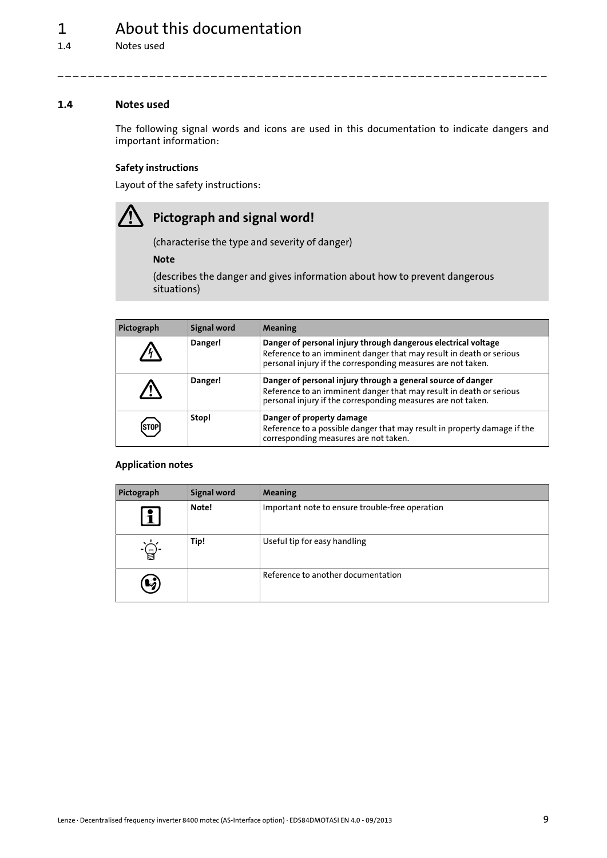## 1 About this documentation

1.4 Notes used

#### <span id="page-8-0"></span>**1.4 Notes used**

The following signal words and icons are used in this documentation to indicate dangers and important information:

\_ \_ \_ \_ \_ \_ \_ \_ \_ \_ \_ \_ \_ \_ \_ \_ \_ \_ \_ \_ \_ \_ \_ \_ \_ \_ \_ \_ \_ \_ \_ \_ \_ \_ \_ \_ \_ \_ \_ \_ \_ \_ \_ \_ \_ \_ \_ \_ \_ \_ \_ \_ \_ \_ \_ \_ \_ \_ \_ \_ \_ \_ \_ \_

#### **Safety instructions**

Layout of the safety instructions:

## **Pictograph and signal word!**

(characterise the type and severity of danger)

**Note**

(describes the danger and gives information about how to prevent dangerous situations)

| Pictograph  | Signal word | <b>Meaning</b>                                                                                                                                                                                        |
|-------------|-------------|-------------------------------------------------------------------------------------------------------------------------------------------------------------------------------------------------------|
|             | Danger!     | Danger of personal injury through dangerous electrical voltage<br>Reference to an imminent danger that may result in death or serious<br>personal injury if the corresponding measures are not taken. |
| /!\         | Danger!     | Danger of personal injury through a general source of danger<br>Reference to an imminent danger that may result in death or serious<br>personal injury if the corresponding measures are not taken.   |
| <b>STOP</b> | Stop!       | Danger of property damage<br>Reference to a possible danger that may result in property damage if the<br>corresponding measures are not taken.                                                        |

#### **Application notes**

| Pictograph             | <b>Signal word</b> | <b>Meaning</b>                                  |
|------------------------|--------------------|-------------------------------------------------|
| $\mathbf{i}$           | Note!              | Important note to ensure trouble-free operation |
|                        | Tip!               | Useful tip for easy handling                    |
| $\left(\nu_{i}\right)$ |                    | Reference to another documentation              |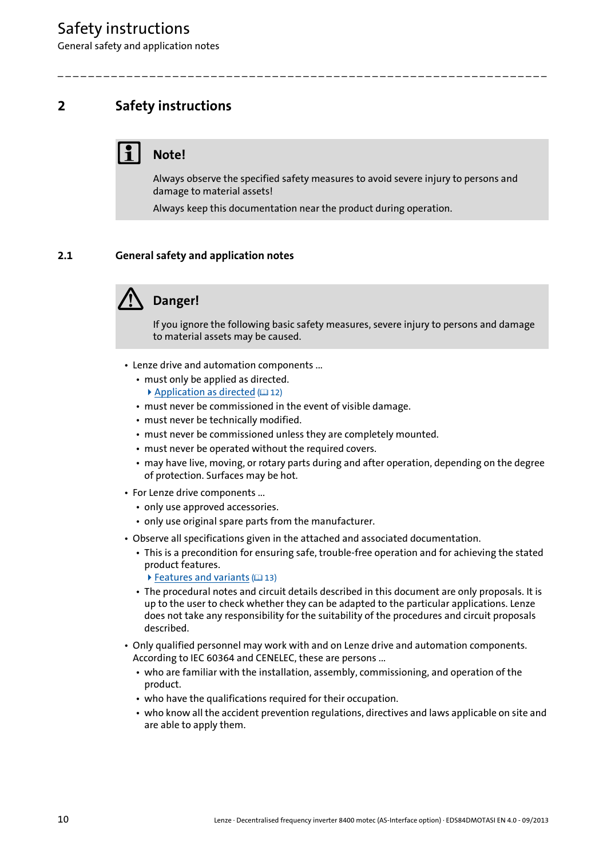General safety and application notes

## <span id="page-9-0"></span>**2 Safety instructions**

## **Note!**

Always observe the specified safety measures to avoid severe injury to persons and damage to material assets!

Always keep this documentation near the product during operation.

\_ \_ \_ \_ \_ \_ \_ \_ \_ \_ \_ \_ \_ \_ \_ \_ \_ \_ \_ \_ \_ \_ \_ \_ \_ \_ \_ \_ \_ \_ \_ \_ \_ \_ \_ \_ \_ \_ \_ \_ \_ \_ \_ \_ \_ \_ \_ \_ \_ \_ \_ \_ \_ \_ \_ \_ \_ \_ \_ \_ \_ \_ \_ \_

#### <span id="page-9-1"></span>**2.1 General safety and application notes**



If you ignore the following basic safety measures, severe injury to persons and damage to material assets may be caused.

- Lenze drive and automation components ...
	- must only be applied as directed.
	- [Application as directed](#page-11-2)  $(1212)$  $(1212)$
	- must never be commissioned in the event of visible damage.
	- must never be technically modified.
	- must never be commissioned unless they are completely mounted.
	- must never be operated without the required covers.
	- may have live, moving, or rotary parts during and after operation, depending on the degree of protection. Surfaces may be hot.
- For Lenze drive components ...
	- only use approved accessories.
	- only use original spare parts from the manufacturer.
- Observe all specifications given in the attached and associated documentation.
	- This is a precondition for ensuring safe, trouble-free operation and for achieving the stated product features.
		- $\blacktriangleright$  [Features and variants](#page-12-1) ( $\boxplus$  [13\)](#page-12-1)
	- The procedural notes and circuit details described in this document are only proposals. It is up to the user to check whether they can be adapted to the particular applications. Lenze does not take any responsibility for the suitability of the procedures and circuit proposals described.
- Only qualified personnel may work with and on Lenze drive and automation components. According to IEC 60364 and CENELEC, these are persons ...
	- who are familiar with the installation, assembly, commissioning, and operation of the product.
	- who have the qualifications required for their occupation.
	- who know all the accident prevention regulations, directives and laws applicable on site and are able to apply them.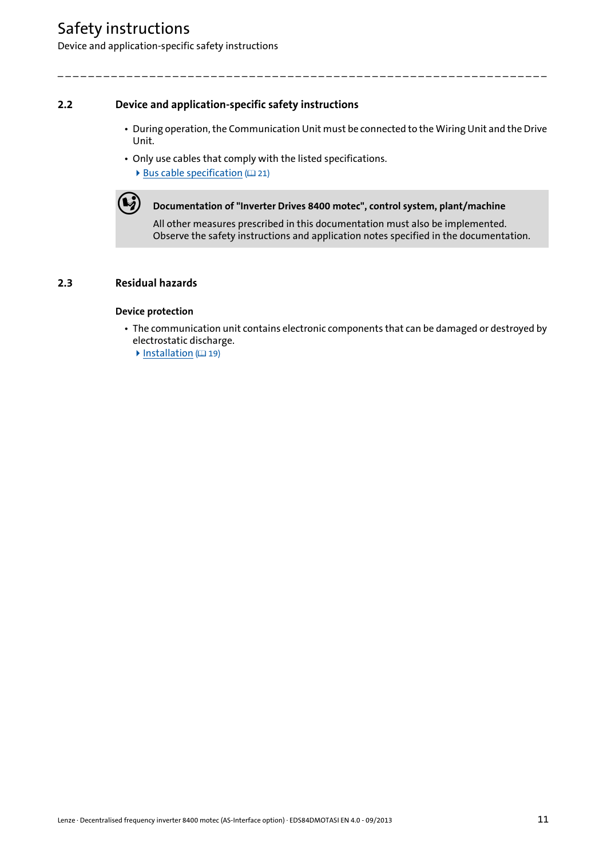## Safety instructions

Device and application-specific safety instructions

#### <span id="page-10-0"></span>**2.2 Device and application-specific safety instructions**

• During operation, the Communication Unit must be connected to the Wiring Unit and the Drive Unit.

\_ \_ \_ \_ \_ \_ \_ \_ \_ \_ \_ \_ \_ \_ \_ \_ \_ \_ \_ \_ \_ \_ \_ \_ \_ \_ \_ \_ \_ \_ \_ \_ \_ \_ \_ \_ \_ \_ \_ \_ \_ \_ \_ \_ \_ \_ \_ \_ \_ \_ \_ \_ \_ \_ \_ \_ \_ \_ \_ \_ \_ \_ \_ \_

• Only use cables that comply with the listed specifications.  $\blacktriangleright$  [Bus cable specification](#page-20-2) ( $\text{12 }$ [21\)](#page-20-2)



**(C)** Documentation of "Inverter Drives 8400 motec", control system, plant/machine

All other measures prescribed in this documentation must also be implemented. Observe the safety instructions and application notes specified in the documentation.

#### <span id="page-10-1"></span>**2.3 Residual hazards**

#### **Device protection**

- The communication unit contains electronic components that can be damaged or destroyed by electrostatic discharge.
	- $\blacktriangleright$  [Installation](#page-18-1) ( $\textcircled{\scriptsize{1}}$  [19\)](#page-18-1)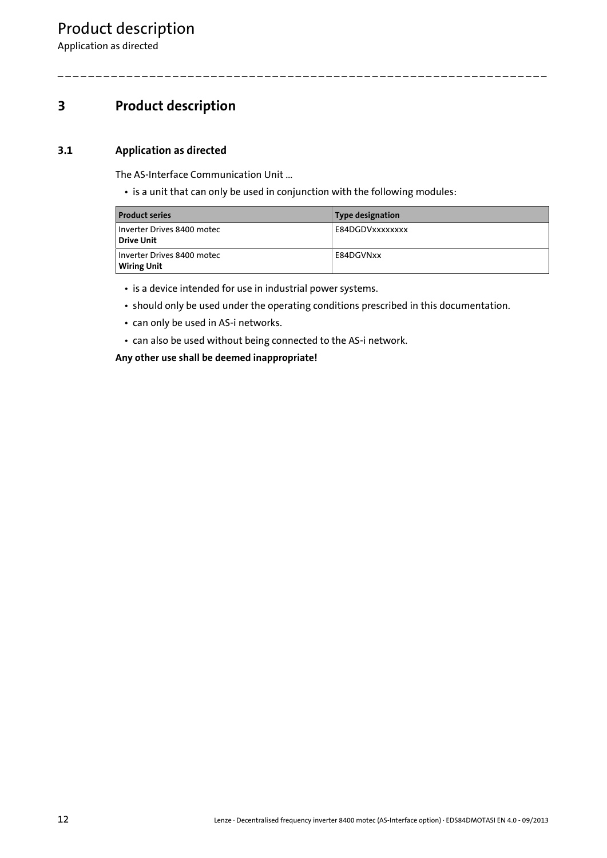Application as directed

## <span id="page-11-0"></span>**3 Product description**

#### <span id="page-11-1"></span>**3.1 Application as directed**

<span id="page-11-2"></span>The AS-Interface Communication Unit ...

• is a unit that can only be used in conjunction with the following modules:

| <b>Product series</b>                            | Type designation |
|--------------------------------------------------|------------------|
| Inverter Drives 8400 motec<br><b>Drive Unit</b>  | E84DGDVxxxxxxxx  |
| Inverter Drives 8400 motec<br><b>Wiring Unit</b> | E84DGVNxx        |

\_ \_ \_ \_ \_ \_ \_ \_ \_ \_ \_ \_ \_ \_ \_ \_ \_ \_ \_ \_ \_ \_ \_ \_ \_ \_ \_ \_ \_ \_ \_ \_ \_ \_ \_ \_ \_ \_ \_ \_ \_ \_ \_ \_ \_ \_ \_ \_ \_ \_ \_ \_ \_ \_ \_ \_ \_ \_ \_ \_ \_ \_ \_ \_

• is a device intended for use in industrial power systems.

- should only be used under the operating conditions prescribed in this documentation.
- can only be used in AS-i networks.
- can also be used without being connected to the AS-i network.

**Any other use shall be deemed inappropriate!**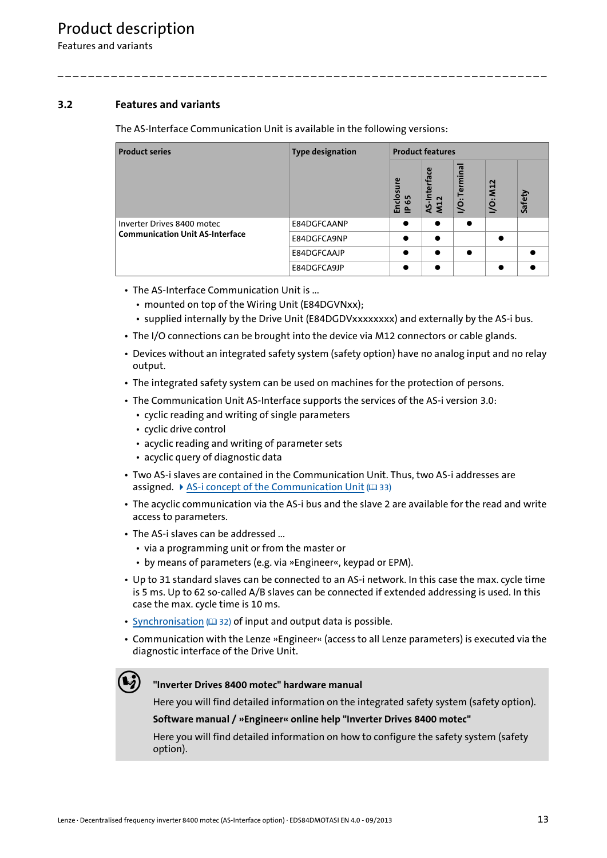Features and variants

#### <span id="page-12-0"></span>**3.2 Features and variants**

<span id="page-12-1"></span>The AS-Interface Communication Unit is available in the following versions:

\_ \_ \_ \_ \_ \_ \_ \_ \_ \_ \_ \_ \_ \_ \_ \_ \_ \_ \_ \_ \_ \_ \_ \_ \_ \_ \_ \_ \_ \_ \_ \_ \_ \_ \_ \_ \_ \_ \_ \_ \_ \_ \_ \_ \_ \_ \_ \_ \_ \_ \_ \_ \_ \_ \_ \_ \_ \_ \_ \_ \_ \_ \_ \_

| <b>Product series</b>                  | <b>Type designation</b> | <b>Product features</b>         |                                                            |                 |                                            |        |
|----------------------------------------|-------------------------|---------------------------------|------------------------------------------------------------|-----------------|--------------------------------------------|--------|
|                                        |                         | Enclosure<br>65<br>$\mathbf{r}$ | ဨ<br>iterfa<br>$\sim$<br>$\overline{\mathsf{z}}$<br>ù<br>⋖ | minal<br>힡<br>Š | <b>M12</b><br>$\bullet\bullet$<br><u>o</u> | Safety |
| Inverter Drives 8400 motec             | E84DGFCAANP             |                                 | $\bullet$                                                  |                 |                                            |        |
| <b>Communication Unit AS-Interface</b> | E84DGFCA9NP             |                                 | $\bullet$                                                  |                 | $\bullet$                                  |        |
|                                        | E84DGFCAAJP             |                                 | $\bullet$                                                  |                 |                                            |        |
|                                        | E84DGFCA9JP             |                                 | $\bullet$                                                  |                 | $\bullet$                                  |        |

- The AS-Interface Communication Unit is ...
	- mounted on top of the Wiring Unit (E84DGVNxx);
	- supplied internally by the Drive Unit (E84DGDVxxxxxxxx) and externally by the AS-i bus.
- The I/O connections can be brought into the device via M12 connectors or cable glands.
- Devices without an integrated safety system (safety option) have no analog input and no relay output.
- The integrated safety system can be used on machines for the protection of persons.
- The Communication Unit AS-Interface supports the services of the AS-i version 3.0:
	- cyclic reading and writing of single parameters
	- cyclic drive control
	- acyclic reading and writing of parameter sets
	- acyclic query of diagnostic data
- Two AS-i slaves are contained in the Communication Unit. Thus, two AS-i addresses are assigned.  $\triangleright$  [AS-i concept of the Communication Unit](#page-32-1) ( $\triangleright$  [33\)](#page-32-1)
- The acyclic communication via the AS-i bus and the slave 2 are available for the read and write access to parameters.
- The AS-i slaves can be addressed ...
	- via a programming unit or from the master or
	- by means of parameters (e.g. via »Engineer«, keypad or EPM).
- Up to 31 standard slaves can be connected to an AS-i network. In this case the max. cycle time is 5 ms. Up to 62 so-called A/B slaves can be connected if extended addressing is used. In this case the max. cycle time is 10 ms.
- [Synchronisation](#page-31-1) ( $\Box$  [32\)](#page-31-1) of input and output data is possible.
- Communication with the Lenze »Engineer« (access to all Lenze parameters) is executed via the diagnostic interface of the Drive Unit.

#### **"Inverter Drives 8400 motec" hardware manual**

Here you will find detailed information on the integrated safety system (safety option).

#### **Software manual / »Engineer« online help "Inverter Drives 8400 motec"**

Here you will find detailed information on how to configure the safety system (safety option).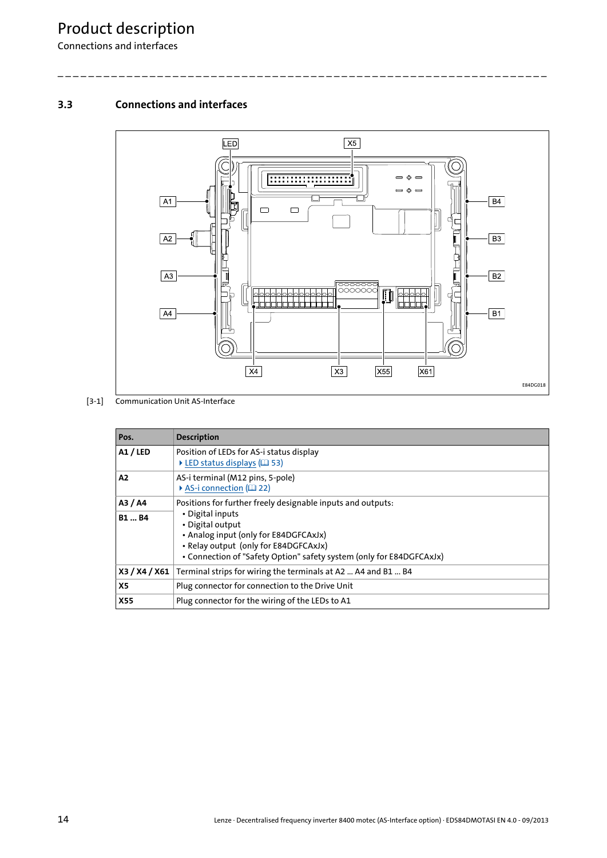Connections and interfaces

#### <span id="page-13-0"></span>**3.3 Connections and interfaces**



[3-1] Communication Unit AS-Interface

| Pos.                   | <b>Description</b>                                                                                                                                                                                                                                            |
|------------------------|---------------------------------------------------------------------------------------------------------------------------------------------------------------------------------------------------------------------------------------------------------------|
| A1 / LED               | Position of LEDs for AS-i status display<br>$\triangleright$ LED status displays ( $\Box$ 53)                                                                                                                                                                 |
| A2                     | AS-i terminal (M12 pins, 5-pole)<br>AS-i connection (EQ 22)                                                                                                                                                                                                   |
| A3 / A4<br><b>B1B4</b> | Positions for further freely designable inputs and outputs:<br>• Digital inputs<br>• Digital output<br>• Analog input (only for E84DGFCAxJx)<br>• Relay output (only for E84DGFCAxJx)<br>• Connection of "Safety Option" safety system (only for E84DGFCAxJx) |
| X3 / X4 / X61          | Terminal strips for wiring the terminals at A2  A4 and B1  B4                                                                                                                                                                                                 |
| <b>X5</b>              | Plug connector for connection to the Drive Unit                                                                                                                                                                                                               |
| <b>X55</b>             | Plug connector for the wiring of the LEDs to A1                                                                                                                                                                                                               |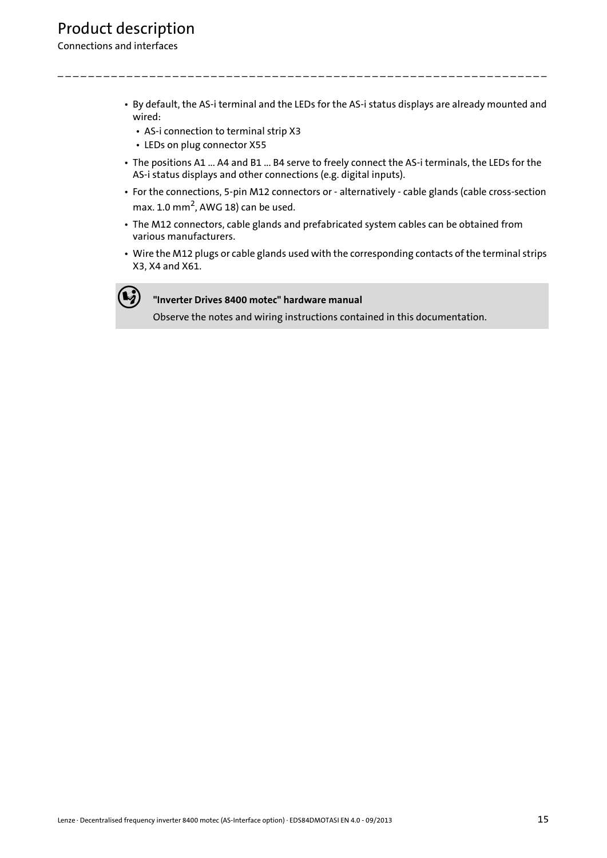#### Connections and interfaces

• By default, the AS-i terminal and the LEDs for the AS-i status displays are already mounted and wired:

\_ \_ \_ \_ \_ \_ \_ \_ \_ \_ \_ \_ \_ \_ \_ \_ \_ \_ \_ \_ \_ \_ \_ \_ \_ \_ \_ \_ \_ \_ \_ \_ \_ \_ \_ \_ \_ \_ \_ \_ \_ \_ \_ \_ \_ \_ \_ \_ \_ \_ \_ \_ \_ \_ \_ \_ \_ \_ \_ \_ \_ \_ \_ \_

- AS-i connection to terminal strip X3
- LEDs on plug connector X55
- The positions A1 ... A4 and B1 ... B4 serve to freely connect the AS-i terminals, the LEDs for the AS-i status displays and other connections (e.g. digital inputs).
- For the connections, 5-pin M12 connectors or alternatively cable glands (cable cross-section max. 1.0 mm<sup>2</sup>, AWG 18) can be used.
- The M12 connectors, cable glands and prefabricated system cables can be obtained from various manufacturers.
- Wire the M12 plugs or cable glands used with the corresponding contacts of the terminal strips X3, X4 and X61.



#### **"Inverter Drives 8400 motec" hardware manual**

Observe the notes and wiring instructions contained in this documentation.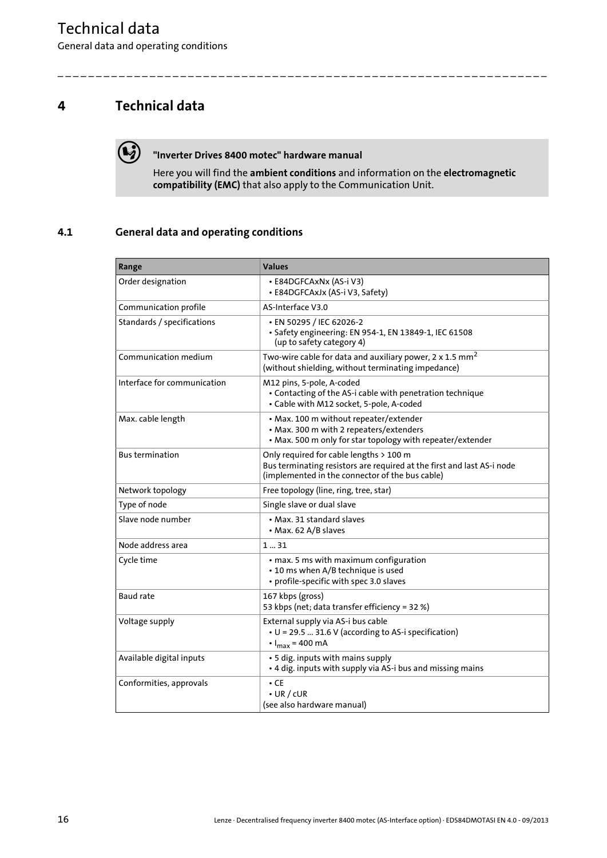General data and operating conditions

## <span id="page-15-0"></span>**4 Technical data**



#### **"Inverter Drives 8400 motec" hardware manual**

Here you will find the **ambient conditions** and information on the **electromagnetic compatibility (EMC)** that also apply to the Communication Unit.

\_ \_ \_ \_ \_ \_ \_ \_ \_ \_ \_ \_ \_ \_ \_ \_ \_ \_ \_ \_ \_ \_ \_ \_ \_ \_ \_ \_ \_ \_ \_ \_ \_ \_ \_ \_ \_ \_ \_ \_ \_ \_ \_ \_ \_ \_ \_ \_ \_ \_ \_ \_ \_ \_ \_ \_ \_ \_ \_ \_ \_ \_ \_ \_

#### <span id="page-15-1"></span>**4.1 General data and operating conditions**

| Range                       | <b>Values</b>                                                                                                                                                        |
|-----------------------------|----------------------------------------------------------------------------------------------------------------------------------------------------------------------|
| Order designation           | • E84DGFCAxNx (AS-i V3)<br>• E84DGFCAxJx (AS-i V3, Safety)                                                                                                           |
| Communication profile       | AS-Interface V3.0                                                                                                                                                    |
| Standards / specifications  | • EN 50295 / IEC 62026-2<br>• Safety engineering: EN 954-1, EN 13849-1, IEC 61508<br>(up to safety category 4)                                                       |
| Communication medium        | Two-wire cable for data and auxiliary power, 2 x 1.5 $mm2$<br>(without shielding, without terminating impedance)                                                     |
| Interface for communication | M12 pins, 5-pole, A-coded<br>• Contacting of the AS-i cable with penetration technique<br>· Cable with M12 socket, 5-pole, A-coded                                   |
| Max. cable length           | • Max. 100 m without repeater/extender<br>• Max. 300 m with 2 repeaters/extenders<br>• Max. 500 m only for star topology with repeater/extender                      |
| <b>Bus termination</b>      | Only required for cable lengths > 100 m<br>Bus terminating resistors are required at the first and last AS-i node<br>(implemented in the connector of the bus cable) |
| Network topology            | Free topology (line, ring, tree, star)                                                                                                                               |
| Type of node                | Single slave or dual slave                                                                                                                                           |
| Slave node number           | • Max. 31 standard slaves<br>• Max. 62 A/B slaves                                                                                                                    |
| Node address area           | 131                                                                                                                                                                  |
| Cycle time                  | • max. 5 ms with maximum configuration<br>• 10 ms when A/B technique is used<br>• profile-specific with spec 3.0 slaves                                              |
| Baud rate                   | 167 kbps (gross)<br>53 kbps (net; data transfer efficiency = 32 %)                                                                                                   |
| Voltage supply              | External supply via AS-i bus cable<br>• U = 29.5  31.6 V (according to AS-i specification)<br>$\cdot$ $I_{max}$ = 400 mA                                             |
| Available digital inputs    | • 5 dig. inputs with mains supply<br>• 4 dig. inputs with supply via AS-i bus and missing mains                                                                      |
| Conformities, approvals     | $\cdot$ CE<br>$\cdot$ UR / cUR<br>(see also hardware manual)                                                                                                         |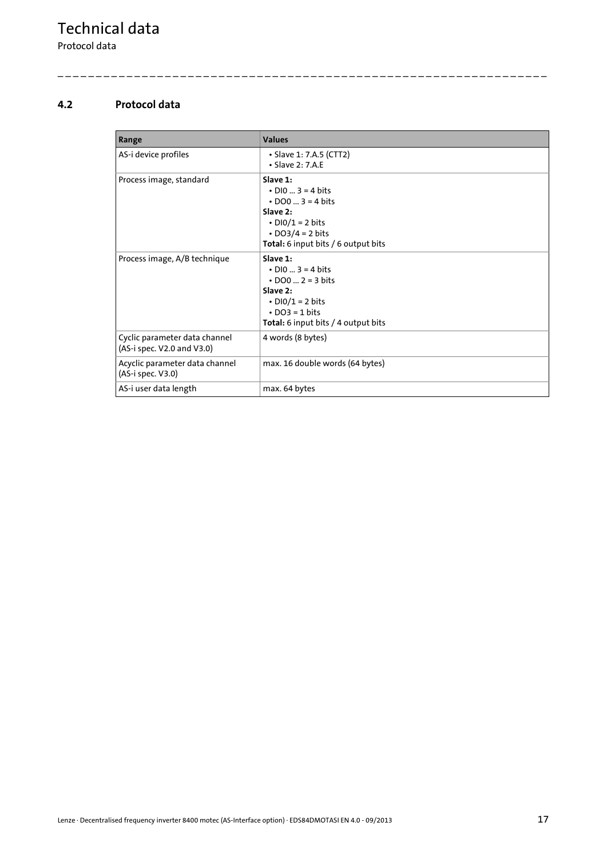Protocol data

#### <span id="page-16-0"></span>**4.2 Protocol data**

| Range                                                       | <b>Values</b>                                                                                                                                                               |
|-------------------------------------------------------------|-----------------------------------------------------------------------------------------------------------------------------------------------------------------------------|
| AS-i device profiles                                        | • Slave 1: 7.A.5 (CTT2)<br>$\cdot$ Slave 2: 7.A.E                                                                                                                           |
| Process image, standard                                     | Slave $1:$<br>$\cdot$ DIO  3 = 4 bits<br>• $DO0  3 = 4 \text{ bits}$<br>Slave 2:<br>$\cdot$ DIO/1 = 2 bits<br>$\cdot$ DO3/4 = 2 bits<br>Total: 6 input bits / 6 output bits |
| Process image, A/B technique                                | Slave $1:$<br>$\cdot$ DIO  3 = 4 bits<br>• $DO0  2 = 3 \text{ bits}$<br>Slave $2:$<br>$\cdot$ DIO/1 = 2 bits<br>$\cdot$ DO3 = 1 bits<br>Total: 6 input bits / 4 output bits |
| Cyclic parameter data channel<br>(AS-i spec. V2.0 and V3.0) | 4 words (8 bytes)                                                                                                                                                           |
| Acyclic parameter data channel<br>(AS-i spec. V3.0)         | max. 16 double words (64 bytes)                                                                                                                                             |
| AS-i user data length                                       | max. 64 bytes                                                                                                                                                               |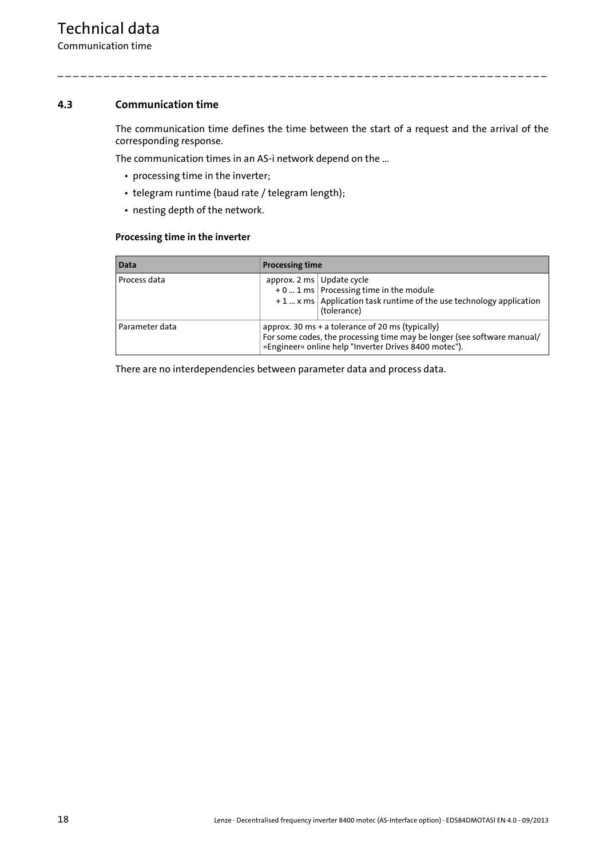Communication time

#### <span id="page-17-0"></span>**4.3 Communication time**

The communication time defines the time between the start of a request and the arrival of the corresponding response.

\_ \_ \_ \_ \_ \_ \_ \_ \_ \_ \_ \_ \_ \_ \_ \_ \_ \_ \_ \_ \_ \_ \_ \_ \_ \_ \_ \_ \_ \_ \_ \_ \_ \_ \_ \_ \_ \_ \_ \_ \_ \_ \_ \_ \_ \_ \_ \_ \_ \_ \_ \_ \_ \_ \_ \_ \_ \_ \_ \_ \_ \_ \_ \_

The communication times in an AS-i network depend on the ...

- processing time in the inverter;
- telegram runtime (baud rate / telegram length);
- nesting depth of the network.

#### **Processing time in the inverter**

| Data           | <b>Processing time</b>                                                                                                                                                               |                                                                                                                                    |  |
|----------------|--------------------------------------------------------------------------------------------------------------------------------------------------------------------------------------|------------------------------------------------------------------------------------------------------------------------------------|--|
| Process data   | approx. 2 ms $\vert$ Update cycle                                                                                                                                                    | $+0$ 1 ms   Processing time in the module<br>$+1$ x ms   Application task runtime of the use technology application<br>(tolerance) |  |
| Parameter data | approx. 30 ms + a tolerance of 20 ms (typically)<br>For some codes, the processing time may be longer (see software manual/<br>»Engineer« online help "Inverter Drives 8400 motec"). |                                                                                                                                    |  |

There are no interdependencies between parameter data and process data.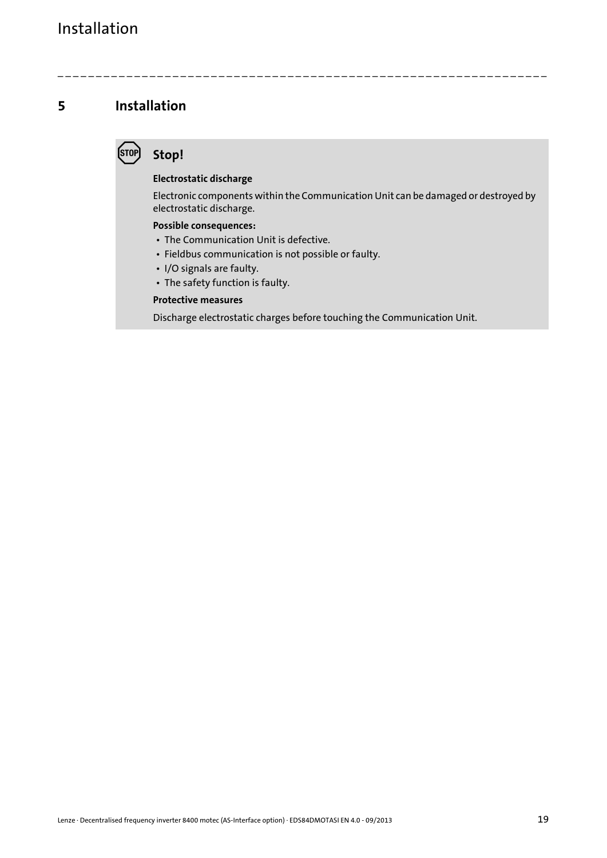### <span id="page-18-0"></span>**5 Installation**

## <span id="page-18-1"></span>**Stop!**

#### **Electrostatic discharge**

Electronic components within the Communication Unit can be damaged or destroyed by electrostatic discharge.

\_ \_ \_ \_ \_ \_ \_ \_ \_ \_ \_ \_ \_ \_ \_ \_ \_ \_ \_ \_ \_ \_ \_ \_ \_ \_ \_ \_ \_ \_ \_ \_ \_ \_ \_ \_ \_ \_ \_ \_ \_ \_ \_ \_ \_ \_ \_ \_ \_ \_ \_ \_ \_ \_ \_ \_ \_ \_ \_ \_ \_ \_ \_ \_

#### **Possible consequences:**

- The Communication Unit is defective.
- Fieldbus communication is not possible or faulty.
- I/O signals are faulty.
- The safety function is faulty.

#### **Protective measures**

Discharge electrostatic charges before touching the Communication Unit.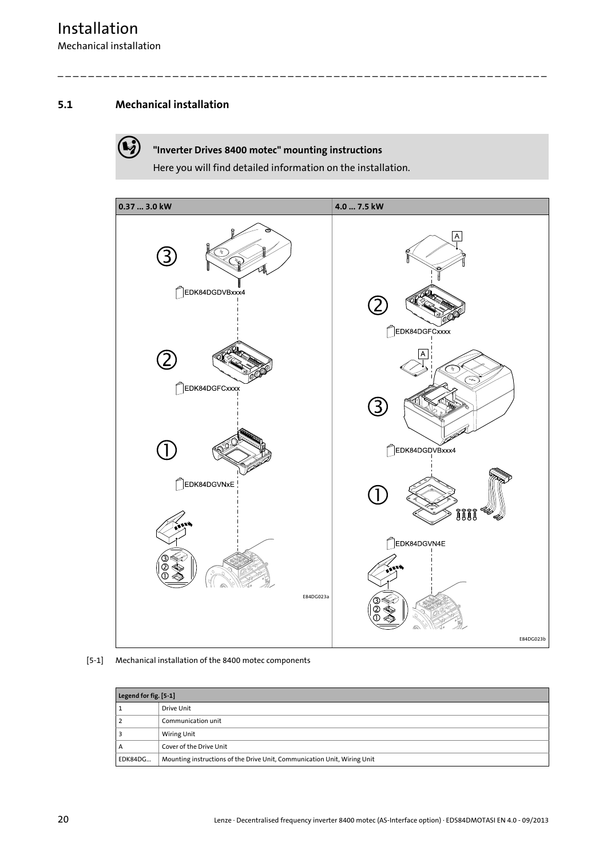## Installation

Mechanical installation

#### <span id="page-19-0"></span>**5.1 Mechanical installation**

#### **"Inverter Drives 8400 motec" mounting instructions**

Here you will find detailed information on the installation.



[5-1] Mechanical installation of the 8400 motec components

|                                                                                     | Legend for fig. [5-1]   |  |  |
|-------------------------------------------------------------------------------------|-------------------------|--|--|
|                                                                                     | Drive Unit              |  |  |
|                                                                                     | Communication unit      |  |  |
|                                                                                     | <b>Wiring Unit</b>      |  |  |
| А                                                                                   | Cover of the Drive Unit |  |  |
| Mounting instructions of the Drive Unit, Communication Unit, Wiring Unit<br>EDK84DG |                         |  |  |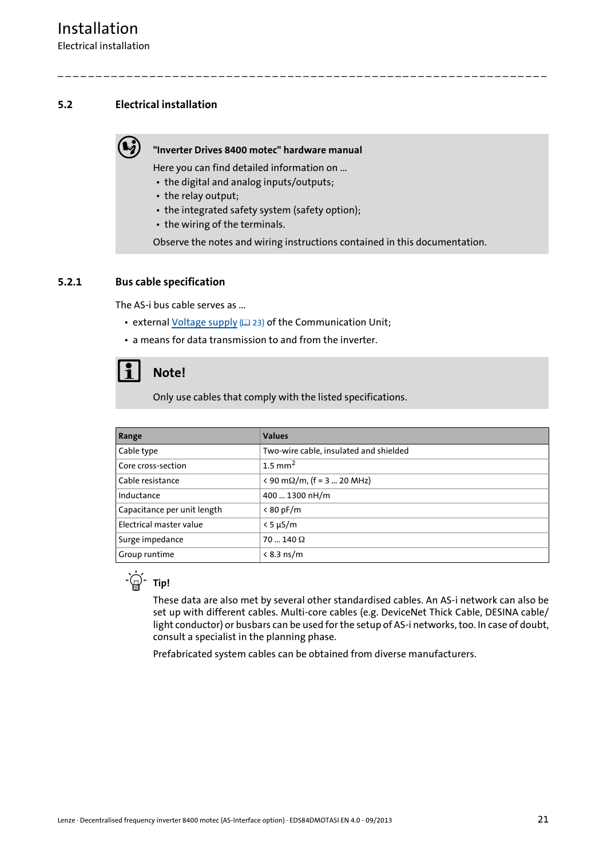#### <span id="page-20-0"></span>**5.2 Electrical installation**

#### **"Inverter Drives 8400 motec" hardware manual**

Here you can find detailed information on ...

- the digital and analog inputs/outputs;
- the relay output;
- the integrated safety system (safety option);
- the wiring of the terminals.

Observe the notes and wiring instructions contained in this documentation.

\_ \_ \_ \_ \_ \_ \_ \_ \_ \_ \_ \_ \_ \_ \_ \_ \_ \_ \_ \_ \_ \_ \_ \_ \_ \_ \_ \_ \_ \_ \_ \_ \_ \_ \_ \_ \_ \_ \_ \_ \_ \_ \_ \_ \_ \_ \_ \_ \_ \_ \_ \_ \_ \_ \_ \_ \_ \_ \_ \_ \_ \_ \_ \_

#### <span id="page-20-1"></span>**5.2.1 Bus cable specification**

<span id="page-20-2"></span>The AS-i bus cable serves as ...

- external [Voltage supply](#page-22-0) ([23\)](#page-22-0) of the Communication Unit;
- a means for data transmission to and from the inverter.

## **Note!**

Only use cables that comply with the listed specifications.

| Range                       | <b>Values</b>                                           |
|-----------------------------|---------------------------------------------------------|
| Cable type                  | Two-wire cable, insulated and shielded                  |
| Core cross-section          | $1.5$ mm <sup>2</sup>                                   |
| l Cable resistance          | $\langle 90 \text{ m}\Omega/\text{m}$ , (f = 3  20 MHz) |
| Inductance                  | 400  1300 nH/m                                          |
| Capacitance per unit length | < 80 pF/m                                               |
| Electrical master value     | $< 5 \mu S/m$                                           |
| Surge impedance             | $70140\Omega$                                           |
| Group runtime               | $< 8.3$ ns/m                                            |



These data are also met by several other standardised cables. An AS-i network can also be set up with different cables. Multi-core cables (e.g. DeviceNet Thick Cable, DESINA cable/ light conductor) or busbars can be used for the setup of AS-i networks, too. In case of doubt, consult a specialist in the planning phase.

Prefabricated system cables can be obtained from diverse manufacturers.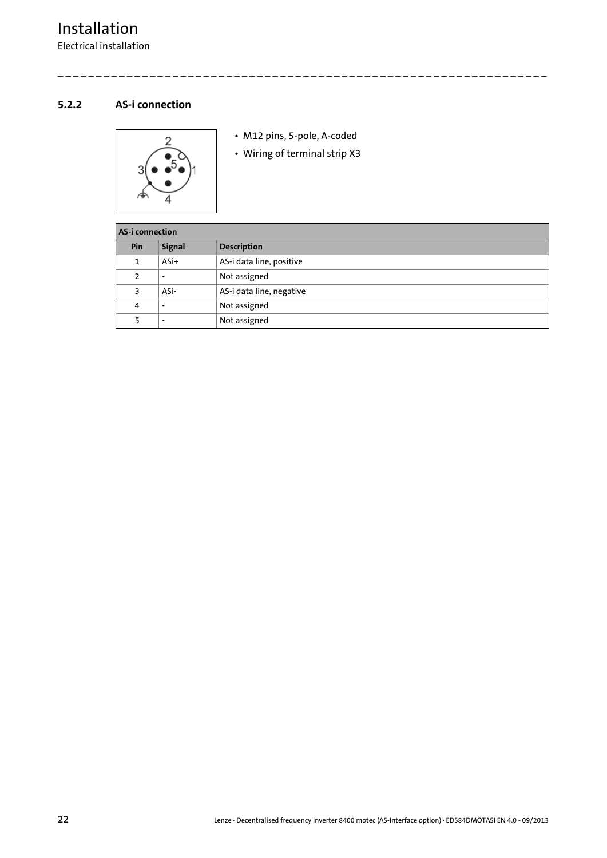#### <span id="page-21-0"></span>**5.2.2 AS-i connection**

<span id="page-21-1"></span>

• M12 pins, 5-pole, A-coded

\_ \_ \_ \_ \_ \_ \_ \_ \_ \_ \_ \_ \_ \_ \_ \_ \_ \_ \_ \_ \_ \_ \_ \_ \_ \_ \_ \_ \_ \_ \_ \_ \_ \_ \_ \_ \_ \_ \_ \_ \_ \_ \_ \_ \_ \_ \_ \_ \_ \_ \_ \_ \_ \_ \_ \_ \_ \_ \_ \_ \_ \_ \_ \_

• Wiring of terminal strip X3

| AS-i connection |                          |                          |  |
|-----------------|--------------------------|--------------------------|--|
| Pin             | <b>Signal</b>            | <b>Description</b>       |  |
| 1               | $ASi+$                   | AS-i data line, positive |  |
| 2               |                          | Not assigned             |  |
| 3               | ASi-                     | AS-i data line, negative |  |
| 4               | $\overline{\phantom{a}}$ | Not assigned             |  |
|                 |                          | Not assigned             |  |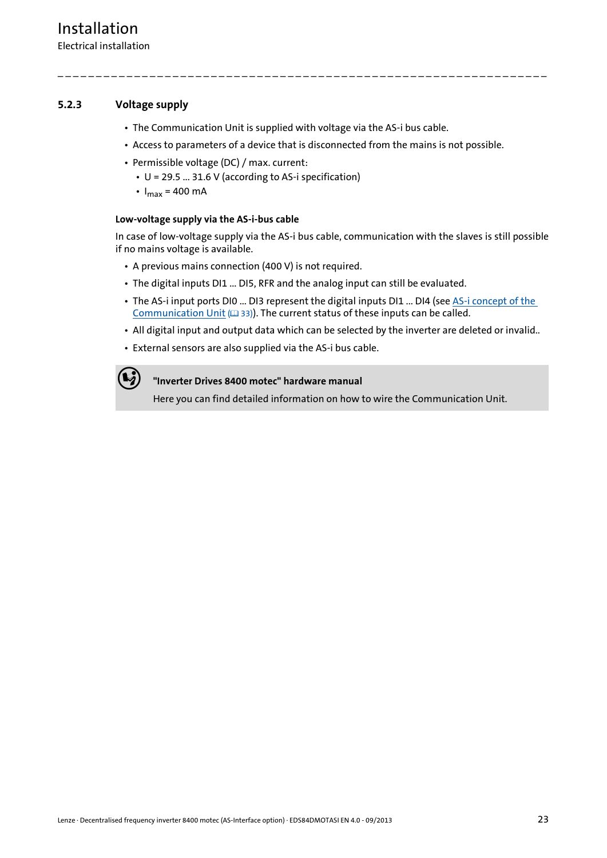#### <span id="page-22-0"></span>**5.2.3 Voltage supply**

- <span id="page-22-1"></span>• The Communication Unit is supplied with voltage via the AS-i bus cable.
- Access to parameters of a device that is disconnected from the mains is not possible.

\_ \_ \_ \_ \_ \_ \_ \_ \_ \_ \_ \_ \_ \_ \_ \_ \_ \_ \_ \_ \_ \_ \_ \_ \_ \_ \_ \_ \_ \_ \_ \_ \_ \_ \_ \_ \_ \_ \_ \_ \_ \_ \_ \_ \_ \_ \_ \_ \_ \_ \_ \_ \_ \_ \_ \_ \_ \_ \_ \_ \_ \_ \_ \_

- Permissible voltage (DC) / max. current:
	- U = 29.5 ... 31.6 V (according to AS-i specification)
	- $I_{\text{max}}$  = 400 mA

#### **Low-voltage supply via the AS-i-bus cable**

In case of low-voltage supply via the AS-i bus cable, communication with the slaves is still possible if no mains voltage is available.

- A previous mains connection (400 V) is not required.
- The digital inputs DI1 ... DI5, RFR and the analog input can still be evaluated.
- The AS-i input ports DI0 ... DI3 represent the digital inputs DI1 ... DI4 (see [AS-i concept of the](#page-32-1)  [Communication Unit](#page-32-1)  $( \square 33)$  $( \square 33)$ . The current status of these inputs can be called.
- All digital input and output data which can be selected by the inverter are deleted or invalid..
- External sensors are also supplied via the AS-i bus cable.

#### **"Inverter Drives 8400 motec" hardware manual**

Here you can find detailed information on how to wire the Communication Unit.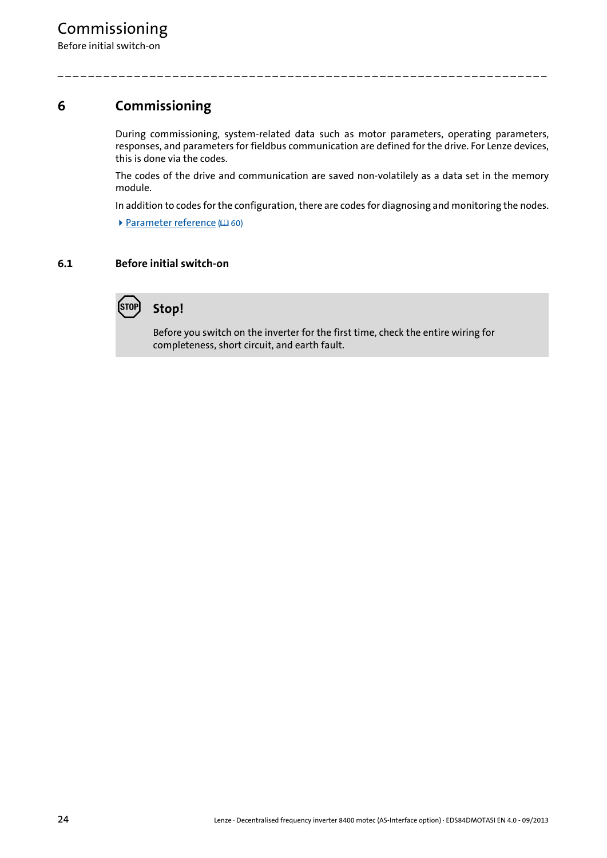## <span id="page-23-0"></span>**6 Commissioning**

During commissioning, system-related data such as motor parameters, operating parameters, responses, and parameters for fieldbus communication are defined for the drive. For Lenze devices, this is done via the codes.

\_ \_ \_ \_ \_ \_ \_ \_ \_ \_ \_ \_ \_ \_ \_ \_ \_ \_ \_ \_ \_ \_ \_ \_ \_ \_ \_ \_ \_ \_ \_ \_ \_ \_ \_ \_ \_ \_ \_ \_ \_ \_ \_ \_ \_ \_ \_ \_ \_ \_ \_ \_ \_ \_ \_ \_ \_ \_ \_ \_ \_ \_ \_ \_

The codes of the drive and communication are saved non-volatilely as a data set in the memory module.

In addition to codes for the configuration, there are codes for diagnosing and monitoring the nodes.

 $\blacktriangleright$  [Parameter reference](#page-59-2) ( $\boxplus$  [60\)](#page-59-2)

#### <span id="page-23-1"></span>**6.1 Before initial switch-on**



Before you switch on the inverter for the first time, check the entire wiring for completeness, short circuit, and earth fault.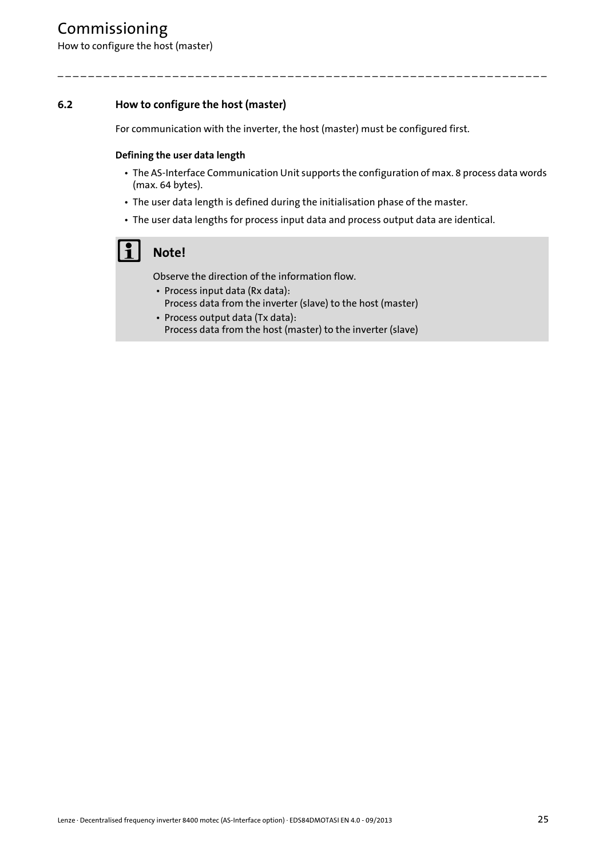## Commissioning

How to configure the host (master)

#### <span id="page-24-0"></span>**6.2 How to configure the host (master)**

For communication with the inverter, the host (master) must be configured first.

\_ \_ \_ \_ \_ \_ \_ \_ \_ \_ \_ \_ \_ \_ \_ \_ \_ \_ \_ \_ \_ \_ \_ \_ \_ \_ \_ \_ \_ \_ \_ \_ \_ \_ \_ \_ \_ \_ \_ \_ \_ \_ \_ \_ \_ \_ \_ \_ \_ \_ \_ \_ \_ \_ \_ \_ \_ \_ \_ \_ \_ \_ \_ \_

#### **Defining the user data length**

- The AS-Interface Communication Unit supports the configuration of max. 8 process data words (max. 64 bytes).
- The user data length is defined during the initialisation phase of the master.
- The user data lengths for process input data and process output data are identical.

## **Note!**

Observe the direction of the information flow.

- Process input data (Rx data): Process data from the inverter (slave) to the host (master)
- Process output data (Tx data): Process data from the host (master) to the inverter (slave)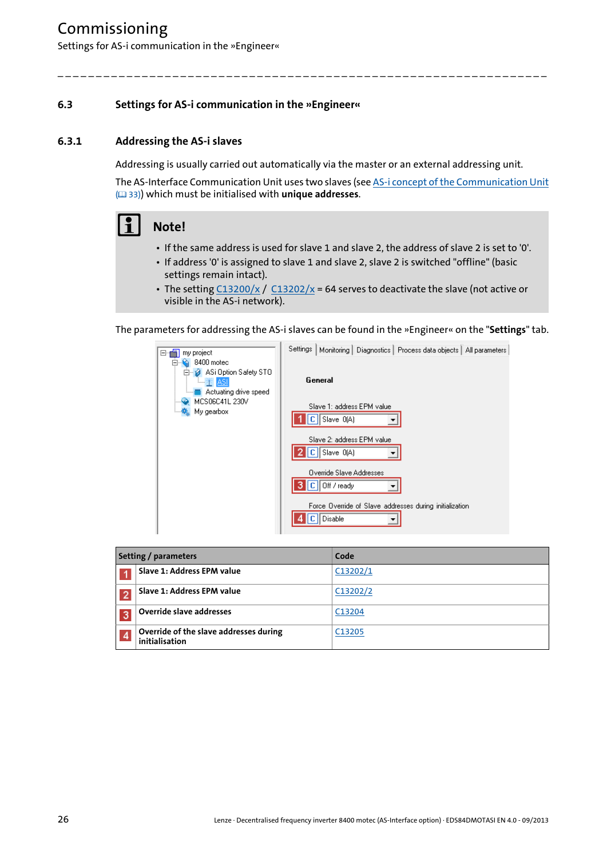## Commissioning

Settings for AS-i communication in the »Engineer«

#### <span id="page-25-0"></span>**6.3 Settings for AS-i communication in the »Engineer«**

#### <span id="page-25-1"></span>**6.3.1 Addressing the AS-i slaves**

Addressing is usually carried out automatically via the master or an external addressing unit.

\_ \_ \_ \_ \_ \_ \_ \_ \_ \_ \_ \_ \_ \_ \_ \_ \_ \_ \_ \_ \_ \_ \_ \_ \_ \_ \_ \_ \_ \_ \_ \_ \_ \_ \_ \_ \_ \_ \_ \_ \_ \_ \_ \_ \_ \_ \_ \_ \_ \_ \_ \_ \_ \_ \_ \_ \_ \_ \_ \_ \_ \_ \_ \_

The AS-Interface Communication Unit uses two slaves (see [AS-i concept of the Communication Unit](#page-32-1) ( [33\)](#page-32-1)) which must be initialised with **unique addresses**.

## **1** Note!

- If the same address is used for slave 1 and slave 2, the address of slave 2 is set to '0'.
- If address '0' is assigned to slave 1 and slave 2, slave 2 is switched "offline" (basic settings remain intact).
- The setting  $C13200/x / C13202/x = 64$  $C13200/x / C13202/x = 64$  $C13200/x / C13202/x = 64$  serves to deactivate the slave (not active or visible in the AS-i network).

The parameters for addressing the AS-i slaves can be found in the »Engineer« on the "**Settings**" tab.

| my project<br>⊟…                                                                  | Settings  <br>Monitoring   Diagnostics   Process data objects   All parameters |
|-----------------------------------------------------------------------------------|--------------------------------------------------------------------------------|
| 8400 motec<br>ASi Option Safety STO<br><u>lii 15 ASI</u><br>Actuating drive speed | General                                                                        |
| MCS06C41L 230V                                                                    | Slave 1: address EPM value<br>Slave 0(A)<br>сII                                |
|                                                                                   | Slave 2: address EPM value<br>$C \parallel$ Slave $O(A)$                       |
|                                                                                   | Override Slave Addresses<br>$C \parallel$ Off / ready                          |
|                                                                                   | Force Override of Slave addresses during initialization.<br>Disable            |

| <b>Setting / parameters</b> |                                                          | Code     |
|-----------------------------|----------------------------------------------------------|----------|
|                             | Slave 1: Address EPM value                               | C13202/1 |
|                             | Slave 1: Address EPM value                               | C13202/2 |
| 3                           | Override slave addresses                                 | C13204   |
| $\overline{4}$              | Override of the slave addresses during<br>initialisation | C13205   |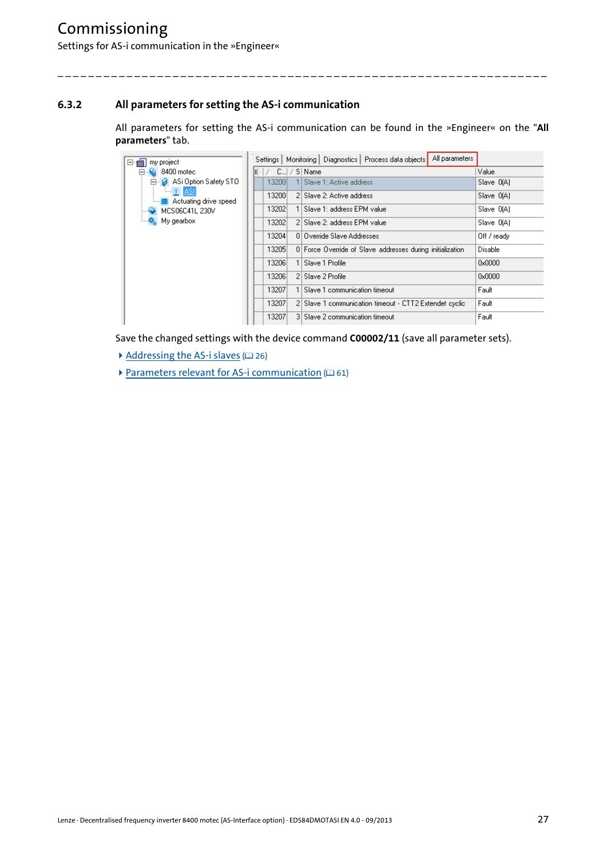#### <span id="page-26-0"></span>**6.3.2 All parameters for setting the AS-i communication**

All parameters for setting the AS-i communication can be found in the »Engineer« on the "**All parameters**" tab.

\_ \_ \_ \_ \_ \_ \_ \_ \_ \_ \_ \_ \_ \_ \_ \_ \_ \_ \_ \_ \_ \_ \_ \_ \_ \_ \_ \_ \_ \_ \_ \_ \_ \_ \_ \_ \_ \_ \_ \_ \_ \_ \_ \_ \_ \_ \_ \_ \_ \_ \_ \_ \_ \_ \_ \_ \_ \_ \_ \_ \_ \_ \_ \_

| my project<br>'⊟ fi                            | All parameters<br>Settings   Monitoring   Diagnostics   Process data objects |             |
|------------------------------------------------|------------------------------------------------------------------------------|-------------|
| $\Box$ $\Omega$ 8400 motec                     | -   / - C   / S   Name<br>H                                                  | Value       |
| 白 2 ASi Option Safety STO                      | 1 Slave 1: Active address<br>13200                                           | Slave 0(A)  |
| <b>ASI</b><br><u>i ■</u> Actuating drive speed | 13200<br>2 Slave 2: Active address                                           | Slave 0(A)  |
| MCS06C41L 230V                                 | 13202<br>Slave 1: address EPM value                                          | Slave 0(A)  |
|                                                | 13202<br>2 Slave 2: address EPM value                                        | Slave O(A)  |
|                                                | 13204<br>0 Dverride Slave Addresses                                          | Off / ready |
|                                                | 0 Force Override of Slave addresses during initialization<br>13205           | Disable     |
|                                                | 13206<br>Slave 1 Profile                                                     | 0x0000      |
|                                                | 13206<br>2 Slave 2 Profile                                                   | 0x0000      |
|                                                | 13207<br>Slave 1 communication timeout                                       | Fault       |
|                                                | 13207<br>2 Slave 1 communication timeout - CTT2 Extendet cyclic              | Fault       |
|                                                | 13207<br>3 Slave 2 communication timeout                                     | Fault       |

Save the changed settings with the device command **C00002/11** (save all parameter sets).

- [Addressing the AS-i slaves](#page-25-1)  $(26)$  $(26)$
- [Parameters relevant for AS-i communication](#page-60-3)  $( \mathbb{Q} 61)$  $( \mathbb{Q} 61)$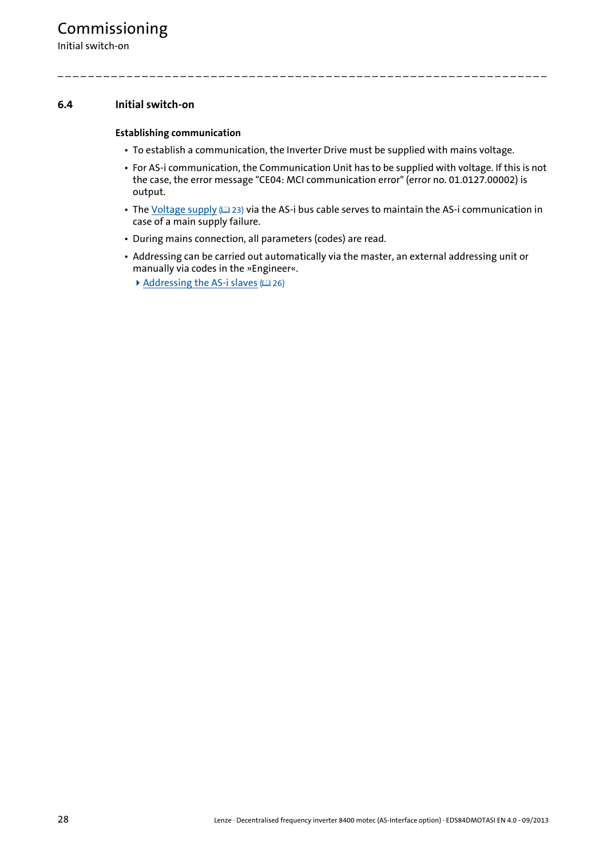Initial switch-on

#### <span id="page-27-0"></span>**6.4 Initial switch-on**

#### **Establishing communication**

• To establish a communication, the Inverter Drive must be supplied with mains voltage.

- For AS-i communication, the Communication Unit has to be supplied with voltage. If this is not the case, the error message "CE04: MCI communication error" (error no. 01.0127.00002) is output.
- The [Voltage supply](#page-22-1) ( $\Box$  [23\)](#page-22-1) via the AS-i bus cable serves to maintain the AS-i communication in case of a main supply failure.
- During mains connection, all parameters (codes) are read.
- Addressing can be carried out automatically via the master, an external addressing unit or manually via codes in the »Engineer«.
	- [Addressing the AS-i slaves](#page-25-1)  $(2426)$  $(2426)$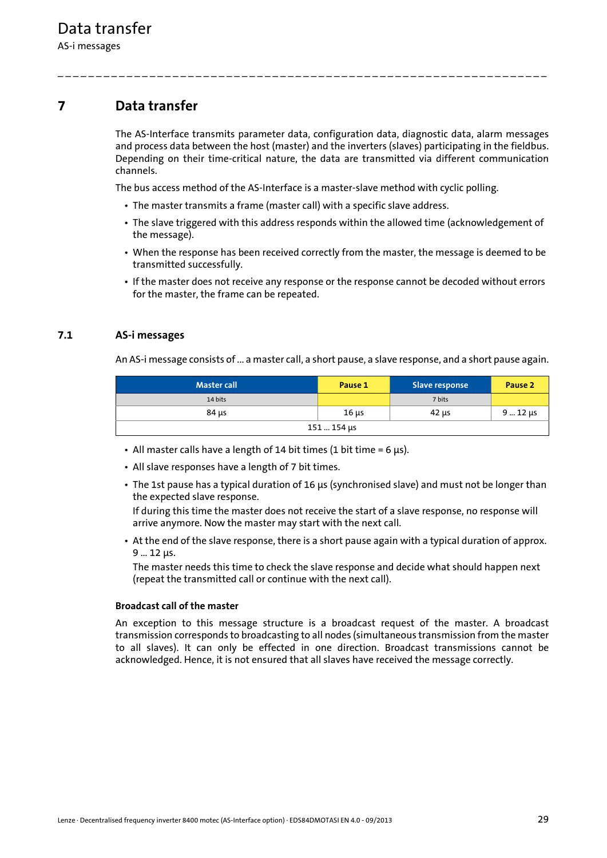### <span id="page-28-0"></span>**7 Data transfer**

The AS-Interface transmits parameter data, configuration data, diagnostic data, alarm messages and process data between the host (master) and the inverters (slaves) participating in the fieldbus. Depending on their time-critical nature, the data are transmitted via different communication channels.

The bus access method of the AS-Interface is a master-slave method with cyclic polling.

\_ \_ \_ \_ \_ \_ \_ \_ \_ \_ \_ \_ \_ \_ \_ \_ \_ \_ \_ \_ \_ \_ \_ \_ \_ \_ \_ \_ \_ \_ \_ \_ \_ \_ \_ \_ \_ \_ \_ \_ \_ \_ \_ \_ \_ \_ \_ \_ \_ \_ \_ \_ \_ \_ \_ \_ \_ \_ \_ \_ \_ \_ \_ \_

- The master transmits a frame (master call) with a specific slave address.
- The slave triggered with this address responds within the allowed time (acknowledgement of the message).
- When the response has been received correctly from the master, the message is deemed to be transmitted successfully.
- If the master does not receive any response or the response cannot be decoded without errors for the master, the frame can be repeated.

#### <span id="page-28-1"></span>**7.1 AS-i messages**

An AS-i message consists of ... a master call, a short pause, a slave response, and a short pause again.

| <b>Master call</b> | Pause 1    | Slave response | Pause <sub>2</sub> |
|--------------------|------------|----------------|--------------------|
| 14 bits            |            | 7 bits         |                    |
| 84 µs              | $16 \mu s$ | 42 us          | $912 \mu s$        |
| 151  154 μs        |            |                |                    |

- All master calls have a length of 14 bit times (1 bit time =  $6 \mu s$ ).
- All slave responses have a length of 7 bit times.
- The 1st pause has a typical duration of 16 μs (synchronised slave) and must not be longer than the expected slave response.

If during this time the master does not receive the start of a slave response, no response will arrive anymore. Now the master may start with the next call.

• At the end of the slave response, there is a short pause again with a typical duration of approx. 9 … 12 μs.

The master needs this time to check the slave response and decide what should happen next (repeat the transmitted call or continue with the next call).

#### **Broadcast call of the master**

An exception to this message structure is a broadcast request of the master. A broadcast transmission corresponds to broadcasting to all nodes (simultaneous transmission from the master to all slaves). It can only be effected in one direction. Broadcast transmissions cannot be acknowledged. Hence, it is not ensured that all slaves have received the message correctly.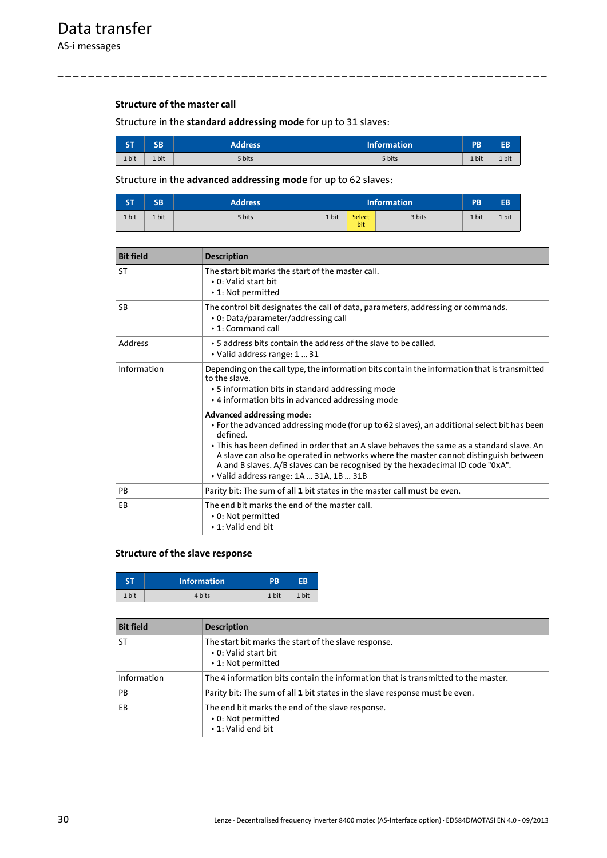#### **Structure of the master call**

Structure in the **standard addressing mode** for up to 31 slaves:

| <b>CT</b><br>DТ | <b>SB</b> | <b>Address</b> | <b>Information</b> | <b>PB</b> |       |
|-----------------|-----------|----------------|--------------------|-----------|-------|
| 1 bit           | 1 bit     | 5 bits         | 5 bits             | 1 bit     | 1 bit |

\_ \_ \_ \_ \_ \_ \_ \_ \_ \_ \_ \_ \_ \_ \_ \_ \_ \_ \_ \_ \_ \_ \_ \_ \_ \_ \_ \_ \_ \_ \_ \_ \_ \_ \_ \_ \_ \_ \_ \_ \_ \_ \_ \_ \_ \_ \_ \_ \_ \_ \_ \_ \_ \_ \_ \_ \_ \_ \_ \_ \_ \_ \_ \_

#### Structure in the **advanced addressing mode** for up to 62 slaves:

| <b>ST</b> | <b>SB</b> | <b>Address</b> |       |               | <b>Information</b> | <b>PB</b> | EB    |
|-----------|-----------|----------------|-------|---------------|--------------------|-----------|-------|
| 1 bit     | 1 bit     | 5 bits         | 1 bit | Select<br>bit | 3 bits             | 1 bit     | 1 bit |

| <b>Bit field</b> | <b>Description</b>                                                                                                                                                                                                                                                                                                                                                                                                                                           |  |
|------------------|--------------------------------------------------------------------------------------------------------------------------------------------------------------------------------------------------------------------------------------------------------------------------------------------------------------------------------------------------------------------------------------------------------------------------------------------------------------|--|
| <b>ST</b>        | The start bit marks the start of the master call.<br>• 0: Valid start bit<br>• 1: Not permitted                                                                                                                                                                                                                                                                                                                                                              |  |
| SB               | The control bit designates the call of data, parameters, addressing or commands.<br>• 0: Data/parameter/addressing call<br>• 1: Command call                                                                                                                                                                                                                                                                                                                 |  |
| Address          | • 5 address bits contain the address of the slave to be called.<br>• Valid address range: 1  31                                                                                                                                                                                                                                                                                                                                                              |  |
| Information      | Depending on the call type, the information bits contain the information that is transmitted<br>to the slave.<br>• 5 information bits in standard addressing mode<br>• 4 information bits in advanced addressing mode                                                                                                                                                                                                                                        |  |
|                  | <b>Advanced addressing mode:</b><br>• For the advanced addressing mode (for up to 62 slaves), an additional select bit has been<br>defined<br>• This has been defined in order that an A slave behaves the same as a standard slave. An<br>A slave can also be operated in networks where the master cannot distinguish between<br>A and B slaves. A/B slaves can be recognised by the hexadecimal ID code "0xA".<br>· Valid address range: 1A  31A, 1B  31B |  |
| PB               | Parity bit: The sum of all 1 bit states in the master call must be even.                                                                                                                                                                                                                                                                                                                                                                                     |  |
| EB               | The end bit marks the end of the master call.<br>• 0: Not permitted<br>• 1: Valid end bit                                                                                                                                                                                                                                                                                                                                                                    |  |

#### **Structure of the slave response**

|       | <b>Information</b> | PB    | FR    |
|-------|--------------------|-------|-------|
| 1 bit | 4 bits             | 1 bit | 1 bit |

| <b>Bit field</b> | <b>Description</b>                                                                                 |
|------------------|----------------------------------------------------------------------------------------------------|
| <b>ST</b>        | The start bit marks the start of the slave response.<br>• 0: Valid start bit<br>• 1: Not permitted |
| Information      | The 4 information bits contain the information that is transmitted to the master.                  |
| <b>PB</b>        | Parity bit: The sum of all 1 bit states in the slave response must be even.                        |
| EB               | The end bit marks the end of the slave response.<br>• 0: Not permitted<br>• 1: Valid end bit       |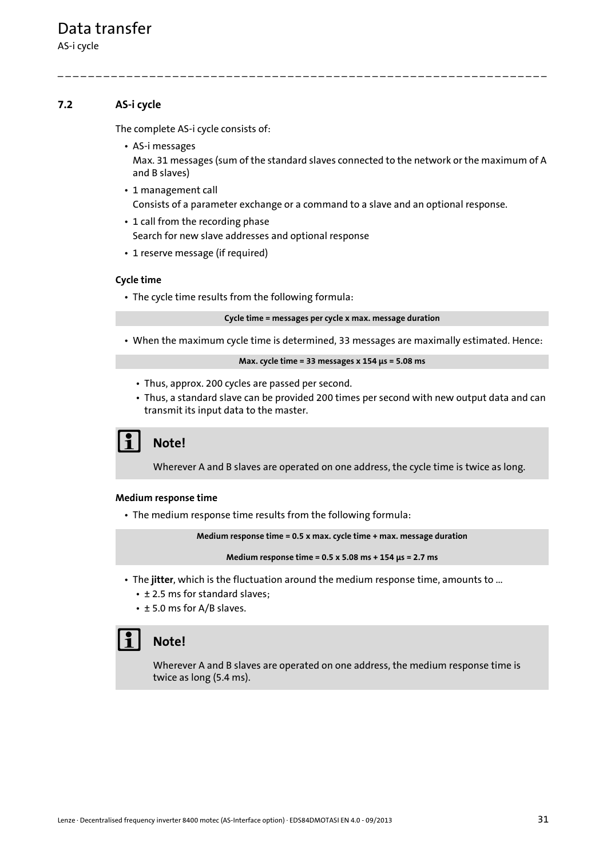AS-i cycle

#### <span id="page-30-0"></span>**7.2 AS-i cycle**

<span id="page-30-1"></span>The complete AS-i cycle consists of:

- AS-i messages Max. 31 messages (sum of the standard slaves connected to the network or the maximum of A and B slaves)
- 1 management call Consists of a parameter exchange or a command to a slave and an optional response.

\_ \_ \_ \_ \_ \_ \_ \_ \_ \_ \_ \_ \_ \_ \_ \_ \_ \_ \_ \_ \_ \_ \_ \_ \_ \_ \_ \_ \_ \_ \_ \_ \_ \_ \_ \_ \_ \_ \_ \_ \_ \_ \_ \_ \_ \_ \_ \_ \_ \_ \_ \_ \_ \_ \_ \_ \_ \_ \_ \_ \_ \_ \_ \_

- 1 call from the recording phase Search for new slave addresses and optional response
- 1 reserve message (if required)

#### **Cycle time**

• The cycle time results from the following formula:

**Cycle time = messages per cycle x max. message duration**

• When the maximum cycle time is determined, 33 messages are maximally estimated. Hence:

```
Max. cycle time = 33 messages x 154 μs = 5.08 ms
```
- Thus, approx. 200 cycles are passed per second.
- Thus, a standard slave can be provided 200 times per second with new output data and can transmit its input data to the master.

## **Note!**

Wherever A and B slaves are operated on one address, the cycle time is twice as long.

#### **Medium response time**

• The medium response time results from the following formula:

**Medium response time = 0.5 x max. cycle time + max. message duration**

**Medium response time = 0.5 x 5.08 ms + 154 μs = 2.7 ms**

- The **jitter**, which is the fluctuation around the medium response time, amounts to ...
	- ± 2.5 ms for standard slaves;
	- ± 5.0 ms for A/B slaves.

## **Note!**

Wherever A and B slaves are operated on one address, the medium response time is twice as long (5.4 ms).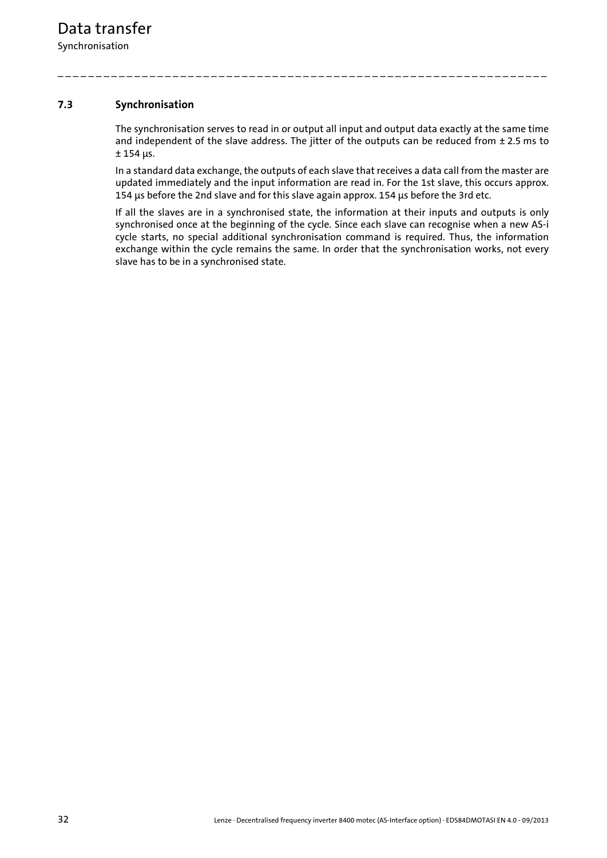#### <span id="page-31-0"></span>**7.3 Synchronisation**

<span id="page-31-1"></span>The synchronisation serves to read in or output all input and output data exactly at the same time and independent of the slave address. The jitter of the outputs can be reduced from ± 2.5 ms to ± 154 μs.

\_ \_ \_ \_ \_ \_ \_ \_ \_ \_ \_ \_ \_ \_ \_ \_ \_ \_ \_ \_ \_ \_ \_ \_ \_ \_ \_ \_ \_ \_ \_ \_ \_ \_ \_ \_ \_ \_ \_ \_ \_ \_ \_ \_ \_ \_ \_ \_ \_ \_ \_ \_ \_ \_ \_ \_ \_ \_ \_ \_ \_ \_ \_ \_

In a standard data exchange, the outputs of each slave that receives a data call from the master are updated immediately and the input information are read in. For the 1st slave, this occurs approx. 154 μs before the 2nd slave and for this slave again approx. 154 μs before the 3rd etc.

If all the slaves are in a synchronised state, the information at their inputs and outputs is only synchronised once at the beginning of the cycle. Since each slave can recognise when a new AS-i cycle starts, no special additional synchronisation command is required. Thus, the information exchange within the cycle remains the same. In order that the synchronisation works, not every slave has to be in a synchronised state.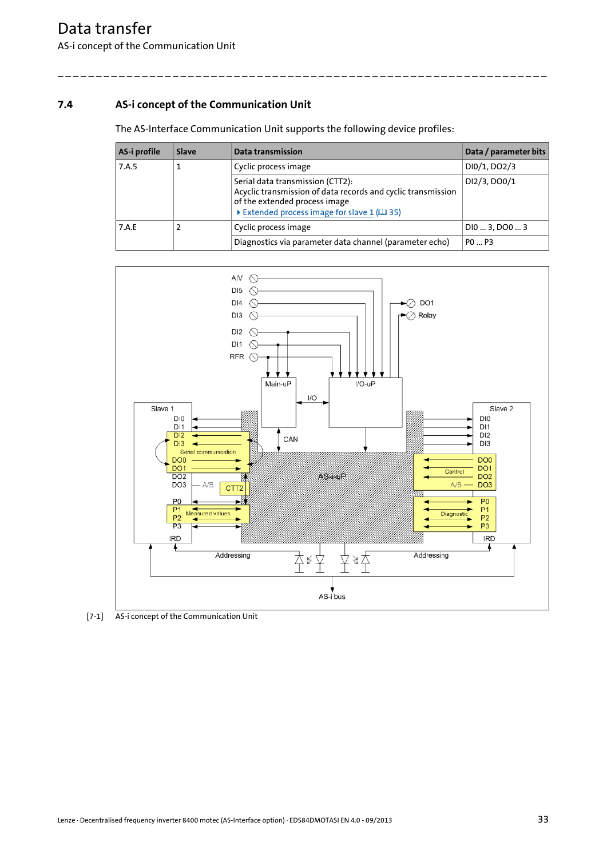#### <span id="page-32-0"></span>**7.4 AS-i concept of the Communication Unit**

<span id="page-32-1"></span>The AS-Interface Communication Unit supports the following device profiles:

| AS-i profile | Slave | Data transmission                                                                                                                                                               | Data / parameter bits |
|--------------|-------|---------------------------------------------------------------------------------------------------------------------------------------------------------------------------------|-----------------------|
| 7.A.5        |       | Cyclic process image                                                                                                                                                            | DI0/1, DO2/3          |
|              |       | Serial data transmission (CTT2):<br>Acyclic transmission of data records and cyclic transmission<br>of the extended process image<br>Extended process image for slave 1 (49 35) | DI2/3, DO0/1          |
| 7.A.E        |       | Cyclic process image                                                                                                                                                            | D103, D003            |
|              |       | Diagnostics via parameter data channel (parameter echo)                                                                                                                         | $P0 \dots P3$         |



[7-1] AS-i concept of the Communication Unit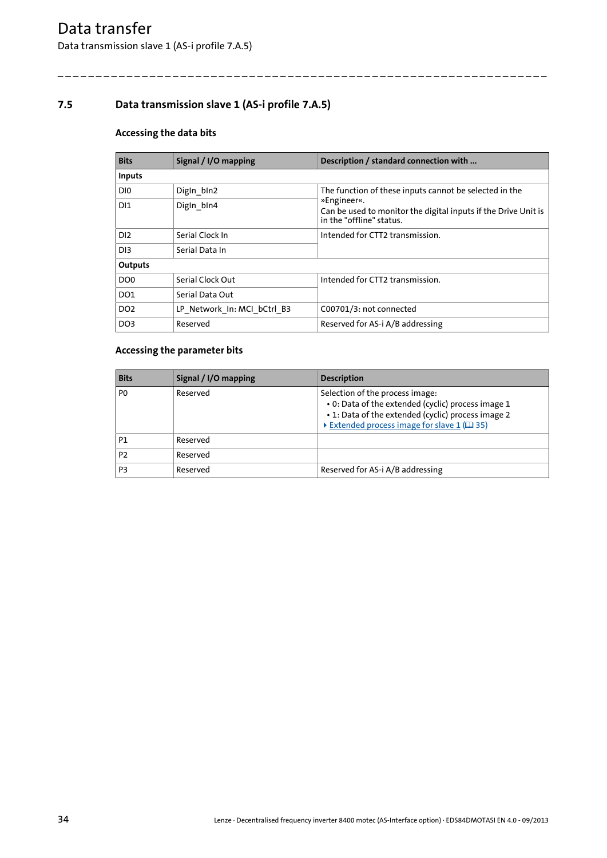#### <span id="page-33-0"></span>**7.5 Data transmission slave 1 (AS-i profile 7.A.5)**

#### **Accessing the data bits**

| <b>Bits</b>     | Signal / I/O mapping        | Description / standard connection with                                                                    |  |
|-----------------|-----------------------------|-----------------------------------------------------------------------------------------------------------|--|
| Inputs          |                             |                                                                                                           |  |
| DI0             | Digln bln2                  | The function of these inputs cannot be selected in the                                                    |  |
| D <sub>1</sub>  | Digin_bin4                  | »Engineer«.<br>Can be used to monitor the digital inputs if the Drive Unit is<br>in the "offline" status. |  |
| D <sub>12</sub> | Serial Clock In             | Intended for CTT2 transmission.                                                                           |  |
| D <sub>13</sub> | Serial Data In              |                                                                                                           |  |
| Outputs         |                             |                                                                                                           |  |
| DO <sub>0</sub> | Serial Clock Out            | Intended for CTT2 transmission.                                                                           |  |
| DO1             | Serial Data Out             |                                                                                                           |  |
| DO <sub>2</sub> | LP Network In: MCI bCtrl B3 | C00701/3: not connected                                                                                   |  |
| DO <sub>3</sub> | Reserved                    | Reserved for AS-i A/B addressing                                                                          |  |

\_ \_ \_ \_ \_ \_ \_ \_ \_ \_ \_ \_ \_ \_ \_ \_ \_ \_ \_ \_ \_ \_ \_ \_ \_ \_ \_ \_ \_ \_ \_ \_ \_ \_ \_ \_ \_ \_ \_ \_ \_ \_ \_ \_ \_ \_ \_ \_ \_ \_ \_ \_ \_ \_ \_ \_ \_ \_ \_ \_ \_ \_ \_ \_

#### **Accessing the parameter bits**

| <b>Bits</b>    | Signal / I/O mapping | <b>Description</b>                                                                                                                                                                      |
|----------------|----------------------|-----------------------------------------------------------------------------------------------------------------------------------------------------------------------------------------|
| P <sub>0</sub> | Reserved             | Selection of the process image:<br>. 0: Data of the extended (cyclic) process image 1<br>• 1: Data of the extended (cyclic) process image 2<br>Extended process image for slave 1 (135) |
| P1             | Reserved             |                                                                                                                                                                                         |
| P <sub>2</sub> | Reserved             |                                                                                                                                                                                         |
| P <sub>3</sub> | Reserved             | Reserved for AS-i A/B addressing                                                                                                                                                        |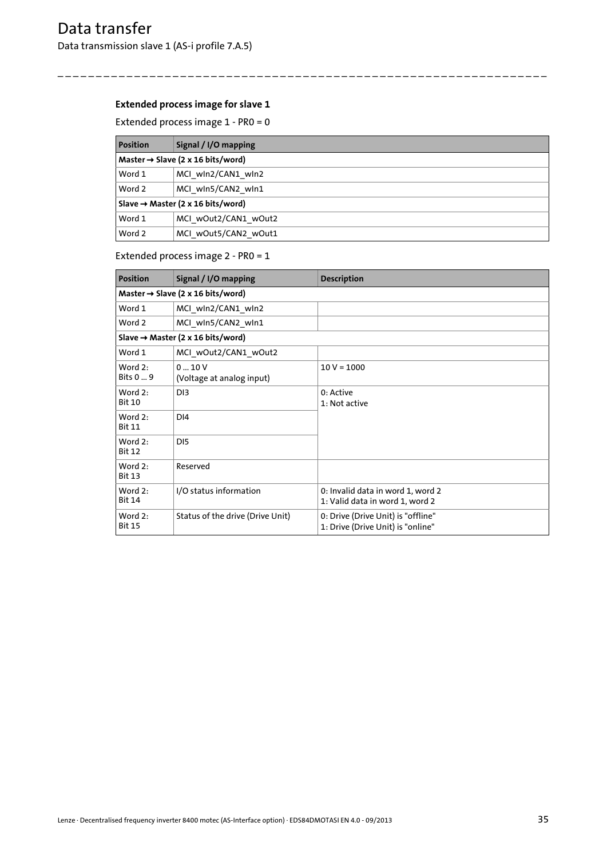#### <span id="page-34-0"></span>**Extended process image for slave 1**

Extended process image 1 - PR0 = 0

| <b>Position</b>                               | Signal / I/O mapping |  |  |
|-----------------------------------------------|----------------------|--|--|
| Master $\rightarrow$ Slave (2 x 16 bits/word) |                      |  |  |
| Word 1                                        | MCI wln2/CAN1 wln2   |  |  |
| Word 2                                        | MCI win5/CAN2 win1   |  |  |
| Slave $\rightarrow$ Master (2 x 16 bits/word) |                      |  |  |
| Word 1                                        | MCI wOut2/CAN1 wOut2 |  |  |
| Word 2                                        | MCI wOut5/CAN2 wOut1 |  |  |

\_ \_ \_ \_ \_ \_ \_ \_ \_ \_ \_ \_ \_ \_ \_ \_ \_ \_ \_ \_ \_ \_ \_ \_ \_ \_ \_ \_ \_ \_ \_ \_ \_ \_ \_ \_ \_ \_ \_ \_ \_ \_ \_ \_ \_ \_ \_ \_ \_ \_ \_ \_ \_ \_ \_ \_ \_ \_ \_ \_ \_ \_ \_ \_

#### Extended process image 2 - PR0 = 1

| <b>Position</b>                               | Signal / I/O mapping                          | <b>Description</b>                                                      |
|-----------------------------------------------|-----------------------------------------------|-------------------------------------------------------------------------|
| Master $\rightarrow$ Slave (2 x 16 bits/word) |                                               |                                                                         |
| Word 1                                        | MCI wln2/CAN1 wln2                            |                                                                         |
| Word 2                                        | MCI win5/CAN2 win1                            |                                                                         |
|                                               | Slave $\rightarrow$ Master (2 x 16 bits/word) |                                                                         |
| Word 1                                        | MCI wOut2/CAN1 wOut2                          |                                                                         |
| Word 2:<br>Bits 0  9                          | 0.10V<br>(Voltage at analog input)            | $10 V = 1000$                                                           |
| Word $2:$<br><b>Bit 10</b>                    | D <sub>13</sub>                               | 0: Active<br>1: Not active                                              |
| Word 2:<br><b>Bit 11</b>                      | DI <sub>4</sub>                               |                                                                         |
| Word $2:$<br><b>Bit 12</b>                    | D <sub>15</sub>                               |                                                                         |
| Word 2:<br><b>Bit 13</b>                      | Reserved                                      |                                                                         |
| Word $2:$<br><b>Bit 14</b>                    | I/O status information                        | 0: Invalid data in word 1, word 2<br>1: Valid data in word 1, word 2    |
| Word 2:<br><b>Bit 15</b>                      | Status of the drive (Drive Unit)              | 0: Drive (Drive Unit) is "offline"<br>1: Drive (Drive Unit) is "online" |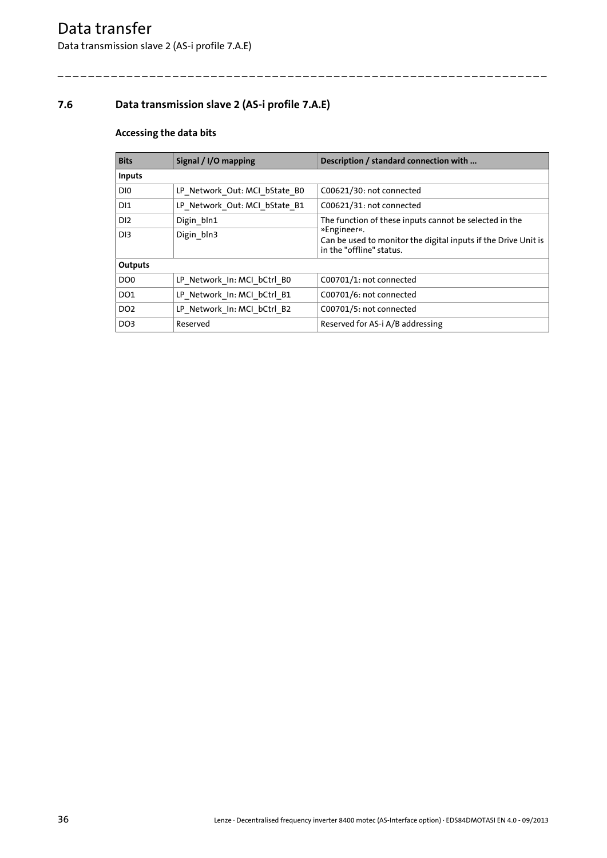#### <span id="page-35-0"></span>**7.6 Data transmission slave 2 (AS-i profile 7.A.E)**

#### **Accessing the data bits**

| <b>Bits</b>     | Signal / I/O mapping          | Description / standard connection with                                                                    |  |
|-----------------|-------------------------------|-----------------------------------------------------------------------------------------------------------|--|
| Inputs          |                               |                                                                                                           |  |
| DI0             | LP Network Out: MCI bState B0 | C00621/30: not connected                                                                                  |  |
| DI <sub>1</sub> | LP Network Out: MCI bState B1 | C00621/31: not connected                                                                                  |  |
| D <sub>12</sub> | Digin bln1                    | The function of these inputs cannot be selected in the                                                    |  |
| D <sub>13</sub> | Digin_bln3                    | »Engineer«.<br>Can be used to monitor the digital inputs if the Drive Unit is<br>in the "offline" status. |  |
| Outputs         |                               |                                                                                                           |  |
| DO <sub>0</sub> | LP Network In: MCI bCtrl B0   | C00701/1: not connected                                                                                   |  |
| DO1             | LP Network In: MCI bCtrl B1   | C00701/6: not connected                                                                                   |  |
| DO <sub>2</sub> | LP Network In: MCI bCtrl B2   | C00701/5: not connected                                                                                   |  |
| DO <sub>3</sub> | Reserved                      | Reserved for AS-i A/B addressing                                                                          |  |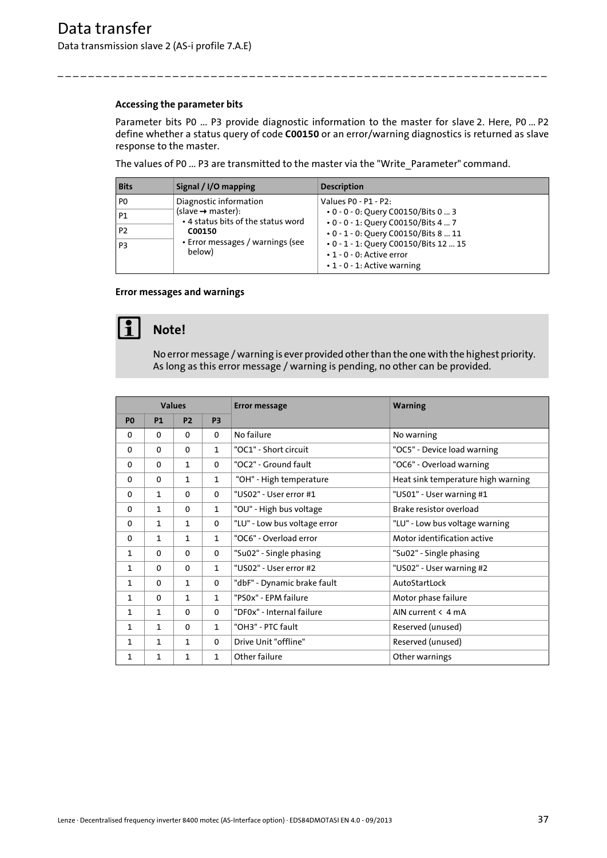### <span id="page-36-2"></span>**Accessing the parameter bits**

<span id="page-36-0"></span>Parameter bits P0 ... P3 provide diagnostic information to the master for slave 2. Here, P0 ... P2 define whether a status query of code **C00150** or an error/warning diagnostics is returned as slave response to the master.

The values of P0 ... P3 are transmitted to the master via the "Write\_Parameter" command.

\_ \_ \_ \_ \_ \_ \_ \_ \_ \_ \_ \_ \_ \_ \_ \_ \_ \_ \_ \_ \_ \_ \_ \_ \_ \_ \_ \_ \_ \_ \_ \_ \_ \_ \_ \_ \_ \_ \_ \_ \_ \_ \_ \_ \_ \_ \_ \_ \_ \_ \_ \_ \_ \_ \_ \_ \_ \_ \_ \_ \_ \_ \_ \_

| <b>Bits</b>    | Signal / I/O mapping                                                                                                                                                  | <b>Description</b>                                                                                                                         |
|----------------|-----------------------------------------------------------------------------------------------------------------------------------------------------------------------|--------------------------------------------------------------------------------------------------------------------------------------------|
| P <sub>0</sub> | Diagnostic information<br>$(s \mid s \mid \rightarrow \text{master})$ :<br>• 4 status bits of the status word<br>C00150<br>• Error messages / warnings (see<br>below) | Values P0 - P1 - P2:<br>• 0 - 0 - 0: Ouery C00150/Bits 0  3<br>• 0 - 0 - 1: Query C00150/Bits 4  7<br>• 0 - 1 - 0: Query C00150/Bits 8  11 |
| <b>P1</b>      |                                                                                                                                                                       |                                                                                                                                            |
| P <sub>2</sub> |                                                                                                                                                                       |                                                                                                                                            |
| P <sub>3</sub> |                                                                                                                                                                       | • 0 - 1 - 1: Query C00150/Bits 12  15<br>$\cdot$ 1 - 0 - 0: Active error<br>$\cdot$ 1 - 0 - 1: Active warning                              |

### <span id="page-36-1"></span>**Error messages and warnings**



## **Note!**

No error message / warning is ever provided other than the one with the highest priority. As long as this error message / warning is pending, no other can be provided.

| <b>Values</b>  |              |              | <b>Error message</b> | <b>Warning</b>               |                                    |
|----------------|--------------|--------------|----------------------|------------------------------|------------------------------------|
| P <sub>0</sub> | <b>P1</b>    | <b>P2</b>    | P <sub>3</sub>       |                              |                                    |
| $\mathbf{0}$   | $\mathbf{0}$ | $\Omega$     | $\Omega$             | No failure                   | No warning                         |
| $\mathbf{0}$   | $\Omega$     | $\Omega$     | $\mathbf{1}$         | "OC1" - Short circuit        | "OC5" - Device load warning        |
| 0              | $\mathbf{0}$ | 1            | $\Omega$             | "OC2" - Ground fault         | "OC6" - Overload warning           |
| $\mathbf{0}$   | $\Omega$     | 1            | $\mathbf{1}$         | "OH" - High temperature      | Heat sink temperature high warning |
| 0              | $\mathbf{1}$ | $\mathbf{0}$ | $\Omega$             | "US02" - User error #1       | "US01" - User warning #1           |
| 0              | $\mathbf{1}$ | $\mathbf{0}$ | $\mathbf{1}$         | "OU" - High bus voltage      | Brake resistor overload            |
| $\mathbf{0}$   | $\mathbf{1}$ | $\mathbf{1}$ | $\Omega$             | "LU" - Low bus voltage error | "LU" - Low bus voltage warning     |
| $\mathbf{0}$   | $\mathbf{1}$ | $\mathbf{1}$ | $\mathbf{1}$         | "OC6" - Overload error       | Motor identification active        |
| $\mathbf{1}$   | $\Omega$     | $\Omega$     | 0                    | "Su02" - Single phasing      | "Su02" - Single phasing            |
| $\mathbf{1}$   | $\mathbf{0}$ | $\mathbf{0}$ | $\mathbf{1}$         | "US02" - User error #2       | "US02" - User warning #2           |
| 1              | $\mathbf{0}$ | 1            | 0                    | "dbF" - Dynamic brake fault  | AutoStartLock                      |
| 1              | $\mathbf{0}$ | $\mathbf{1}$ | $\mathbf{1}$         | "PS0x" - EPM failure         | Motor phase failure                |
| $\mathbf{1}$   | $\mathbf{1}$ | $\mathbf{0}$ | $\Omega$             | "DF0x" - Internal failure    | AIN current $\leq 4$ mA            |
| 1              | 1            | $\mathbf{0}$ | $\mathbf{1}$         | "OH3" - PTC fault            | Reserved (unused)                  |
| $\mathbf{1}$   | $\mathbf{1}$ | 1            | 0                    | Drive Unit "offline"         | Reserved (unused)                  |
| 1              | 1            | $\mathbf{1}$ | $\mathbf{1}$         | Other failure                | Other warnings                     |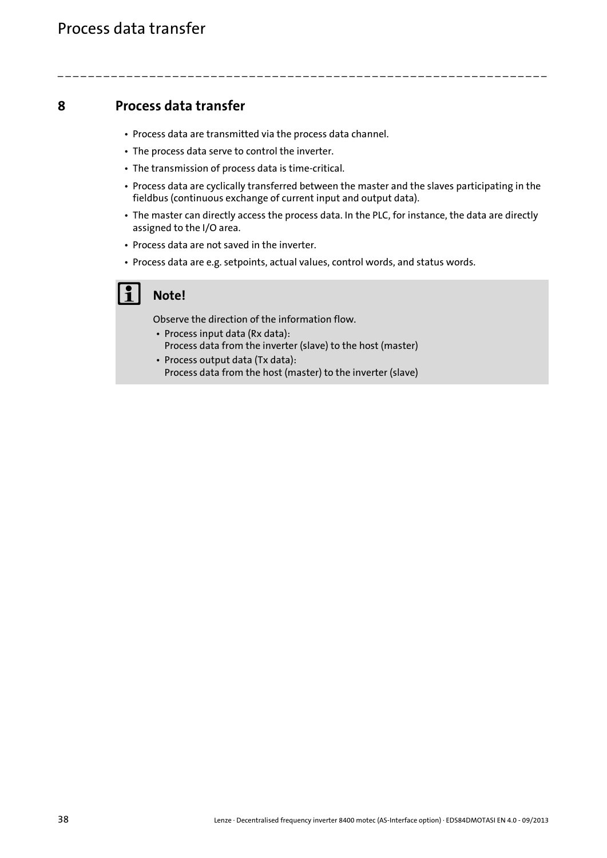- <span id="page-37-1"></span><span id="page-37-0"></span>• Process data are transmitted via the process data channel.
- The process data serve to control the inverter.
- The transmission of process data is time-critical.
- Process data are cyclically transferred between the master and the slaves participating in the fieldbus (continuous exchange of current input and output data).
- The master can directly access the process data. In the PLC, for instance, the data are directly assigned to the I/O area.
- Process data are not saved in the inverter.
- Process data are e.g. setpoints, actual values, control words, and status words.

\_ \_ \_ \_ \_ \_ \_ \_ \_ \_ \_ \_ \_ \_ \_ \_ \_ \_ \_ \_ \_ \_ \_ \_ \_ \_ \_ \_ \_ \_ \_ \_ \_ \_ \_ \_ \_ \_ \_ \_ \_ \_ \_ \_ \_ \_ \_ \_ \_ \_ \_ \_ \_ \_ \_ \_ \_ \_ \_ \_ \_ \_ \_ \_

## **Note!**

Observe the direction of the information flow.

- Process input data (Rx data): Process data from the inverter (slave) to the host (master)
- Process output data (Tx data): Process data from the host (master) to the inverter (slave)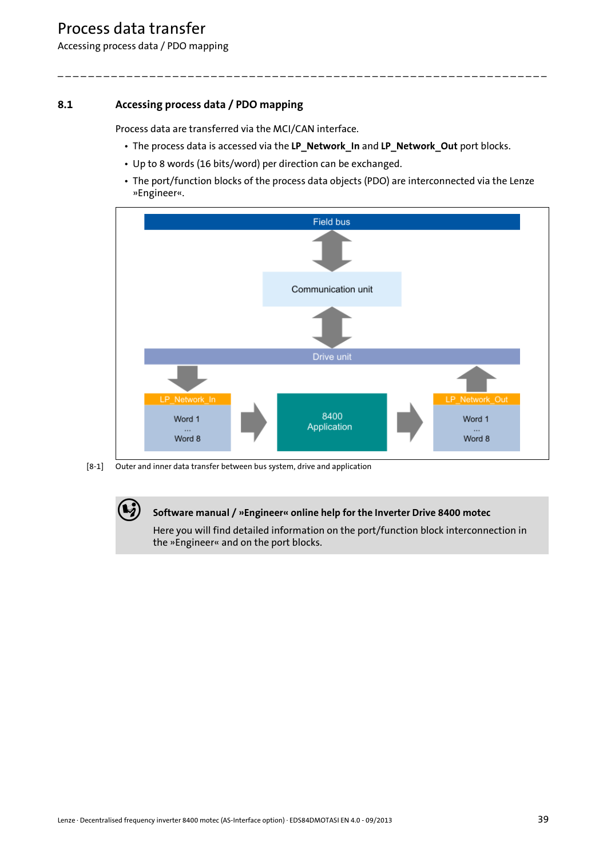Accessing process data / PDO mapping

## **8.1 Accessing process data / PDO mapping**

<span id="page-38-0"></span>Process data are transferred via the MCI/CAN interface.

<span id="page-38-1"></span>• The process data is accessed via the **LP\_Network\_In** and **LP\_Network\_Out** port blocks.

\_ \_ \_ \_ \_ \_ \_ \_ \_ \_ \_ \_ \_ \_ \_ \_ \_ \_ \_ \_ \_ \_ \_ \_ \_ \_ \_ \_ \_ \_ \_ \_ \_ \_ \_ \_ \_ \_ \_ \_ \_ \_ \_ \_ \_ \_ \_ \_ \_ \_ \_ \_ \_ \_ \_ \_ \_ \_ \_ \_ \_ \_ \_ \_

- Up to 8 words (16 bits/word) per direction can be exchanged.
- The port/function blocks of the process data objects (PDO) are interconnected via the Lenze »Engineer«.



[8-1] Outer and inner data transfer between bus system, drive and application

### **Software manual / »Engineer« online help for the Inverter Drive 8400 motec**

Here you will find detailed information on the port/function block interconnection in the »Engineer« and on the port blocks.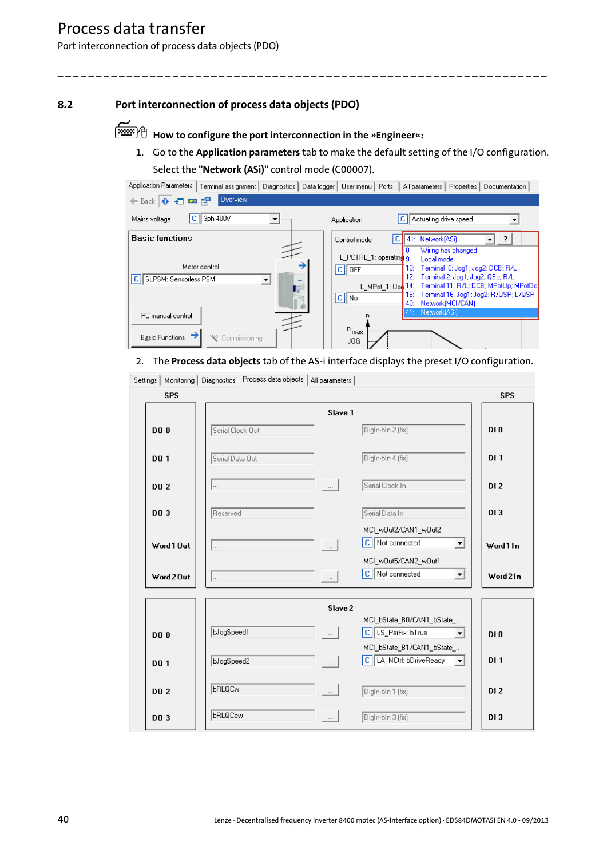Port interconnection of process data objects (PDO)

## **8.2 Port interconnection of process data objects (PDO)**

<span id="page-39-2"></span>**How to configure the port interconnection in the »Engineer«:**

\_ \_ \_ \_ \_ \_ \_ \_ \_ \_ \_ \_ \_ \_ \_ \_ \_ \_ \_ \_ \_ \_ \_ \_ \_ \_ \_ \_ \_ \_ \_ \_ \_ \_ \_ \_ \_ \_ \_ \_ \_ \_ \_ \_ \_ \_ \_ \_ \_ \_ \_ \_ \_ \_ \_ \_ \_ \_ \_ \_ \_ \_ \_ \_

<span id="page-39-1"></span><span id="page-39-0"></span>1. Go to the **Application parameters** tab to make the default setting of the I/O configuration. Select the **"Network (ASi)"** control mode (C00007).

| Application Parameters<br>Terminal assignment                                                         | Diagnostics   Data logger   User menu   Ports<br>All parameters   Properties   Documentation                                                                                                                                                                                                                                           |
|-------------------------------------------------------------------------------------------------------|----------------------------------------------------------------------------------------------------------------------------------------------------------------------------------------------------------------------------------------------------------------------------------------------------------------------------------------|
| Overview<br>$\leftarrow$ Back $\left \bullet\right\rangle$ $\leftarrow$ $\blacksquare$ $\blacksquare$ |                                                                                                                                                                                                                                                                                                                                        |
| 3ph 400V<br>c<br>Mains voltage                                                                        | C   Actuating drive speed<br>Application                                                                                                                                                                                                                                                                                               |
| <b>Basic functions</b>                                                                                | сI<br>41: Network[ASi]<br>?<br>Control mode                                                                                                                                                                                                                                                                                            |
| Motor control<br> c <br>SLPSM: Sensorless PSM<br>PC manual control                                    | Wiring has changed<br>L_PCTRL_1: operating 9<br>Local mode<br>Terminal 0: Jog1; Jog2; DCB; R/L<br>10:<br>$ C $ OFF<br>Terminal 2: Jog1; Jog2; QSp; R/L<br>12:<br>Terminal 11: R/L; DCB; MPotUp; MPotDol<br>L MPot 1: Use $14$ :<br>Terminal 16: Jog1; Jog2; R/QSP; L/QSP<br>16:<br>$ C $ No<br>Network(MCI/CAN)<br>40:<br>Network[ASi] |
| <b>Basic Functions</b><br>Commissioning                                                               | $n_{\text{max}}$<br>JOG.                                                                                                                                                                                                                                                                                                               |

### <span id="page-39-3"></span>2. The **Process data objects** tab of the AS-i interface displays the preset I/O configuration.

| <b>SPS</b>  | operation is a larger company of the company of the set of the set of the set of the set of the set of the set of the set of the set of the set of the set of the set of the set of the set of the set of the set of the set o |                                                                                                                                |                                                          | <b>SPS</b>      |
|-------------|--------------------------------------------------------------------------------------------------------------------------------------------------------------------------------------------------------------------------------|--------------------------------------------------------------------------------------------------------------------------------|----------------------------------------------------------|-----------------|
| <b>DO0</b>  | Serial Clock Out                                                                                                                                                                                                               | Slave 1                                                                                                                        | Digln-bln 2 (fix)                                        | DI <sub>0</sub> |
| <b>DO 1</b> | Serial Data Out                                                                                                                                                                                                                |                                                                                                                                | Digln-bln 4 (fix)                                        | DI <sub>1</sub> |
| <b>DO 2</b> |                                                                                                                                                                                                                                | $\mathcal{L} = \left\{ \mathbf{r} \in \mathbb{R}^d \mid \mathbf{r} \in \mathbb{R}^d \mid \mathbf{r} \in \mathbb{R}^d \right\}$ | Serial Clock In                                          | DI <sub>2</sub> |
| DO 3        | Reserved                                                                                                                                                                                                                       |                                                                                                                                | Serial Data In                                           | DI 3            |
| Word 1 Out  | $\ $                                                                                                                                                                                                                           | $\Box$                                                                                                                         | MCI_w0ut2/CAN1_w0ut2<br>C Not connected<br>ᅬ             | Word 1 In       |
| Word 20ut   | $\ $                                                                                                                                                                                                                           | - - -                                                                                                                          | MCI_w0ut5/CAN2_w0ut1<br>C Not connected<br>ᅬ             | Word 21n        |
|             |                                                                                                                                                                                                                                | Slave 2                                                                                                                        |                                                          |                 |
| <b>DO0</b>  | bJogSpeed1                                                                                                                                                                                                                     | $\Box$ and                                                                                                                     | MCI_bState_B0/CAN1_bState_                               | DI <sub>0</sub> |
| <b>DO 1</b> | bJogSpeed2                                                                                                                                                                                                                     | — III — I                                                                                                                      | MCI_bState_B1/CAN1_bState_<br>C LA_NCtrl: bDriveReady  - | DI <sub>1</sub> |
| DO 2        | <b>BRLQCw</b>                                                                                                                                                                                                                  | $\left  \begin{array}{c} \dots \end{array} \right $                                                                            | Digln-bln 1 (fix)                                        | DI <sub>2</sub> |
| DO 3        | <b>BRLQCcw</b>                                                                                                                                                                                                                 | $\Box$                                                                                                                         | Digin-bin 3 (fix)                                        | DI3             |

Settings | Monitoring | Diagnostics | Process data objects | All parameters |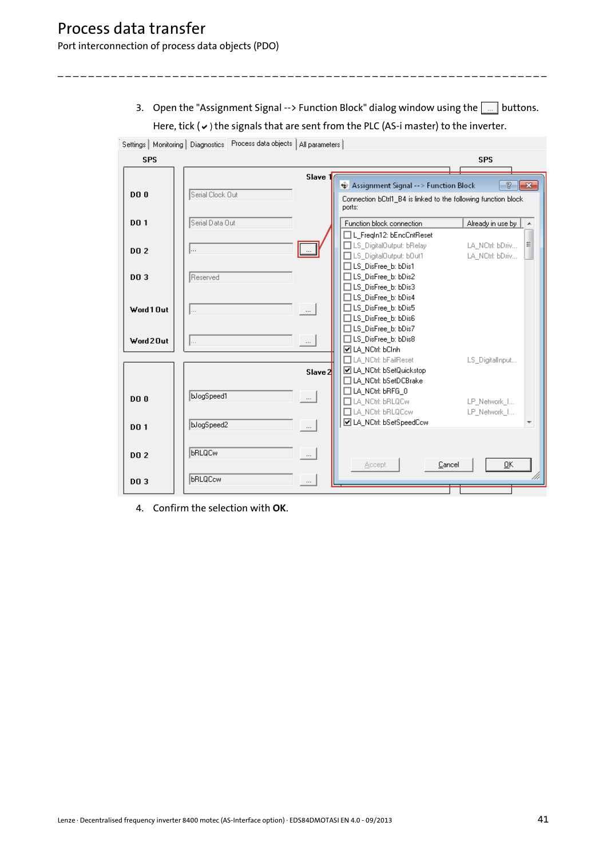Port interconnection of process data objects (PDO)

3. Open the "Assignment Signal --> Function Block" dialog window using the  $\boxed{\dots}$  buttons. Here, tick  $(v)$  the signals that are sent from the PLC (AS-i master) to the inverter.

\_ \_ \_ \_ \_ \_ \_ \_ \_ \_ \_ \_ \_ \_ \_ \_ \_ \_ \_ \_ \_ \_ \_ \_ \_ \_ \_ \_ \_ \_ \_ \_ \_ \_ \_ \_ \_ \_ \_ \_ \_ \_ \_ \_ \_ \_ \_ \_ \_ \_ \_ \_ \_ \_ \_ \_ \_ \_ \_ \_ \_ \_ \_ \_

 $\mathbf{r}$ 

|             | Settings   Monitoring   Diagnostics   Process data objects   All parameters |                                                                                                                                                    |
|-------------|-----------------------------------------------------------------------------|----------------------------------------------------------------------------------------------------------------------------------------------------|
| <b>SPS</b>  |                                                                             | <b>SPS</b>                                                                                                                                         |
|             | Slave 1                                                                     | P.<br>$\mathbf{x}$<br>Assignment Signal -- > Function Block                                                                                        |
| <b>DO0</b>  | Serial Clock Out                                                            | Connection bCtrl1_B4 is linked to the following function block<br>ports:                                                                           |
| <b>DO 1</b> | Serial Data Out                                                             | Already in use by<br>Function block connection<br>A                                                                                                |
| DO 2        | <br>$\cdots$                                                                | L_Fregin12: bEncCntReset<br>Ξ<br>LS_DigitalOutput: bRelay<br>LA NCtrl: bDriv<br>LS_DigitalOutput: bOut1<br>LA NCtrl: bDriv<br>□LS_DisFree_b: bDis1 |
| DO 3        | Reserved                                                                    | □LS_DisFree_b: bDis2<br>$\Box$ LS_DisFree_b: bDis3                                                                                                 |
| Word 1 Out  | $\vert \ldots$<br>$\cdots$                                                  | $\Box$ LS DisFree b: bDis4<br>□LS_DisFree_b: bDis5<br>□LS_DisFree_b: bDis6                                                                         |
| Word 2 Out  | <b></b><br>$\cdots$                                                         | □LS_DisFree_b: bDis7<br>□LS_DisFree_b: bDis8<br><b>☑</b> LA_NCtrl: bClnh                                                                           |
|             | Slave 2                                                                     | LA NCtrl: bFailReset<br>LS_DigitalInput<br>☑ LA_NCtrl: bSetQuickstop<br>LA NCtrl: bSetDCBrake                                                      |
| <b>DO0</b>  | bJogSpeed1<br>$\cdots$                                                      | □LA_NCtrl: bRFG_0<br>LA_NCtrl: bRLQCw<br>LP Network I<br>LA_NCtrl: bRLQCcw<br>LP_Network_I                                                         |
| <b>DO1</b>  | bJogSpeed2<br>$\cdots$                                                      | ☑ LA_NCtrl: bSetSpeedCcw<br>$\overline{\phantom{a}}$                                                                                               |
| DO 2        | <b>bRLQCw</b><br>$\cdots$                                                   | QK<br>Cancel<br>Accept                                                                                                                             |
| DO 3        | <b>bRLQCcw</b><br>$\cdots$                                                  |                                                                                                                                                    |

4. Confirm the selection with **OK**.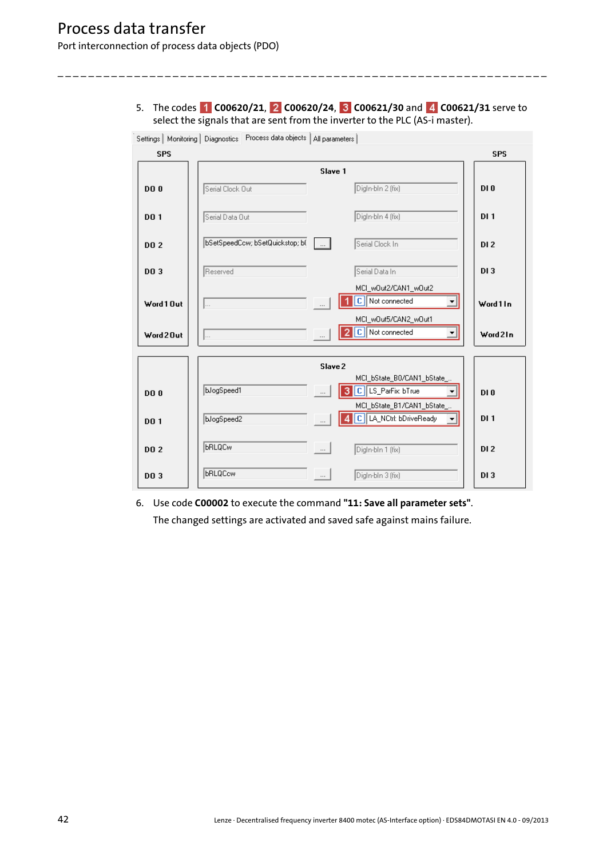5. The codes **C00620/21**, **C00620/24**, **C00621/30** and **C00621/31** serve to select the signals that are sent from the inverter to the PLC (AS-i master).

\_ \_ \_ \_ \_ \_ \_ \_ \_ \_ \_ \_ \_ \_ \_ \_ \_ \_ \_ \_ \_ \_ \_ \_ \_ \_ \_ \_ \_ \_ \_ \_ \_ \_ \_ \_ \_ \_ \_ \_ \_ \_ \_ \_ \_ \_ \_ \_ \_ \_ \_ \_ \_ \_ \_ \_ \_ \_ \_ \_ \_ \_ \_ \_



6. Use code **C00002** to execute the command **"11: Save all parameter sets"**. The changed settings are activated and saved safe against mains failure.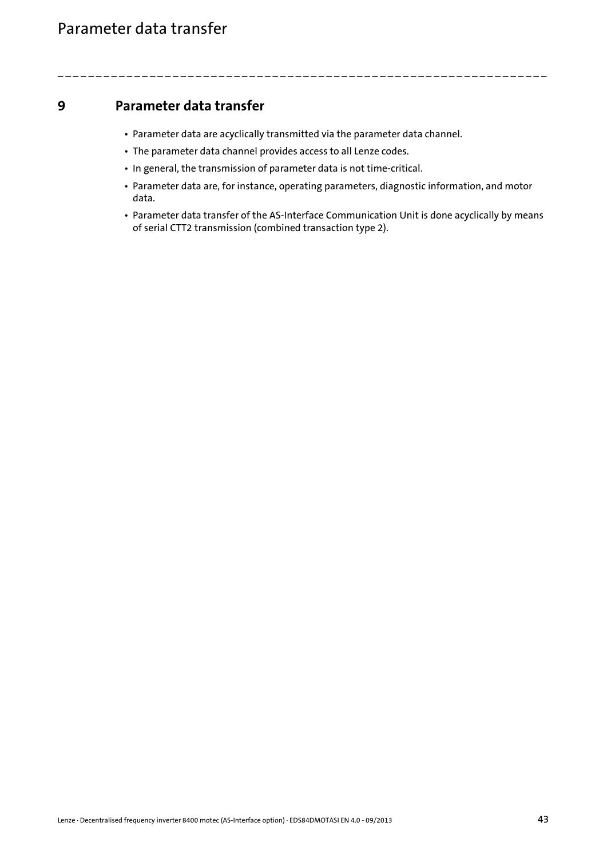- <span id="page-42-1"></span>• Parameter data are acyclically transmitted via the parameter data channel.
- The parameter data channel provides access to all Lenze codes.
- In general, the transmission of parameter data is not time-critical.
- Parameter data are, for instance, operating parameters, diagnostic information, and motor data.

<span id="page-42-0"></span>\_ \_ \_ \_ \_ \_ \_ \_ \_ \_ \_ \_ \_ \_ \_ \_ \_ \_ \_ \_ \_ \_ \_ \_ \_ \_ \_ \_ \_ \_ \_ \_ \_ \_ \_ \_ \_ \_ \_ \_ \_ \_ \_ \_ \_ \_ \_ \_ \_ \_ \_ \_ \_ \_ \_ \_ \_ \_ \_ \_ \_ \_ \_ \_

• Parameter data transfer of the AS-Interface Communication Unit is done acyclically by means of serial CTT2 transmission (combined transaction type 2).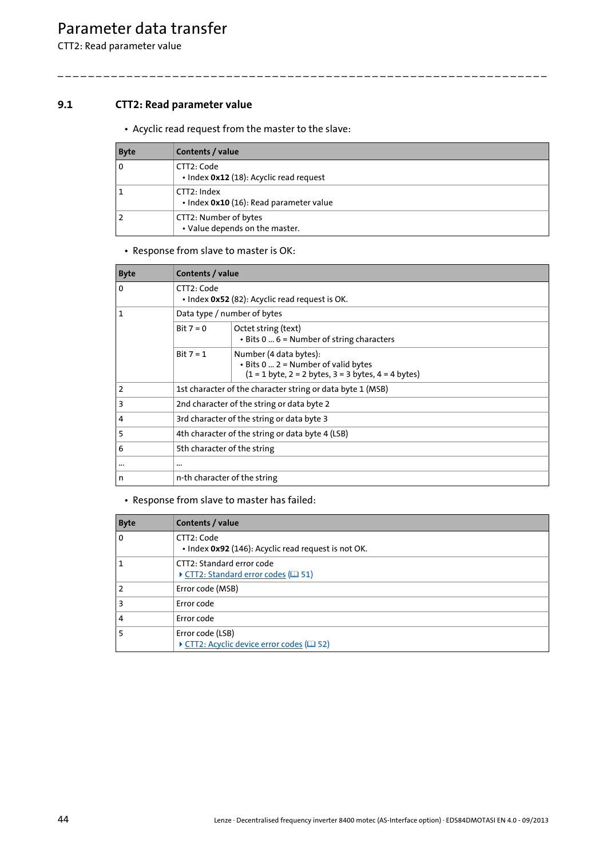CTT2: Read parameter value

## **9.1 CTT2: Read parameter value**

<span id="page-43-0"></span>• Acyclic read request from the master to the slave:

| <b>Byte</b> | Contents / value                                        |
|-------------|---------------------------------------------------------|
| l o         | CTT2: Code<br>. Index 0x12 (18): Acyclic read request   |
| ا 1         | CTT2: Index<br>· Index 0x10 (16): Read parameter value  |
| l 2         | CTT2: Number of bytes<br>• Value depends on the master. |

\_ \_ \_ \_ \_ \_ \_ \_ \_ \_ \_ \_ \_ \_ \_ \_ \_ \_ \_ \_ \_ \_ \_ \_ \_ \_ \_ \_ \_ \_ \_ \_ \_ \_ \_ \_ \_ \_ \_ \_ \_ \_ \_ \_ \_ \_ \_ \_ \_ \_ \_ \_ \_ \_ \_ \_ \_ \_ \_ \_ \_ \_ \_ \_

### • Response from slave to master is OK:

| <b>Byte</b>    | Contents / value                                             |                                                                                                                              |
|----------------|--------------------------------------------------------------|------------------------------------------------------------------------------------------------------------------------------|
| $\mathbf 0$    | CTT2: Code<br>• Index 0x52 (82): Acyclic read request is OK. |                                                                                                                              |
| 1              | Data type / number of bytes                                  |                                                                                                                              |
|                | Bit $7 = 0$                                                  | Octet string (text)<br>• Bits 0  6 = Number of string characters                                                             |
|                | Bit $7 = 1$                                                  | Number (4 data bytes):<br>. Bits 0  2 = Number of valid bytes<br>$(1 = 1$ byte, $2 = 2$ bytes, $3 = 3$ bytes, $4 = 4$ bytes) |
| $\overline{2}$ | 1st character of the character string or data byte 1 (MSB)   |                                                                                                                              |
| 3              | 2nd character of the string or data byte 2                   |                                                                                                                              |
| 4              | 3rd character of the string or data byte 3                   |                                                                                                                              |
| 5              | 4th character of the string or data byte 4 (LSB)             |                                                                                                                              |
| 6              | 5th character of the string                                  |                                                                                                                              |
| $\cdots$       | $\cdots$                                                     |                                                                                                                              |
| n              | n-th character of the string                                 |                                                                                                                              |

| <b>Byte</b>    | Contents / value                                                      |
|----------------|-----------------------------------------------------------------------|
| $\Omega$       | CTT2: Code<br>• Index 0x92 (146): Acyclic read request is not OK.     |
|                | CTT2: Standard error code<br>▶ CTT2: Standard error codes (□ 51)      |
| $\overline{2}$ | Error code (MSB)                                                      |
| 3              | Error code                                                            |
| 4              | Error code                                                            |
|                | Error code (LSB)<br>▶ CTT2: Acyclic device error codes ( <b>E</b> 52) |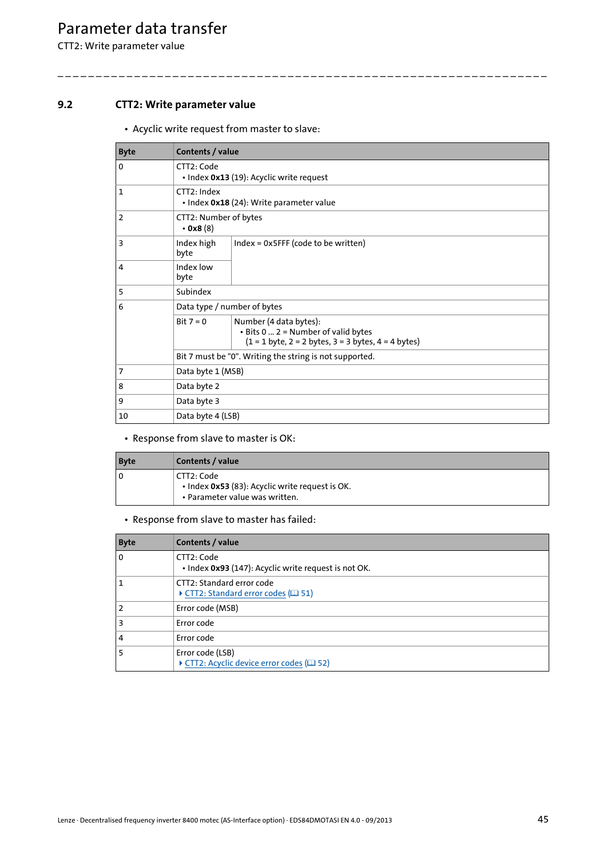CTT2: Write parameter value

## **9.2 CTT2: Write parameter value**

<span id="page-44-0"></span>• Acyclic write request from master to slave:

| <b>Byte</b> | Contents / value                                       |                                                                                                                              |  |  |
|-------------|--------------------------------------------------------|------------------------------------------------------------------------------------------------------------------------------|--|--|
| 0           | CTT2: Code<br>• Index 0x13 (19): Acyclic write request |                                                                                                                              |  |  |
| 1           | CTT2: Index                                            | • Index 0x18 (24): Write parameter value                                                                                     |  |  |
| 2           | $\cdot$ 0x8 (8)                                        | CTT2: Number of bytes                                                                                                        |  |  |
| 3           | Index high<br>byte                                     | $Index = 0x5$ FFF (code to be written)                                                                                       |  |  |
| 4           | Index low<br>byte                                      |                                                                                                                              |  |  |
| 5           | Subindex                                               |                                                                                                                              |  |  |
| 6           |                                                        | Data type / number of bytes                                                                                                  |  |  |
|             | Bit $7 = 0$                                            | Number (4 data bytes):<br>. Bits 0  2 = Number of valid bytes<br>$(1 = 1$ byte, $2 = 2$ bytes, $3 = 3$ bytes, $4 = 4$ bytes) |  |  |
|             |                                                        | Bit 7 must be "0". Writing the string is not supported.                                                                      |  |  |
| 7           | Data byte 1 (MSB)                                      |                                                                                                                              |  |  |
| 8           | Data byte 2                                            |                                                                                                                              |  |  |
| 9           | Data byte 3                                            |                                                                                                                              |  |  |
| 10          | Data byte 4 (LSB)                                      |                                                                                                                              |  |  |

\_ \_ \_ \_ \_ \_ \_ \_ \_ \_ \_ \_ \_ \_ \_ \_ \_ \_ \_ \_ \_ \_ \_ \_ \_ \_ \_ \_ \_ \_ \_ \_ \_ \_ \_ \_ \_ \_ \_ \_ \_ \_ \_ \_ \_ \_ \_ \_ \_ \_ \_ \_ \_ \_ \_ \_ \_ \_ \_ \_ \_ \_ \_ \_

### • Response from slave to master is OK:

| <b>Byte</b> | Contents / value                                                                                  |
|-------------|---------------------------------------------------------------------------------------------------|
| 0           | l CTT2: Code<br>• Index 0x53 (83): Acyclic write request is OK.<br>• Parameter value was written. |

| <b>Byte</b>    | Contents / value                                                   |
|----------------|--------------------------------------------------------------------|
| $\Omega$       | CTT2: Code<br>· Index 0x93 (147): Acyclic write request is not OK. |
|                | CTT2: Standard error code<br>CTT2: Standard error codes (1946)     |
| $\overline{2}$ | Error code (MSB)                                                   |
| 3              | Error code                                                         |
| 4              | Error code                                                         |
|                | Error code (LSB)<br>▶ CTT2: Acyclic device error codes (□ 52)      |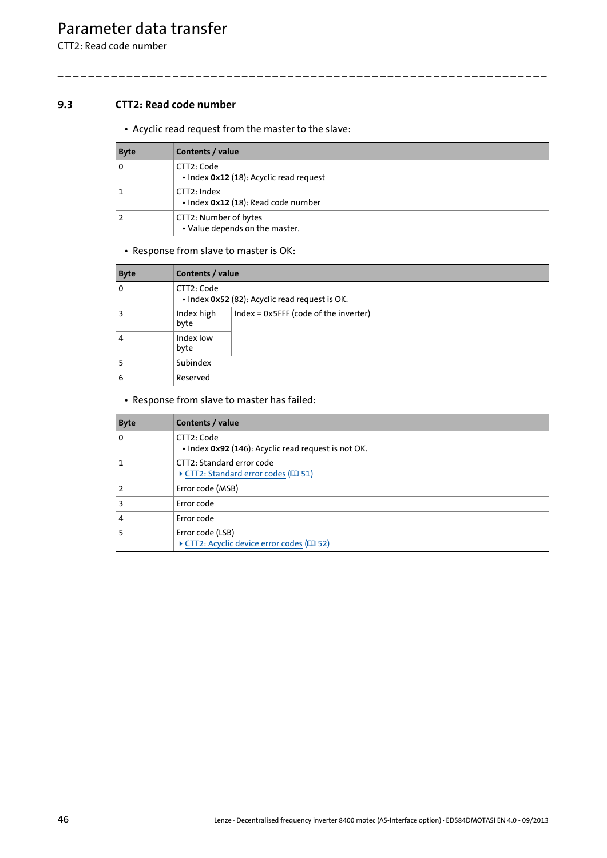CTT2: Read code number

## **9.3 CTT2: Read code number**

<span id="page-45-0"></span>• Acyclic read request from the master to the slave:

| <b>Byte</b> | Contents / value                                        |
|-------------|---------------------------------------------------------|
| l o         | CTT2: Code<br>. Index 0x12 (18): Acyclic read request   |
| ا 1         | CTT2: Index<br>· Index 0x12 (18): Read code number      |
| 2 ا         | CTT2: Number of bytes<br>• Value depends on the master. |

\_ \_ \_ \_ \_ \_ \_ \_ \_ \_ \_ \_ \_ \_ \_ \_ \_ \_ \_ \_ \_ \_ \_ \_ \_ \_ \_ \_ \_ \_ \_ \_ \_ \_ \_ \_ \_ \_ \_ \_ \_ \_ \_ \_ \_ \_ \_ \_ \_ \_ \_ \_ \_ \_ \_ \_ \_ \_ \_ \_ \_ \_ \_ \_

### • Response from slave to master is OK:

| <b>Byte</b> |                    | Contents / value                               |  |
|-------------|--------------------|------------------------------------------------|--|
| 0           | CTT2: Code         | · Index 0x52 (82): Acyclic read request is OK. |  |
| З           | Index high<br>byte | Index = 0x5FFF (code of the inverter)          |  |
| 4           | Index low<br>byte  |                                                |  |
|             | Subindex           |                                                |  |
| 6           | Reserved           |                                                |  |

| <b>Byte</b> | Contents / value                                                  |
|-------------|-------------------------------------------------------------------|
| 0           | CTT2: Code<br>• Index 0x92 (146): Acyclic read request is not OK. |
|             | CTT2: Standard error code<br>▶ CTT2: Standard error codes (□ 51)  |
|             | Error code (MSB)                                                  |
| з           | Error code                                                        |
| 4           | Error code                                                        |
|             | Error code (LSB)<br>▶ CTT2: Acyclic device error codes (□ 52)     |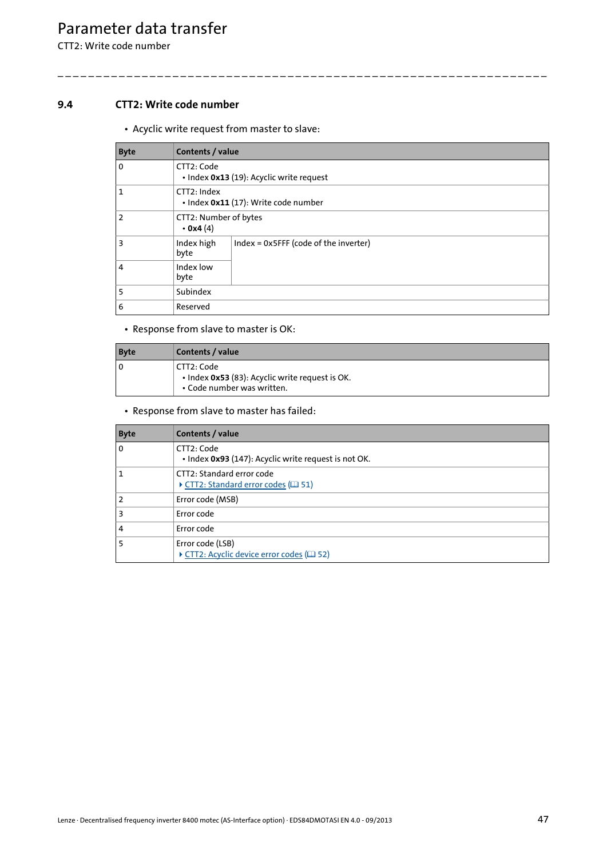CTT2: Write code number

## **9.4 CTT2: Write code number**

<span id="page-46-0"></span>• Acyclic write request from master to slave:

| <b>Byte</b>    | Contents / value                                       |                                       |
|----------------|--------------------------------------------------------|---------------------------------------|
| $\mathbf 0$    | CTT2: Code<br>· Index 0x13 (19): Acyclic write request |                                       |
|                | CTT2: Index<br>· Index 0x11 (17): Write code number    |                                       |
| $\overline{2}$ | CTT2: Number of bytes<br>$\cdot$ 0x4 (4)               |                                       |
| $\overline{3}$ | Index high<br>byte                                     | Index = 0x5FFF (code of the inverter) |
| 4              | Index low<br>byte                                      |                                       |
| 5              | Subindex                                               |                                       |
| 6              | Reserved                                               |                                       |

\_ \_ \_ \_ \_ \_ \_ \_ \_ \_ \_ \_ \_ \_ \_ \_ \_ \_ \_ \_ \_ \_ \_ \_ \_ \_ \_ \_ \_ \_ \_ \_ \_ \_ \_ \_ \_ \_ \_ \_ \_ \_ \_ \_ \_ \_ \_ \_ \_ \_ \_ \_ \_ \_ \_ \_ \_ \_ \_ \_ \_ \_ \_ \_

• Response from slave to master is OK:

| <b>Byte</b> | Contents / value                                                                              |
|-------------|-----------------------------------------------------------------------------------------------|
| 0           | l CTT2: Code<br>• Index 0x53 (83): Acyclic write request is OK.<br>• Code number was written. |

| <b>Byte</b> | Contents / value                                                   |
|-------------|--------------------------------------------------------------------|
| 0           | CTT2: Code<br>• Index 0x93 (147): Acyclic write request is not OK. |
|             | CTT2: Standard error code<br>▶ CTT2: Standard error codes (□ 51)   |
| 2           | Error code (MSB)                                                   |
| з           | Error code                                                         |
| 4           | Error code                                                         |
|             | Error code (LSB)<br>CTT2: Acyclic device error codes (E 52)        |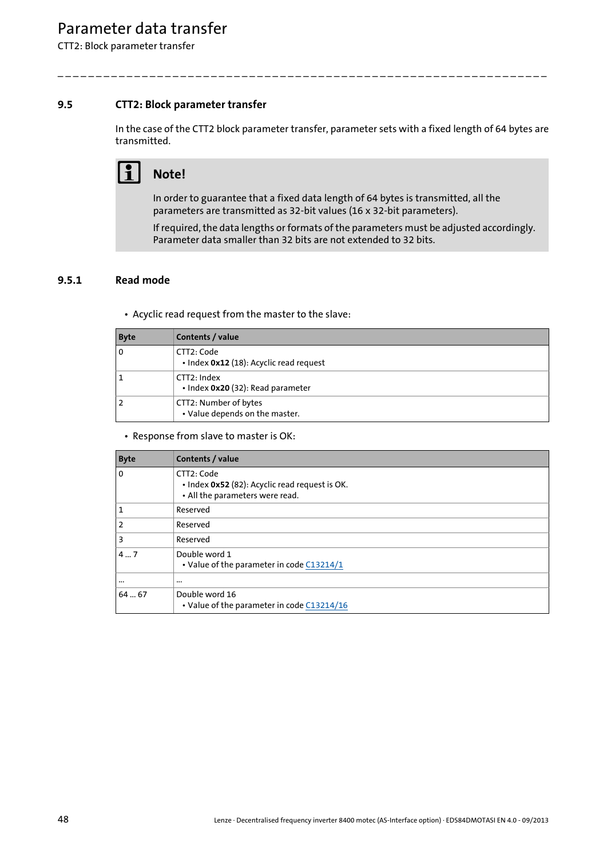CTT2: Block parameter transfer

## **9.5 CTT2: Block parameter transfer**

In the case of the CTT2 block parameter transfer, parameter sets with a fixed length of 64 bytes are transmitted.

\_ \_ \_ \_ \_ \_ \_ \_ \_ \_ \_ \_ \_ \_ \_ \_ \_ \_ \_ \_ \_ \_ \_ \_ \_ \_ \_ \_ \_ \_ \_ \_ \_ \_ \_ \_ \_ \_ \_ \_ \_ \_ \_ \_ \_ \_ \_ \_ \_ \_ \_ \_ \_ \_ \_ \_ \_ \_ \_ \_ \_ \_ \_ \_

# **Note!**

In order to guarantee that a fixed data length of 64 bytes is transmitted, all the parameters are transmitted as 32-bit values (16 x 32-bit parameters).

If required, the data lengths or formats of the parameters must be adjusted accordingly. Parameter data smaller than 32 bits are not extended to 32 bits.

## **9.5.1 Read mode**

<span id="page-47-0"></span>• Acyclic read request from the master to the slave:

| <b>Byte</b> | Contents / value                                        |
|-------------|---------------------------------------------------------|
| l o         | CTT2: Code<br>· Index 0x12 (18): Acyclic read request   |
| ا 1         | CTT2: Index<br>· Index 0x20 (32): Read parameter        |
| 2 ا         | CTT2: Number of bytes<br>• Value depends on the master. |

### • Response from slave to master is OK:

| <b>Byte</b> | Contents / value                                                                                |
|-------------|-------------------------------------------------------------------------------------------------|
| 0           | CTT2: Code<br>· Index 0x52 (82): Acyclic read request is OK.<br>• All the parameters were read. |
|             | Reserved                                                                                        |
|             | Reserved                                                                                        |
| 3           | Reserved                                                                                        |
| 47          | Double word 1<br>• Value of the parameter in code C13214/1                                      |
| $\cdots$    | $\cdots$                                                                                        |
| 6467        | Double word 16<br>• Value of the parameter in code C13214/16                                    |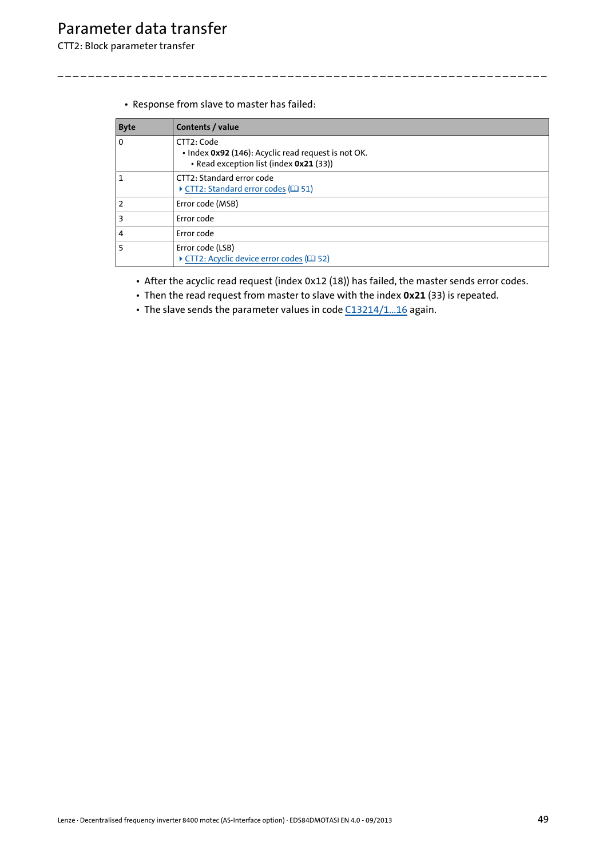CTT2: Block parameter transfer

• Response from slave to master has failed:

| <b>Byte</b>             | Contents / value                                                                                             |
|-------------------------|--------------------------------------------------------------------------------------------------------------|
| $\Omega$                | CTT2: Code<br>. Index 0x92 (146): Acyclic read request is not OK.<br>• Read exception list (index 0x21 (33)) |
| $\mathbf{1}$            | CTT2: Standard error code<br>▶ CTT2: Standard error codes (□ 51)                                             |
| $\overline{2}$          | Error code (MSB)                                                                                             |
| $\overline{\mathbf{3}}$ | Error code                                                                                                   |
| $\overline{4}$          | Error code                                                                                                   |
| 5                       | Error code (LSB)<br>CTT2: Acyclic device error codes (29 52)                                                 |

\_ \_ \_ \_ \_ \_ \_ \_ \_ \_ \_ \_ \_ \_ \_ \_ \_ \_ \_ \_ \_ \_ \_ \_ \_ \_ \_ \_ \_ \_ \_ \_ \_ \_ \_ \_ \_ \_ \_ \_ \_ \_ \_ \_ \_ \_ \_ \_ \_ \_ \_ \_ \_ \_ \_ \_ \_ \_ \_ \_ \_ \_ \_ \_

- After the acyclic read request (index 0x12 (18)) has failed, the master sends error codes.
- Then the read request from master to slave with the index **0x21** (33) is repeated.
- The slave sends the parameter values in code [C13214/1...16](#page-64-0) again.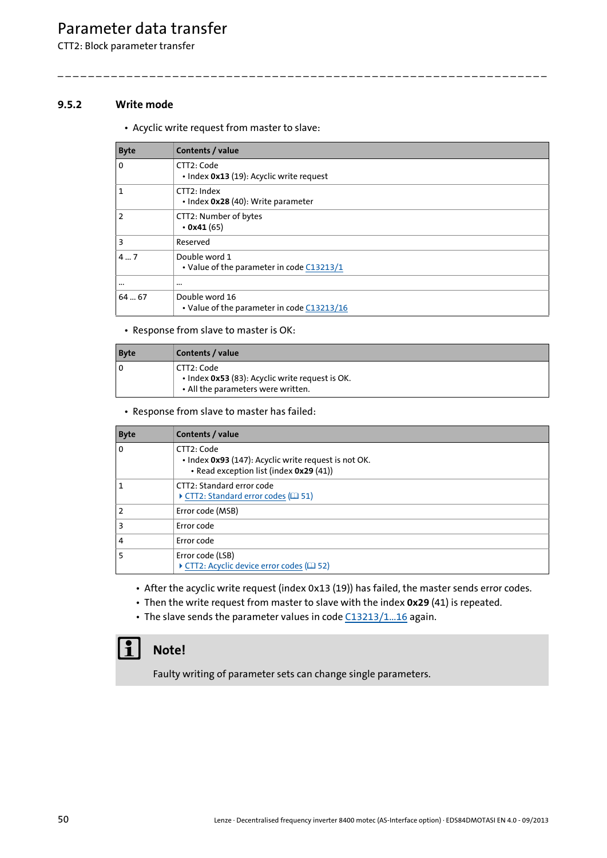CTT2: Block parameter transfer

## **9.5.2 Write mode**

<span id="page-49-0"></span>• Acyclic write request from master to slave:

| <b>Byte</b> | Contents / value                                             |
|-------------|--------------------------------------------------------------|
| 0           | CTT2: Code<br>• Index 0x13 (19): Acyclic write request       |
|             | CTT2: Index<br>• Index 0x28 (40): Write parameter            |
| 2           | CTT2: Number of bytes<br>$\cdot$ 0x41 (65)                   |
| 3           | Reserved                                                     |
| 47          | Double word 1<br>• Value of the parameter in code C13213/1   |
| $\cdots$    | $\cdots$                                                     |
| 6467        | Double word 16<br>• Value of the parameter in code C13213/16 |

\_ \_ \_ \_ \_ \_ \_ \_ \_ \_ \_ \_ \_ \_ \_ \_ \_ \_ \_ \_ \_ \_ \_ \_ \_ \_ \_ \_ \_ \_ \_ \_ \_ \_ \_ \_ \_ \_ \_ \_ \_ \_ \_ \_ \_ \_ \_ \_ \_ \_ \_ \_ \_ \_ \_ \_ \_ \_ \_ \_ \_ \_ \_ \_

• Response from slave to master is OK:

| <b>Byte</b> | Contents / value                                                                                    |
|-------------|-----------------------------------------------------------------------------------------------------|
|             | CTT2: Code<br>• Index 0x53 (83): Acyclic write request is OK.<br>• All the parameters were written. |

• Response from slave to master has failed:

| <b>Byte</b> | Contents / value                                                                                              |
|-------------|---------------------------------------------------------------------------------------------------------------|
| 0           | CTT2: Code<br>· Index 0x93 (147): Acyclic write request is not OK.<br>• Read exception list (index 0x29 (41)) |
|             | CTT2: Standard error code<br>CTT2: Standard error codes (1 51)                                                |
|             | Error code (MSB)                                                                                              |
| З           | Error code                                                                                                    |
| 4           | Error code                                                                                                    |
|             | Error code (LSB)<br>▶ CTT2: Acyclic device error codes (□ 52)                                                 |

• After the acyclic write request (index 0x13 (19)) has failed, the master sends error codes.

- Then the write request from master to slave with the index **0x29** (41) is repeated.
- The slave sends the parameter values in code [C13213/1...16](#page-63-0) again.

## **Note!**

Faulty writing of parameter sets can change single parameters.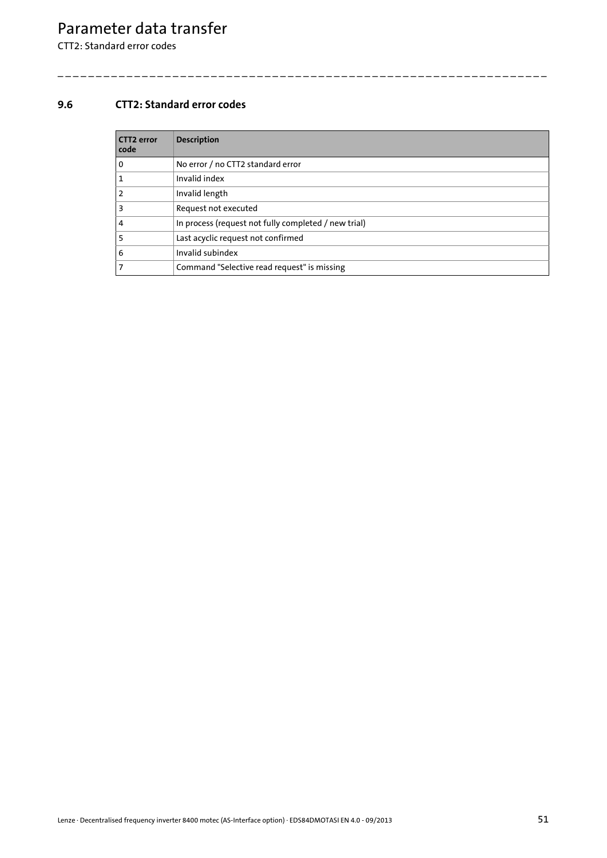CTT2: Standard error codes

## <span id="page-50-0"></span>**9.6 CTT2: Standard error codes**

<span id="page-50-1"></span>

| <b>CTT2 error</b><br>code | <b>Description</b>                                   |
|---------------------------|------------------------------------------------------|
| <b>0</b>                  | No error / no CTT2 standard error                    |
| 1 ا                       | Invalid index                                        |
| 2 ا                       | Invalid length                                       |
| $\overline{\mathbf{3}}$   | Request not executed                                 |
| $\overline{4}$            | In process (request not fully completed / new trial) |
| <b>5</b>                  | Last acyclic request not confirmed                   |
| 6                         | Invalid subindex                                     |
| 7                         | Command "Selective read request" is missing          |

\_ \_ \_ \_ \_ \_ \_ \_ \_ \_ \_ \_ \_ \_ \_ \_ \_ \_ \_ \_ \_ \_ \_ \_ \_ \_ \_ \_ \_ \_ \_ \_ \_ \_ \_ \_ \_ \_ \_ \_ \_ \_ \_ \_ \_ \_ \_ \_ \_ \_ \_ \_ \_ \_ \_ \_ \_ \_ \_ \_ \_ \_ \_ \_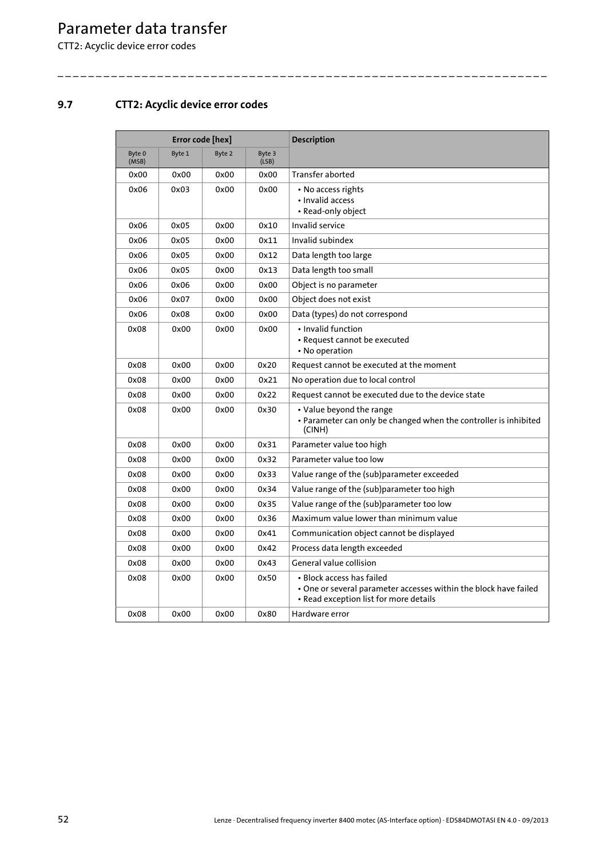CTT2: Acyclic device error codes

## <span id="page-51-0"></span>**9.7 CTT2: Acyclic device error codes**

<span id="page-51-1"></span>

| Error code [hex] |        |        |                 | <b>Description</b>                                                                                                                      |
|------------------|--------|--------|-----------------|-----------------------------------------------------------------------------------------------------------------------------------------|
| Byte 0<br>(MSB)  | Byte 1 | Byte 2 | Byte 3<br>(LSB) |                                                                                                                                         |
| 0x00             | 0x00   | 0x00   | 0x00            | Transfer aborted                                                                                                                        |
| 0x06             | 0x03   | 0x00   | 0x00            | • No access rights<br>• Invalid access<br>• Read-only object                                                                            |
| 0x06             | 0x05   | 0x00   | 0x10            | Invalid service                                                                                                                         |
| 0x06             | 0x05   | 0x00   | 0x11            | Invalid subindex                                                                                                                        |
| 0x06             | 0x05   | 0x00   | 0x12            | Data length too large                                                                                                                   |
| 0x06             | 0x05   | 0x00   | 0x13            | Data length too small                                                                                                                   |
| 0x06             | 0x06   | 0x00   | 0x00            | Object is no parameter                                                                                                                  |
| 0x06             | 0x07   | 0x00   | 0x00            | Object does not exist                                                                                                                   |
| 0x06             | 0x08   | 0x00   | 0x00            | Data (types) do not correspond                                                                                                          |
| 0x08             | 0x00   | 0x00   | 0x00            | • Invalid function<br>• Request cannot be executed<br>• No operation                                                                    |
| 0x08             | 0x00   | 0x00   | 0x20            | Request cannot be executed at the moment                                                                                                |
| 0x08             | 0x00   | 0x00   | 0x21            | No operation due to local control                                                                                                       |
| 0x08             | 0x00   | 0x00   | 0x22            | Request cannot be executed due to the device state                                                                                      |
| 0x08             | 0x00   | 0x00   | 0x30            | • Value beyond the range<br>• Parameter can only be changed when the controller is inhibited<br>(CINH)                                  |
| 0x08             | 0x00   | 0x00   | 0x31            | Parameter value too high                                                                                                                |
| 0x08             | 0x00   | 0x00   | 0x32            | Parameter value too low                                                                                                                 |
| 0x08             | 0x00   | 0x00   | 0x33            | Value range of the (sub)parameter exceeded                                                                                              |
| 0x08             | 0x00   | 0x00   | 0x34            | Value range of the (sub)parameter too high                                                                                              |
| 0x08             | 0x00   | 0x00   | 0x35            | Value range of the (sub)parameter too low                                                                                               |
| 0x08             | 0x00   | 0x00   | 0x36            | Maximum value lower than minimum value                                                                                                  |
| 0x08             | 0x00   | 0x00   | 0x41            | Communication object cannot be displayed                                                                                                |
| 0x08             | 0x00   | 0x00   | 0x42            | Process data length exceeded                                                                                                            |
| 0x08             | 0x00   | 0x00   | 0x43            | General value collision                                                                                                                 |
| 0x08             | 0x00   | 0x00   | 0x50            | • Block access has failed<br>• One or several parameter accesses within the block have failed<br>• Read exception list for more details |
| 0x08             | 0x00   | 0x00   | 0x80            | Hardware error                                                                                                                          |

\_ \_ \_ \_ \_ \_ \_ \_ \_ \_ \_ \_ \_ \_ \_ \_ \_ \_ \_ \_ \_ \_ \_ \_ \_ \_ \_ \_ \_ \_ \_ \_ \_ \_ \_ \_ \_ \_ \_ \_ \_ \_ \_ \_ \_ \_ \_ \_ \_ \_ \_ \_ \_ \_ \_ \_ \_ \_ \_ \_ \_ \_ \_ \_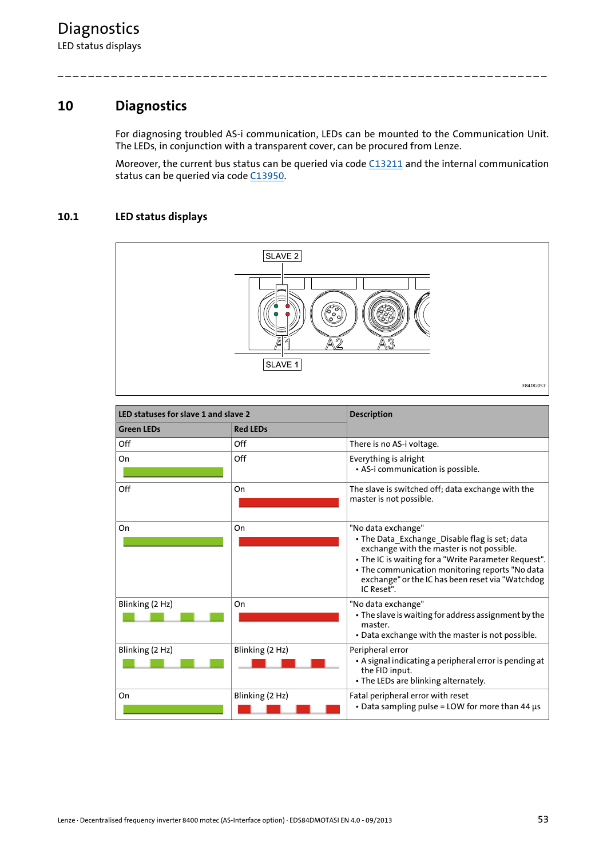## **10 Diagnostics**

<span id="page-52-0"></span>For diagnosing troubled AS-i communication, LEDs can be mounted to the Communication Unit. The LEDs, in conjunction with a transparent cover, can be procured from Lenze.

\_ \_ \_ \_ \_ \_ \_ \_ \_ \_ \_ \_ \_ \_ \_ \_ \_ \_ \_ \_ \_ \_ \_ \_ \_ \_ \_ \_ \_ \_ \_ \_ \_ \_ \_ \_ \_ \_ \_ \_ \_ \_ \_ \_ \_ \_ \_ \_ \_ \_ \_ \_ \_ \_ \_ \_ \_ \_ \_ \_ \_ \_ \_ \_

Moreover, the current bus status can be queried via code [C13211](#page-63-1) and the internal communication status can be queried via code [C13950.](#page-66-0)

## **10.1 LED status displays**

<span id="page-52-1"></span>

| LED statuses for slave 1 and slave 2 |                 | <b>Description</b>                                                                                                                                                                                                                                                                            |
|--------------------------------------|-----------------|-----------------------------------------------------------------------------------------------------------------------------------------------------------------------------------------------------------------------------------------------------------------------------------------------|
| <b>Green LEDs</b>                    | <b>Red LEDs</b> |                                                                                                                                                                                                                                                                                               |
| Off                                  | Off             | There is no AS-i voltage.                                                                                                                                                                                                                                                                     |
| On                                   | Off             | Everything is alright<br>· AS-i communication is possible.                                                                                                                                                                                                                                    |
| Off                                  | On              | The slave is switched off; data exchange with the<br>master is not possible.                                                                                                                                                                                                                  |
| On                                   | On              | "No data exchange"<br>· The Data_Exchange_Disable flag is set; data<br>exchange with the master is not possible.<br>• The IC is waiting for a "Write Parameter Request".<br>• The communication monitoring reports "No data<br>exchange" or the IC has been reset via "Watchdog<br>IC Reset". |
| Blinking (2 Hz)                      | On              | "No data exchange"<br>• The slave is waiting for address assignment by the<br>master.<br>• Data exchange with the master is not possible.                                                                                                                                                     |
| Blinking (2 Hz)                      | Blinking (2 Hz) | Peripheral error<br>• A signal indicating a peripheral error is pending at<br>the FID input.<br>• The LEDs are blinking alternately.                                                                                                                                                          |
| On                                   | Blinking (2 Hz) | Fatal peripheral error with reset<br>• Data sampling pulse = LOW for more than 44 µs                                                                                                                                                                                                          |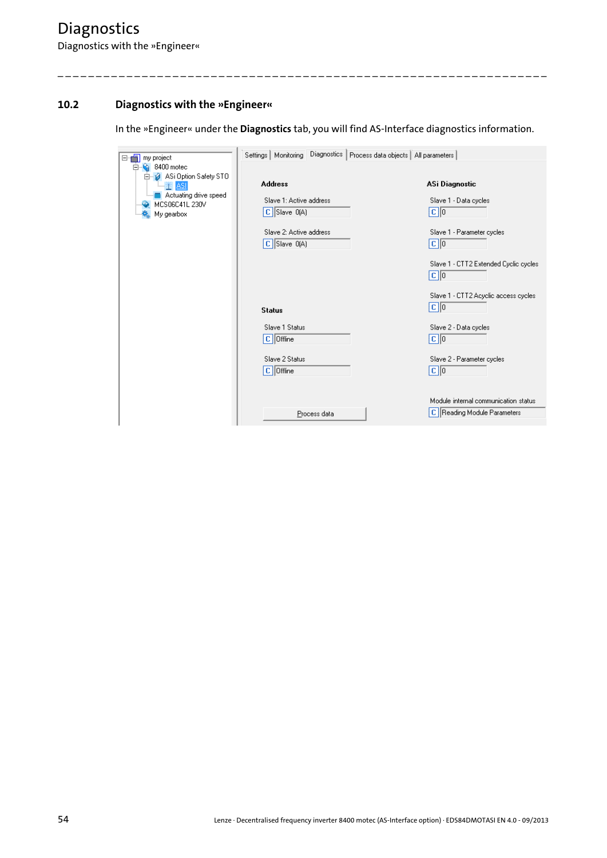## **10.2 Diagnostics with the »Engineer«**

<span id="page-53-0"></span>In the »Engineer« under the **Diagnostics** tab, you will find AS-Interface diagnostics information.

\_ \_ \_ \_ \_ \_ \_ \_ \_ \_ \_ \_ \_ \_ \_ \_ \_ \_ \_ \_ \_ \_ \_ \_ \_ \_ \_ \_ \_ \_ \_ \_ \_ \_ \_ \_ \_ \_ \_ \_ \_ \_ \_ \_ \_ \_ \_ \_ \_ \_ \_ \_ \_ \_ \_ \_ \_ \_ \_ \_ \_ \_ \_ \_

| my project<br>e-ch                                                                                    | Settings   Monitoring Diagnostics   Process data objects   All parameters |                                                                         |
|-------------------------------------------------------------------------------------------------------|---------------------------------------------------------------------------|-------------------------------------------------------------------------|
| 8400 motec<br>F<br>白 2 ASi Option Safety STO<br>Actuating drive speed<br>MCS06C41L 230V<br>My gearbox | <b>Address</b><br>Slave 1: Active address<br>$\mathbb{C}$ Slave 0(A)      | ASi Diagnostic<br>Slave 1 - Data cycles<br>$ {\bf C} 0$                 |
|                                                                                                       | Slave 2: Active address<br>$C$ Slave $O(A)$                               | Slave 1 - Parameter cycles<br>$\boxed{\mathbf{c}}$ $\boxed{\mathbf{0}}$ |
|                                                                                                       |                                                                           | Slave 1 - CTT2 Extended Cyclic cycles<br>$ C $ <sub>0</sub>             |
|                                                                                                       | <b>Status</b>                                                             | Slave 1 - CTT2 Acyclic access cycles<br>$ c $ <sub>0</sub>              |
|                                                                                                       | Slave 1 Status<br>$C$   Offline                                           | Slave 2 - Data cycles<br>$ {\bf c} $                                    |
|                                                                                                       | Slave 2 Status<br>$C$ Offline                                             | Slave 2 - Parameter cycles<br>$\boxed{\mathbf{c}}$ $\boxed{\mathbf{0}}$ |
|                                                                                                       | Process data                                                              | Module internal communication status<br>C   Reading Module Parameters   |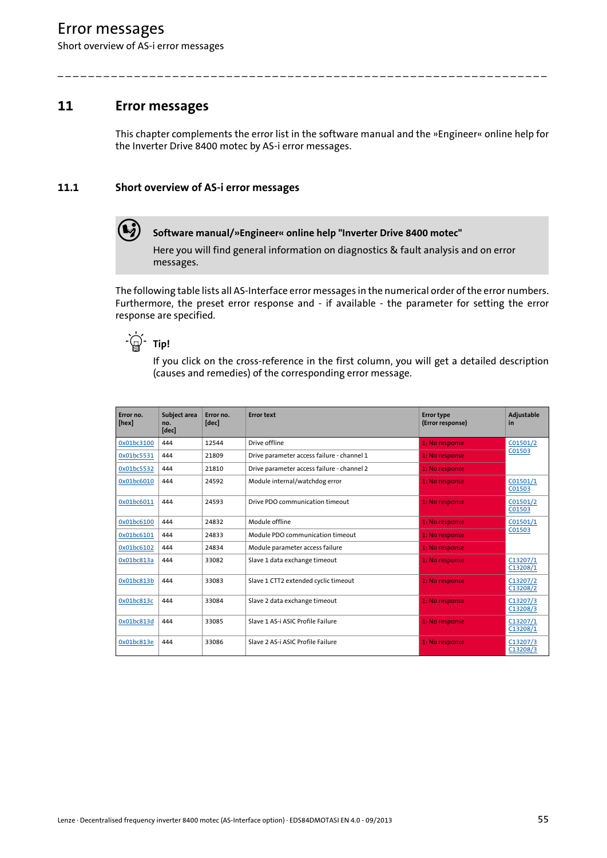## Error messages

Short overview of AS-i error messages

## **11 Error messages**

<span id="page-54-1"></span><span id="page-54-0"></span>This chapter complements the error list in the software manual and the »Engineer« online help for the Inverter Drive 8400 motec by AS-i error messages.

\_ \_ \_ \_ \_ \_ \_ \_ \_ \_ \_ \_ \_ \_ \_ \_ \_ \_ \_ \_ \_ \_ \_ \_ \_ \_ \_ \_ \_ \_ \_ \_ \_ \_ \_ \_ \_ \_ \_ \_ \_ \_ \_ \_ \_ \_ \_ \_ \_ \_ \_ \_ \_ \_ \_ \_ \_ \_ \_ \_ \_ \_ \_ \_

## **11.1 Short overview of AS-i error messages**



**Software manual/»Engineer« online help "Inverter Drive 8400 motec"**

Here you will find general information on diagnostics & fault analysis and on error messages.

The following table lists all AS-Interface error messages in the numerical order of the error numbers. Furthermore, the preset error response and - if available - the parameter for setting the error response are specified.

 $-\frac{1}{2}$  Tip!

If you click on the cross-reference in the first column, you will get a detailed description (causes and remedies) of the corresponding error message.

| Error no.<br>[hex] | Subject area<br>no.<br>[dec] | Error no.<br>[dec] | <b>Error text</b>                          | <b>Error type</b><br>(Error response) | Adjustable<br>in     |
|--------------------|------------------------------|--------------------|--------------------------------------------|---------------------------------------|----------------------|
| 0x01bc3100         | 444                          | 12544              | Drive offline                              | 1: No response                        | C <sub>01501/2</sub> |
| 0x01bc5531         | 444                          | 21809              | Drive parameter access failure - channel 1 | 1: No response                        | C01503               |
| 0x01bc5532         | 444                          | 21810              | Drive parameter access failure - channel 2 | 1: No response                        |                      |
| 0x01bc6010         | 444                          | 24592              | Module internal/watchdog error             | 1: No response                        | C01501/1<br>C01503   |
| 0x01bc6011         | 444                          | 24593              | Drive PDO communication timeout            | 1: No response                        | C01501/2<br>C01503   |
| 0x01bc6100         | 444                          | 24832              | Module offline                             | 1: No response                        | C01501/1             |
| 0x01bc6101         | 444                          | 24833              | Module PDO communication timeout           | 1: No response                        | C01503               |
| 0x01bc6102         | 444                          | 24834              | Module parameter access failure            | 1: No response                        |                      |
| 0x01bc813a         | 444                          | 33082              | Slave 1 data exchange timeout              | 1: No response                        | C13207/1<br>C13208/1 |
| 0x01bc813b         | 444                          | 33083              | Slave 1 CTT2 extended cyclic timeout       | 1: No response                        | C13207/2<br>C13208/2 |
| 0x01bc813c         | 444                          | 33084              | Slave 2 data exchange timeout              | 1: No response                        | C13207/3<br>C13208/3 |
| 0x01bc813d         | 444                          | 33085              | Slave 1 AS-i ASIC Profile Failure          | 1: No response                        | C13207/1<br>C13208/1 |
| 0x01bc813e         | 444                          | 33086              | Slave 2 AS-i ASIC Profile Failure          | 1: No response                        | C13207/3<br>C13208/3 |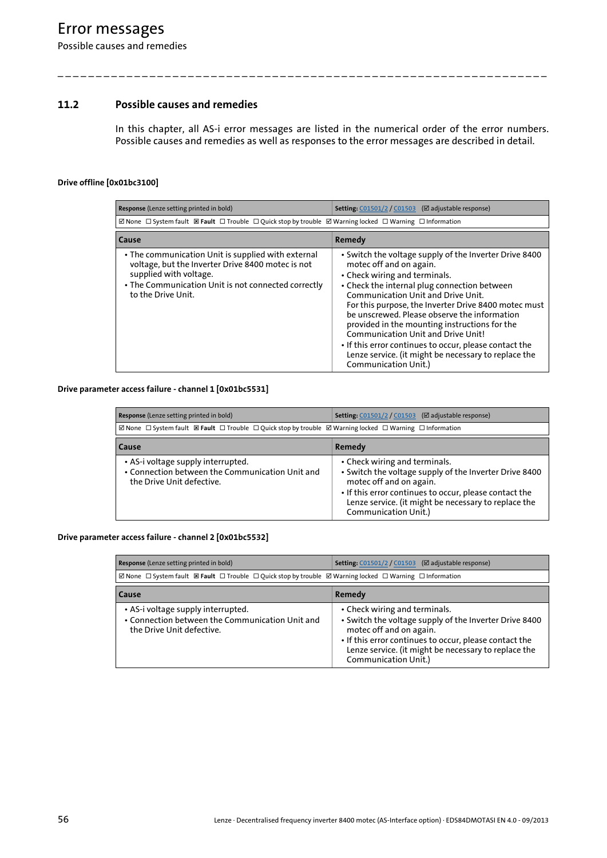## Error messages

Possible causes and remedies

### **11.2 Possible causes and remedies**

<span id="page-55-3"></span>In this chapter, all AS-i error messages are listed in the numerical order of the error numbers. Possible causes and remedies as well as responses to the error messages are described in detail.

\_ \_ \_ \_ \_ \_ \_ \_ \_ \_ \_ \_ \_ \_ \_ \_ \_ \_ \_ \_ \_ \_ \_ \_ \_ \_ \_ \_ \_ \_ \_ \_ \_ \_ \_ \_ \_ \_ \_ \_ \_ \_ \_ \_ \_ \_ \_ \_ \_ \_ \_ \_ \_ \_ \_ \_ \_ \_ \_ \_ \_ \_ \_ \_

#### <span id="page-55-4"></span><span id="page-55-0"></span>**Drive offline [0x01bc3100]**

| Response (Lenze setting printed in bold)                                                                                                                                                                       | <b>Setting:</b> C01501/2 / C01503 ( $\boxtimes$ adjustable response)                                                                                                                                                                                                                                                                                                                                                                                                                                                                              |
|----------------------------------------------------------------------------------------------------------------------------------------------------------------------------------------------------------------|---------------------------------------------------------------------------------------------------------------------------------------------------------------------------------------------------------------------------------------------------------------------------------------------------------------------------------------------------------------------------------------------------------------------------------------------------------------------------------------------------------------------------------------------------|
| ⊠ None $\Box$ System fault $\Box$ Fault $\Box$ Trouble $\Box$ Quick stop by trouble $\Box$ Warning locked $\Box$ Warning $\Box$ Information                                                                    |                                                                                                                                                                                                                                                                                                                                                                                                                                                                                                                                                   |
| <b>Cause</b>                                                                                                                                                                                                   | Remedy                                                                                                                                                                                                                                                                                                                                                                                                                                                                                                                                            |
| • The communication Unit is supplied with external<br>voltage, but the Inverter Drive 8400 motec is not<br>supplied with voltage.<br>• The Communication Unit is not connected correctly<br>to the Drive Unit. | • Switch the voltage supply of the Inverter Drive 8400<br>motec off and on again.<br>• Check wiring and terminals.<br>• Check the internal plug connection between<br>Communication Unit and Drive Unit.<br>For this purpose, the Inverter Drive 8400 motec must<br>be unscrewed. Please observe the information<br>provided in the mounting instructions for the<br>Communication Unit and Drive Unit!<br>• If this error continues to occur, please contact the<br>Lenze service. (it might be necessary to replace the<br>Communication Unit.) |

#### <span id="page-55-5"></span><span id="page-55-1"></span>**Drive parameter access failure - channel 1 [0x01bc5531]**

| Response (Lenze setting printed in bold)                                                                                                              | Setting: C01501/2 / C01503 (⊠ adjustable response)                                                                                                                                                                                                           |  |  |
|-------------------------------------------------------------------------------------------------------------------------------------------------------|--------------------------------------------------------------------------------------------------------------------------------------------------------------------------------------------------------------------------------------------------------------|--|--|
| ⊠ None $\Box$ System fault $\boxtimes$ Fault $\Box$ Trouble $\Box$ Quick stop by trouble $\boxtimes$ Warning locked $\Box$ Warning $\Box$ Information |                                                                                                                                                                                                                                                              |  |  |
| Cause                                                                                                                                                 | Remedy                                                                                                                                                                                                                                                       |  |  |
| • AS-i voltage supply interrupted.<br>• Connection between the Communication Unit and<br>the Drive Unit defective.                                    | • Check wiring and terminals.<br>• Switch the voltage supply of the Inverter Drive 8400<br>motec off and on again.<br>• If this error continues to occur, please contact the<br>Lenze service. (it might be necessary to replace the<br>Communication Unit.) |  |  |

#### <span id="page-55-6"></span><span id="page-55-2"></span>**Drive parameter access failure - channel 2 [0x01bc5532]**

| Response (Lenze setting printed in bold)                                                                           | <b>Setting:</b> C01501/2 / C01503 (⊠ adjustable response)                                                                                                                                                                                                    |  |
|--------------------------------------------------------------------------------------------------------------------|--------------------------------------------------------------------------------------------------------------------------------------------------------------------------------------------------------------------------------------------------------------|--|
| ⊠ None □ System fault 図 Fault □ Trouble □ Quick stop by trouble ⊠ Warning locked □ Warning □ Information           |                                                                                                                                                                                                                                                              |  |
| Cause                                                                                                              | Remedy                                                                                                                                                                                                                                                       |  |
| • AS-i voltage supply interrupted.<br>• Connection between the Communication Unit and<br>the Drive Unit defective. | • Check wiring and terminals.<br>• Switch the voltage supply of the Inverter Drive 8400<br>motec off and on again.<br>• If this error continues to occur, please contact the<br>Lenze service. (it might be necessary to replace the<br>Communication Unit.) |  |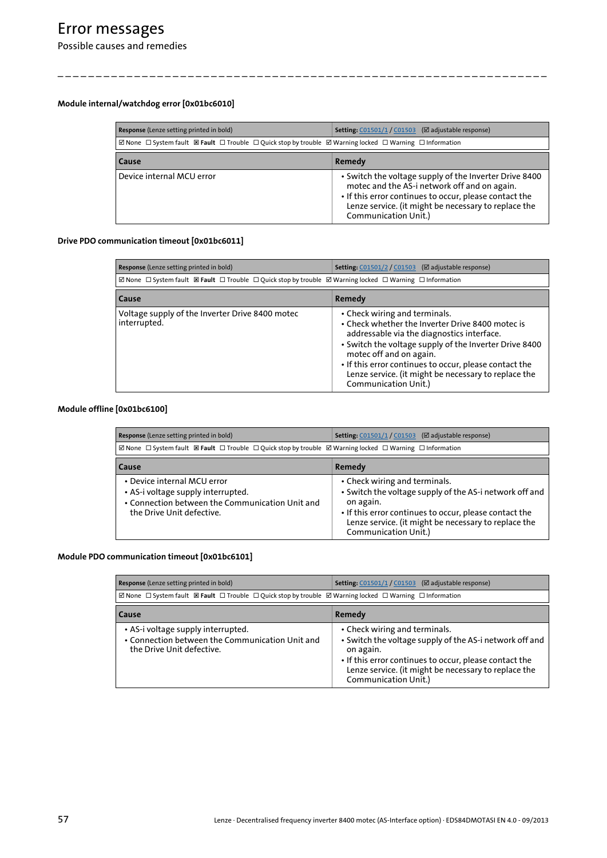# Error messages

Possible causes and remedies

### <span id="page-56-5"></span><span id="page-56-0"></span>**Module internal/watchdog error [0x01bc6010]**

| Response (Lenze setting printed in bold)                                                                                                              | <b>Setting:</b> C01501/1 / C01503 (⊠ adjustable response)                                                                                                                                                                                        |  |
|-------------------------------------------------------------------------------------------------------------------------------------------------------|--------------------------------------------------------------------------------------------------------------------------------------------------------------------------------------------------------------------------------------------------|--|
| ⊠ None $\Box$ System fault $\boxtimes$ Fault $\Box$ Trouble $\Box$ Quick stop by trouble $\boxtimes$ Warning locked $\Box$ Warning $\Box$ Information |                                                                                                                                                                                                                                                  |  |
| Cause                                                                                                                                                 | Remedy                                                                                                                                                                                                                                           |  |
| Device internal MCU error                                                                                                                             | • Switch the voltage supply of the Inverter Drive 8400<br>motec and the AS-i network off and on again.<br>• If this error continues to occur, please contact the<br>Lenze service. (it might be necessary to replace the<br>Communication Unit.) |  |

\_ \_ \_ \_ \_ \_ \_ \_ \_ \_ \_ \_ \_ \_ \_ \_ \_ \_ \_ \_ \_ \_ \_ \_ \_ \_ \_ \_ \_ \_ \_ \_ \_ \_ \_ \_ \_ \_ \_ \_ \_ \_ \_ \_ \_ \_ \_ \_ \_ \_ \_ \_ \_ \_ \_ \_ \_ \_ \_ \_ \_ \_ \_ \_

### <span id="page-56-4"></span><span id="page-56-1"></span>**Drive PDO communication timeout [0x01bc6011]**

| Response (Lenze setting printed in bold)                                                                 | <b>Setting:</b> C01501/2 / C01503 (⊠ adjustable response)                                                                                                                                                                                                                                                                                                      |  |  |
|----------------------------------------------------------------------------------------------------------|----------------------------------------------------------------------------------------------------------------------------------------------------------------------------------------------------------------------------------------------------------------------------------------------------------------------------------------------------------------|--|--|
| ⊠ None □ System fault 図 Fault □ Trouble □ Quick stop by trouble ⊠ Warning locked □ Warning □ Information |                                                                                                                                                                                                                                                                                                                                                                |  |  |
| Cause                                                                                                    | Remedy                                                                                                                                                                                                                                                                                                                                                         |  |  |
| Voltage supply of the Inverter Drive 8400 motec<br>interrupted.                                          | • Check wiring and terminals.<br>• Check whether the Inverter Drive 8400 motec is<br>addressable via the diagnostics interface.<br>. Switch the voltage supply of the Inverter Drive 8400<br>motec off and on again.<br>• If this error continues to occur, please contact the<br>Lenze service. (it might be necessary to replace the<br>Communication Unit.) |  |  |

#### <span id="page-56-6"></span><span id="page-56-2"></span>**Module offline [0x01bc6100]**

| Response (Lenze setting printed in bold)                                                                                                              | <b>Setting:</b> C01501/1 / C01503 (⊠ adjustable response)                                                                                                                                                                                       |  |
|-------------------------------------------------------------------------------------------------------------------------------------------------------|-------------------------------------------------------------------------------------------------------------------------------------------------------------------------------------------------------------------------------------------------|--|
| ⊠ None $\Box$ System fault $\boxtimes$ Fault $\Box$ Trouble $\Box$ Quick stop by trouble $\boxtimes$ Warning locked $\Box$ Warning $\Box$ Information |                                                                                                                                                                                                                                                 |  |
| Cause                                                                                                                                                 | Remedy                                                                                                                                                                                                                                          |  |
| • Device internal MCU error<br>• AS-i voltage supply interrupted.<br>• Connection between the Communication Unit and<br>the Drive Unit defective.     | • Check wiring and terminals.<br>• Switch the voltage supply of the AS-i network off and<br>on again.<br>• If this error continues to occur, please contact the<br>Lenze service. (it might be necessary to replace the<br>Communication Unit.) |  |

#### <span id="page-56-7"></span><span id="page-56-3"></span>**Module PDO communication timeout [0x01bc6101]**

| Response (Lenze setting printed in bold)                                                                           | <b>Setting:</b> C01501/1 / C01503 (⊠ adjustable response)                                                                                                                                                                                       |  |
|--------------------------------------------------------------------------------------------------------------------|-------------------------------------------------------------------------------------------------------------------------------------------------------------------------------------------------------------------------------------------------|--|
| ⊠ None □ System fault 図 Fault □ Trouble □ Quick stop by trouble ⊠ Warning locked □ Warning □ Information           |                                                                                                                                                                                                                                                 |  |
| Cause                                                                                                              | Remedy                                                                                                                                                                                                                                          |  |
| • AS-i voltage supply interrupted.<br>• Connection between the Communication Unit and<br>the Drive Unit defective. | • Check wiring and terminals.<br>• Switch the voltage supply of the AS-i network off and<br>on again.<br>• If this error continues to occur, please contact the<br>Lenze service. (it might be necessary to replace the<br>Communication Unit.) |  |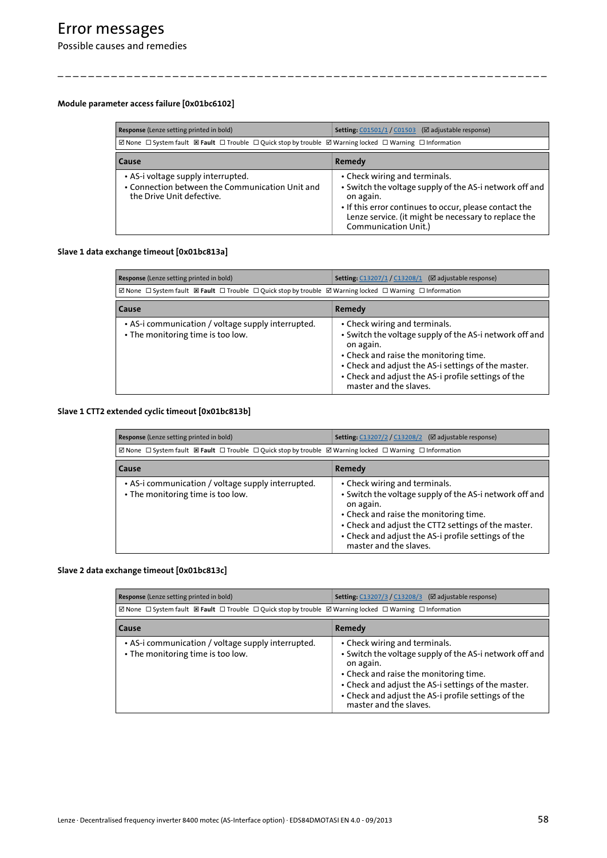### <span id="page-57-4"></span><span id="page-57-0"></span>**Module parameter access failure [0x01bc6102]**

| Response (Lenze setting printed in bold)                                                                                                    | <b>Setting:</b> C01501/1 / C01503 (⊠ adjustable response)                                                                                                                                                                                       |
|---------------------------------------------------------------------------------------------------------------------------------------------|-------------------------------------------------------------------------------------------------------------------------------------------------------------------------------------------------------------------------------------------------|
| ⊠ None $\Box$ System fault $\Box$ Fault $\Box$ Trouble $\Box$ Quick stop by trouble $\Box$ Warning locked $\Box$ Warning $\Box$ Information |                                                                                                                                                                                                                                                 |
| Cause                                                                                                                                       | Remedy                                                                                                                                                                                                                                          |
| • AS-i voltage supply interrupted.<br>• Connection between the Communication Unit and<br>the Drive Unit defective.                          | • Check wiring and terminals.<br>• Switch the voltage supply of the AS-i network off and<br>on again.<br>• If this error continues to occur, please contact the<br>Lenze service. (it might be necessary to replace the<br>Communication Unit.) |

\_ \_ \_ \_ \_ \_ \_ \_ \_ \_ \_ \_ \_ \_ \_ \_ \_ \_ \_ \_ \_ \_ \_ \_ \_ \_ \_ \_ \_ \_ \_ \_ \_ \_ \_ \_ \_ \_ \_ \_ \_ \_ \_ \_ \_ \_ \_ \_ \_ \_ \_ \_ \_ \_ \_ \_ \_ \_ \_ \_ \_ \_ \_ \_

### <span id="page-57-5"></span><span id="page-57-1"></span>**Slave 1 data exchange timeout [0x01bc813a]**

| Response (Lenze setting printed in bold)                                                                                                    | <b>Setting: C13207/1 / C13208/1</b><br>$(\boxtimes$ adjustable response)                                                                                                                                                                                                                |  |  |
|---------------------------------------------------------------------------------------------------------------------------------------------|-----------------------------------------------------------------------------------------------------------------------------------------------------------------------------------------------------------------------------------------------------------------------------------------|--|--|
| ⊠ None $\Box$ System fault $\Box$ Fault $\Box$ Trouble $\Box$ Quick stop by trouble $\Box$ Warning locked $\Box$ Warning $\Box$ Information |                                                                                                                                                                                                                                                                                         |  |  |
| Cause                                                                                                                                       | Remedy                                                                                                                                                                                                                                                                                  |  |  |
| • AS-i communication / voltage supply interrupted.<br>• The monitoring time is too low.                                                     | • Check wiring and terminals.<br>• Switch the voltage supply of the AS-i network off and<br>on again.<br>• Check and raise the monitoring time.<br>• Check and adjust the AS-i settings of the master.<br>• Check and adjust the AS-i profile settings of the<br>master and the slaves. |  |  |

### <span id="page-57-6"></span><span id="page-57-2"></span>**Slave 1 CTT2 extended cyclic timeout [0x01bc813b]**

| Response (Lenze setting printed in bold)                                                                 | <b>Setting:</b> C13207/2 / C13208/2 (⊠ adjustable response)                                                                                                                                                                                                                             |
|----------------------------------------------------------------------------------------------------------|-----------------------------------------------------------------------------------------------------------------------------------------------------------------------------------------------------------------------------------------------------------------------------------------|
| ⊠ None □ System fault 図 Fault □ Trouble □ Quick stop by trouble ⊠ Warning locked □ Warning □ Information |                                                                                                                                                                                                                                                                                         |
| Cause                                                                                                    | Remedy                                                                                                                                                                                                                                                                                  |
| • AS-i communication / voltage supply interrupted.<br>• The monitoring time is too low.                  | • Check wiring and terminals.<br>• Switch the voltage supply of the AS-i network off and<br>on again.<br>• Check and raise the monitoring time.<br>• Check and adjust the CTT2 settings of the master.<br>• Check and adjust the AS-i profile settings of the<br>master and the slaves. |

#### <span id="page-57-7"></span><span id="page-57-3"></span>**Slave 2 data exchange timeout [0x01bc813c]**

| Response (Lenze setting printed in bold)                                                                                                    | <b>Setting:</b> C13207/3 / C13208/3 (⊠ adjustable response)                                                                                                                                                                                                                             |  |  |
|---------------------------------------------------------------------------------------------------------------------------------------------|-----------------------------------------------------------------------------------------------------------------------------------------------------------------------------------------------------------------------------------------------------------------------------------------|--|--|
| ⊠ None $\Box$ System fault $\Box$ Fault $\Box$ Trouble $\Box$ Quick stop by trouble $\Box$ Warning locked $\Box$ Warning $\Box$ Information |                                                                                                                                                                                                                                                                                         |  |  |
| Cause                                                                                                                                       | Remedy                                                                                                                                                                                                                                                                                  |  |  |
| • AS-i communication / voltage supply interrupted.<br>• The monitoring time is too low.                                                     | • Check wiring and terminals.<br>• Switch the voltage supply of the AS-i network off and<br>on again.<br>• Check and raise the monitoring time.<br>• Check and adjust the AS-i settings of the master.<br>• Check and adjust the AS-i profile settings of the<br>master and the slaves. |  |  |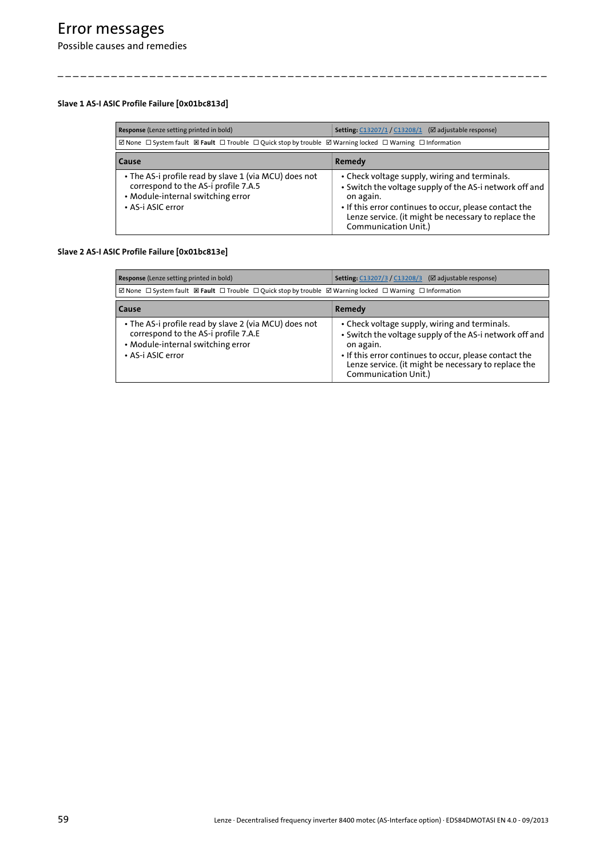### <span id="page-58-2"></span><span id="page-58-0"></span>**Slave 1 AS-I ASIC Profile Failure [0x01bc813d]**

| Response (Lenze setting printed in bold)                                                                                                                | <b>Setting: C13207/1 / C13208/1 (Ø adjustable response)</b>                                                                                                                                                                                                     |
|---------------------------------------------------------------------------------------------------------------------------------------------------------|-----------------------------------------------------------------------------------------------------------------------------------------------------------------------------------------------------------------------------------------------------------------|
| ⊠ None □ System fault 図 Fault □ Trouble □ Quick stop by trouble ⊠ Warning locked □ Warning □ Information                                                |                                                                                                                                                                                                                                                                 |
| <b>Cause</b>                                                                                                                                            | Remedy                                                                                                                                                                                                                                                          |
| • The AS-i profile read by slave 1 (via MCU) does not<br>correspond to the AS-i profile 7.A.5<br>• Module-internal switching error<br>• AS-i ASIC error | • Check voltage supply, wiring and terminals.<br>• Switch the voltage supply of the AS-i network off and<br>on again.<br>• If this error continues to occur, please contact the<br>Lenze service. (it might be necessary to replace the<br>Communication Unit.) |

\_ \_ \_ \_ \_ \_ \_ \_ \_ \_ \_ \_ \_ \_ \_ \_ \_ \_ \_ \_ \_ \_ \_ \_ \_ \_ \_ \_ \_ \_ \_ \_ \_ \_ \_ \_ \_ \_ \_ \_ \_ \_ \_ \_ \_ \_ \_ \_ \_ \_ \_ \_ \_ \_ \_ \_ \_ \_ \_ \_ \_ \_ \_ \_

### <span id="page-58-3"></span><span id="page-58-1"></span>**Slave 2 AS-I ASIC Profile Failure [0x01bc813e]**

| Response (Lenze setting printed in bold)                                                                                                                | <b>Setting:</b> C13207/3 / C13208/3 (⊠ adjustable response)                                                                                                                                                                                                     |  |  |
|---------------------------------------------------------------------------------------------------------------------------------------------------------|-----------------------------------------------------------------------------------------------------------------------------------------------------------------------------------------------------------------------------------------------------------------|--|--|
| ⊠ None □ System fault 図 Fault □ Trouble □ Quick stop by trouble ⊠ Warning locked □ Warning □ Information                                                |                                                                                                                                                                                                                                                                 |  |  |
| <b>Cause</b>                                                                                                                                            | Remedy                                                                                                                                                                                                                                                          |  |  |
| • The AS-i profile read by slave 2 (via MCU) does not<br>correspond to the AS-i profile 7.A.E<br>• Module-internal switching error<br>• AS-i ASIC error | • Check voltage supply, wiring and terminals.<br>• Switch the voltage supply of the AS-i network off and<br>on again.<br>• If this error continues to occur, please contact the<br>Lenze service. (it might be necessary to replace the<br>Communication Unit.) |  |  |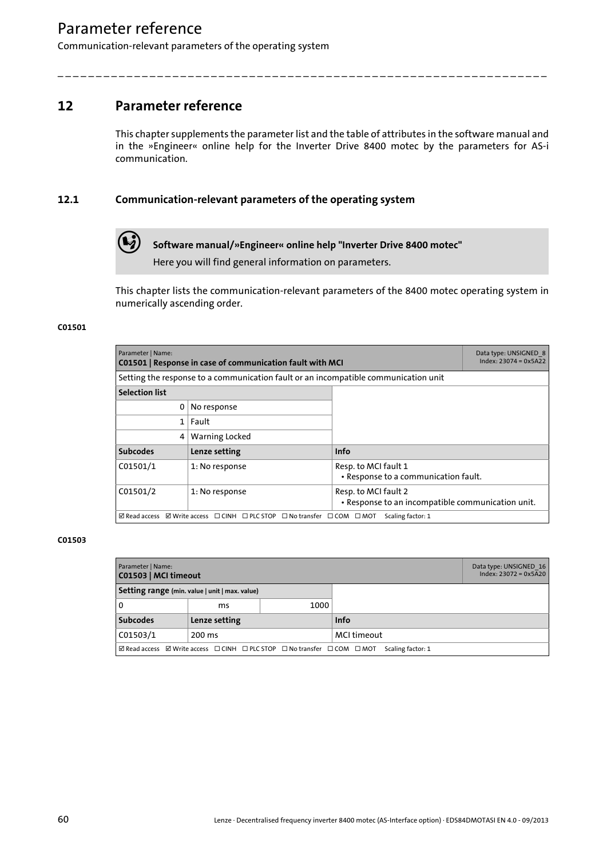Communication-relevant parameters of the operating system

## **12 Parameter reference**

<span id="page-59-4"></span>This chapter supplements the parameter list and the table of attributes in the software manual and in the »Engineer« online help for the Inverter Drive 8400 motec by the parameters for AS-i communication.

\_ \_ \_ \_ \_ \_ \_ \_ \_ \_ \_ \_ \_ \_ \_ \_ \_ \_ \_ \_ \_ \_ \_ \_ \_ \_ \_ \_ \_ \_ \_ \_ \_ \_ \_ \_ \_ \_ \_ \_ \_ \_ \_ \_ \_ \_ \_ \_ \_ \_ \_ \_ \_ \_ \_ \_ \_ \_ \_ \_ \_ \_ \_ \_

## **12.1 Communication-relevant parameters of the operating system**

<span id="page-59-5"></span>

**Software manual/»Engineer« online help "Inverter Drive 8400 motec"**

Here you will find general information on parameters.

This chapter lists the communication-relevant parameters of the 8400 motec operating system in numerically ascending order.

### <span id="page-59-0"></span>**C01501**

<span id="page-59-7"></span><span id="page-59-2"></span>

| Parameter   Name:<br>C01501   Response in case of communication fault with MCI                             |                |                                                                           | Data type: UNSIGNED 8<br>$Index: 23074 = 0x5A22$ |
|------------------------------------------------------------------------------------------------------------|----------------|---------------------------------------------------------------------------|--------------------------------------------------|
| Setting the response to a communication fault or an incompatible communication unit                        |                |                                                                           |                                                  |
| <b>Selection list</b>                                                                                      |                |                                                                           |                                                  |
| 0                                                                                                          | No response    |                                                                           |                                                  |
| 1                                                                                                          | Fault          |                                                                           |                                                  |
| 4                                                                                                          | Warning Locked |                                                                           |                                                  |
| <b>Subcodes</b>                                                                                            | Lenze setting  | Info                                                                      |                                                  |
| C01501/1                                                                                                   | 1: No response | Resp. to MCI fault 1<br>• Response to a communication fault.              |                                                  |
| C01501/2                                                                                                   | 1: No response | Resp. to MCI fault 2<br>. Response to an incompatible communication unit. |                                                  |
| ☑ Write access □ CINH □ PLC STOP □ No transfer □ COM □ MOT<br>$\boxtimes$ Read access<br>Scaling factor: 1 |                |                                                                           |                                                  |

<span id="page-59-6"></span><span id="page-59-3"></span><span id="page-59-1"></span>

| Parameter   Name:<br>C01503   MCI timeout                                                                                                 |                                                | Data type: UNSIGNED 16<br>$Index: 23072 = 0x5A20$ |             |  |
|-------------------------------------------------------------------------------------------------------------------------------------------|------------------------------------------------|---------------------------------------------------|-------------|--|
|                                                                                                                                           | Setting range (min. value   unit   max. value) |                                                   |             |  |
| l 0                                                                                                                                       | ms                                             | 1000                                              |             |  |
| <b>Subcodes</b>                                                                                                                           | Lenze setting                                  |                                                   | <b>Info</b> |  |
| C01503/1                                                                                                                                  | 200 ms                                         |                                                   | MCI timeout |  |
| $\boxtimes$ Read access $\boxtimes$ Write access $\Box$ CINH $\Box$ PLC STOP $\Box$ Notransfer $\Box$ COM $\Box$ MOT<br>Scaling factor: 1 |                                                |                                                   |             |  |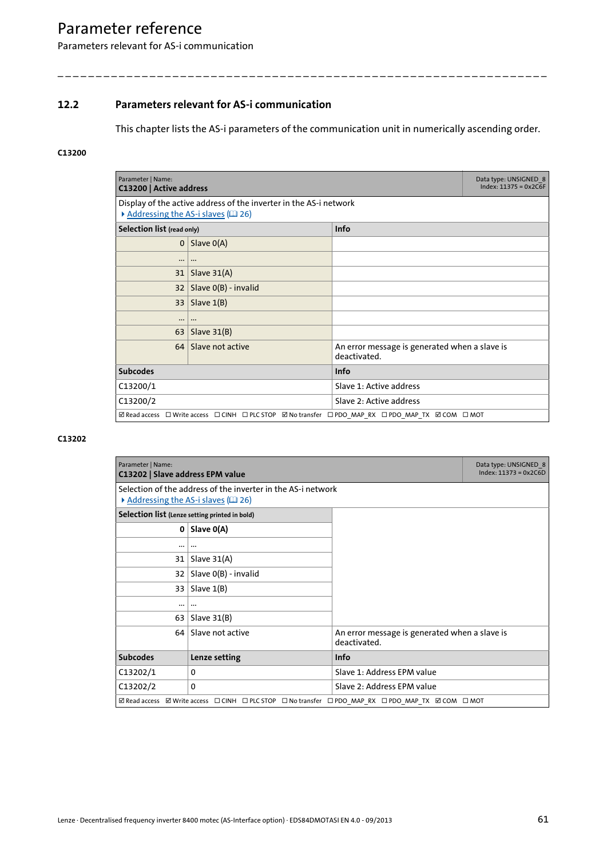Parameters relevant for AS-i communication

## **12.2 Parameters relevant for AS-i communication**

<span id="page-60-5"></span>This chapter lists the AS-i parameters of the communication unit in numerically ascending order.

\_ \_ \_ \_ \_ \_ \_ \_ \_ \_ \_ \_ \_ \_ \_ \_ \_ \_ \_ \_ \_ \_ \_ \_ \_ \_ \_ \_ \_ \_ \_ \_ \_ \_ \_ \_ \_ \_ \_ \_ \_ \_ \_ \_ \_ \_ \_ \_ \_ \_ \_ \_ \_ \_ \_ \_ \_ \_ \_ \_ \_ \_ \_ \_

### <span id="page-60-0"></span>**C13200**

<span id="page-60-3"></span><span id="page-60-2"></span>

| Parameter   Name:<br>C13200   Active address                                                       |                                                                                                           |                                                               | Data type: UNSIGNED 8<br>$Index: 11375 = 0x2C6F$ |  |
|----------------------------------------------------------------------------------------------------|-----------------------------------------------------------------------------------------------------------|---------------------------------------------------------------|--------------------------------------------------|--|
|                                                                                                    | Display of the active address of the inverter in the AS-i network<br>Addressing the AS-i slaves $(42 26)$ |                                                               |                                                  |  |
| Selection list (read only)                                                                         |                                                                                                           | <b>Info</b>                                                   |                                                  |  |
| 0 <sup>1</sup>                                                                                     | Slave $O(A)$                                                                                              |                                                               |                                                  |  |
|                                                                                                    |                                                                                                           |                                                               |                                                  |  |
| 31                                                                                                 | Slave $31(A)$                                                                                             |                                                               |                                                  |  |
| 32 <sub>2</sub>                                                                                    | Slave 0(B) - invalid                                                                                      |                                                               |                                                  |  |
|                                                                                                    | $33$ Slave $1(B)$                                                                                         |                                                               |                                                  |  |
|                                                                                                    | $\cdots$                                                                                                  |                                                               |                                                  |  |
| 63                                                                                                 | Slave $31(B)$                                                                                             |                                                               |                                                  |  |
| 64                                                                                                 | Slave not active                                                                                          | An error message is generated when a slave is<br>deactivated. |                                                  |  |
| <b>Subcodes</b>                                                                                    |                                                                                                           | Info                                                          |                                                  |  |
| C13200/1                                                                                           |                                                                                                           | Slave 1: Active address                                       |                                                  |  |
| C13200/2                                                                                           |                                                                                                           | Slave 2: Active address                                       |                                                  |  |
| ⊠ Read access □ Write access □ CINH □ PLC STOP Ø No transfer □ PDO MAP RX □ PDO MAP TX Ø COM □ MOT |                                                                                                           |                                                               |                                                  |  |

<span id="page-60-6"></span><span id="page-60-4"></span><span id="page-60-1"></span>

| Parameter   Name:<br>C13202   Slave address EPM value |                                                                                                    |                                                               | Data type: UNSIGNED 8<br>$Index: 11373 = 0x2C6D$ |
|-------------------------------------------------------|----------------------------------------------------------------------------------------------------|---------------------------------------------------------------|--------------------------------------------------|
| Addressing the AS-i slaves (LD 26)                    | Selection of the address of the inverter in the AS-i network                                       |                                                               |                                                  |
| Selection list (Lenze setting printed in bold)        |                                                                                                    |                                                               |                                                  |
| 0                                                     | Slave 0(A)                                                                                         |                                                               |                                                  |
|                                                       |                                                                                                    |                                                               |                                                  |
| 31                                                    | Slave $31(A)$                                                                                      |                                                               |                                                  |
| 32                                                    | Slave 0(B) - invalid                                                                               |                                                               |                                                  |
|                                                       | $33$ Slave $1(B)$                                                                                  |                                                               |                                                  |
|                                                       | $\ddotsc$                                                                                          |                                                               |                                                  |
| 63                                                    | Slave $31(B)$                                                                                      |                                                               |                                                  |
| 64                                                    | Slave not active                                                                                   | An error message is generated when a slave is<br>deactivated. |                                                  |
| <b>Subcodes</b>                                       | Lenze setting                                                                                      | <b>Info</b>                                                   |                                                  |
| C13202/1                                              | $\mathbf{0}$                                                                                       | Slave 1: Address EPM value                                    |                                                  |
| C13202/2                                              | $\mathbf{0}$                                                                                       | Slave 2: Address EPM value                                    |                                                  |
|                                                       | ⊠ Read access ⊠ Write access □ CINH □ PLC STOP □ No transfer □ PDO MAP RX □ PDO MAP TX ☑ COM □ MOT |                                                               |                                                  |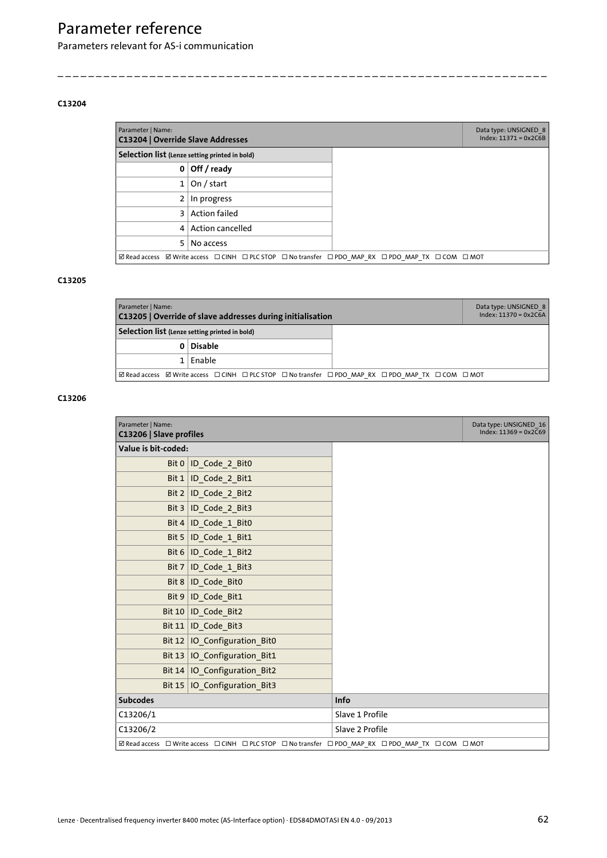Parameters relevant for AS-i communication

#### <span id="page-61-0"></span>**C13204**

<span id="page-61-7"></span><span id="page-61-3"></span>

| Parameter   Name:<br>C13204   Override Slave Addresses |                                                                                                    | Data type: UNSIGNED 8<br>$Index: 11371 = 0x2C6B$ |
|--------------------------------------------------------|----------------------------------------------------------------------------------------------------|--------------------------------------------------|
| Selection list (Lenze setting printed in bold)         |                                                                                                    |                                                  |
| 0                                                      | Off / ready                                                                                        |                                                  |
|                                                        | On / start                                                                                         |                                                  |
| 2                                                      | In progress                                                                                        |                                                  |
| 3                                                      | <b>Action failed</b>                                                                               |                                                  |
|                                                        | 4 Action cancelled                                                                                 |                                                  |
| 5                                                      | No access                                                                                          |                                                  |
|                                                        | ⊠ Read access Ø Write access □ CINH □ PLC STOP □ No transfer □ PDO MAP RX □ PDO MAP TX □ COM □ MOT |                                                  |

\_ \_ \_ \_ \_ \_ \_ \_ \_ \_ \_ \_ \_ \_ \_ \_ \_ \_ \_ \_ \_ \_ \_ \_ \_ \_ \_ \_ \_ \_ \_ \_ \_ \_ \_ \_ \_ \_ \_ \_ \_ \_ \_ \_ \_ \_ \_ \_ \_ \_ \_ \_ \_ \_ \_ \_ \_ \_ \_ \_ \_ \_ \_ \_

### <span id="page-61-1"></span>**C13205**

<span id="page-61-6"></span><span id="page-61-4"></span>

| Parameter   Name:<br>C13205   Override of slave addresses during initialisation |                                                                                                 | Data type: UNSIGNED 8<br>$Index: 11370 = 0x2C6A$ |  |
|---------------------------------------------------------------------------------|-------------------------------------------------------------------------------------------------|--------------------------------------------------|--|
| Selection list (Lenze setting printed in bold)                                  |                                                                                                 |                                                  |  |
|                                                                                 | 0 Disable                                                                                       |                                                  |  |
|                                                                                 | $1$   Enable                                                                                    |                                                  |  |
|                                                                                 | <b>ØRead access</b> ØWrite access □CINH □PLC STOP □Notransfer □PDO MAP RX □PDO MAP TX □COM □MOT |                                                  |  |

<span id="page-61-8"></span><span id="page-61-5"></span><span id="page-61-2"></span>

| Parameter   Name:<br>C13206   Slave profiles |                                                                                                    |                 | Data type: UNSIGNED 16<br>$Index: 11369 = 0x2C69$ |
|----------------------------------------------|----------------------------------------------------------------------------------------------------|-----------------|---------------------------------------------------|
| Value is bit-coded:                          |                                                                                                    |                 |                                                   |
|                                              | Bit 0   ID_Code_2_Bit0                                                                             |                 |                                                   |
| Bit $1$                                      | ID_Code_2_Bit1                                                                                     |                 |                                                   |
|                                              | Bit $2$ ID_Code 2 Bit2                                                                             |                 |                                                   |
|                                              | Bit 3   ID_Code_2_Bit3                                                                             |                 |                                                   |
|                                              | Bit 4   ID_Code_1_Bit0                                                                             |                 |                                                   |
|                                              | Bit 5   ID_Code $1$ Bit1                                                                           |                 |                                                   |
|                                              | Bit $6 1D_{\text{Code}}1_{\text{Bit2}}$                                                            |                 |                                                   |
|                                              | Bit 7   ID_Code_1_Bit3                                                                             |                 |                                                   |
| Bit $8$                                      | ID_Code_Bit0                                                                                       |                 |                                                   |
|                                              | Bit 9   ID_Code_Bit1                                                                               |                 |                                                   |
|                                              | Bit $10$   ID_Code_Bit2                                                                            |                 |                                                   |
|                                              | Bit 11   ID_Code_Bit3                                                                              |                 |                                                   |
|                                              | Bit $12$   IO_Configuration_Bit0                                                                   |                 |                                                   |
|                                              | Bit 13   IO_Configuration_Bit1                                                                     |                 |                                                   |
|                                              | Bit $14$   IO_Configuration_Bit2                                                                   |                 |                                                   |
|                                              | Bit 15   IO_Configuration_Bit3                                                                     |                 |                                                   |
| <b>Subcodes</b>                              |                                                                                                    | Info            |                                                   |
| C13206/1                                     |                                                                                                    | Slave 1 Profile |                                                   |
| C13206/2                                     |                                                                                                    | Slave 2 Profile |                                                   |
|                                              | ☑ Read access □ Write access □ CINH □ PLC STOP □ No transfer □ PDO_MAP_RX □ PDO_MAP_TX □ COM □ MOT |                 |                                                   |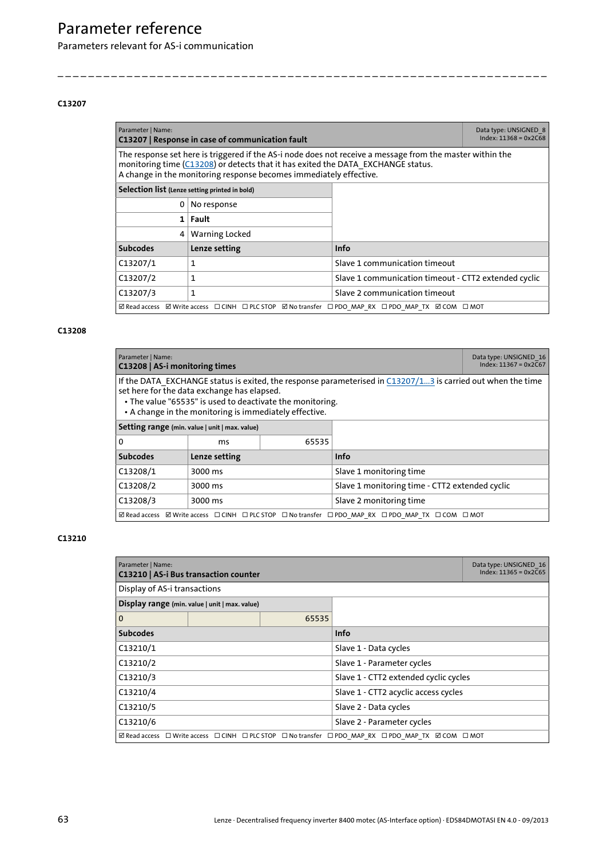Parameters relevant for AS-i communication

#### <span id="page-62-3"></span><span id="page-62-0"></span>**C13207**

<span id="page-62-10"></span><span id="page-62-7"></span>

| Parameter   Name:<br>C13207   Response in case of communication fault                                                                                                                                                                                               | Data type: UNSIGNED 8<br>$Index: 11368 = 0x2C68$ |                                                      |  |
|---------------------------------------------------------------------------------------------------------------------------------------------------------------------------------------------------------------------------------------------------------------------|--------------------------------------------------|------------------------------------------------------|--|
| The response set here is triggered if the AS-i node does not receive a message from the master within the<br>monitoring time (C13208) or detects that it has exited the DATA_EXCHANGE status.<br>A change in the monitoring response becomes immediately effective. |                                                  |                                                      |  |
| Selection list (Lenze setting printed in bold)                                                                                                                                                                                                                      |                                                  |                                                      |  |
| 0                                                                                                                                                                                                                                                                   | No response                                      |                                                      |  |
|                                                                                                                                                                                                                                                                     | $1$ Fault                                        |                                                      |  |
| 4                                                                                                                                                                                                                                                                   | Warning Locked                                   |                                                      |  |
| <b>Subcodes</b>                                                                                                                                                                                                                                                     | Lenze setting                                    | Info                                                 |  |
| C13207/1                                                                                                                                                                                                                                                            | 1                                                | Slave 1 communication timeout                        |  |
| C13207/2                                                                                                                                                                                                                                                            | 1                                                | Slave 1 communication timeout - CTT2 extended cyclic |  |
| C13207/3                                                                                                                                                                                                                                                            | 1                                                | Slave 2 communication timeout                        |  |
| <b>ØRead access</b> ØWrite access □CINH □PLC STOP ØNo transfer □PDO MAP RX □PDO MAP TX ØCOM □MOT                                                                                                                                                                    |                                                  |                                                      |  |

\_ \_ \_ \_ \_ \_ \_ \_ \_ \_ \_ \_ \_ \_ \_ \_ \_ \_ \_ \_ \_ \_ \_ \_ \_ \_ \_ \_ \_ \_ \_ \_ \_ \_ \_ \_ \_ \_ \_ \_ \_ \_ \_ \_ \_ \_ \_ \_ \_ \_ \_ \_ \_ \_ \_ \_ \_ \_ \_ \_ \_ \_ \_ \_

### <span id="page-62-2"></span><span id="page-62-1"></span>**C13208**

<span id="page-62-8"></span><span id="page-62-5"></span>

| Parameter   Name:<br>C13208   AS-i monitoring times |                                                                                                                                                                                                                                                                                   |                                                |                                                                                                    | Data type: UNSIGNED 16<br>$Index: 11367 = 0x2C67$ |
|-----------------------------------------------------|-----------------------------------------------------------------------------------------------------------------------------------------------------------------------------------------------------------------------------------------------------------------------------------|------------------------------------------------|----------------------------------------------------------------------------------------------------|---------------------------------------------------|
|                                                     | If the DATA EXCHANGE status is exited, the response parameterised in C13207/13 is carried out when the time<br>set here for the data exchange has elapsed.<br>• The value "65535" is used to deactivate the monitoring.<br>• A change in the monitoring is immediately effective. |                                                |                                                                                                    |                                                   |
|                                                     | Setting range (min. value   unit   max. value)                                                                                                                                                                                                                                    |                                                |                                                                                                    |                                                   |
| 0                                                   | ms                                                                                                                                                                                                                                                                                | 65535                                          |                                                                                                    |                                                   |
| <b>Subcodes</b>                                     | Lenze setting                                                                                                                                                                                                                                                                     |                                                | Info                                                                                               |                                                   |
| C13208/1                                            | 3000 ms                                                                                                                                                                                                                                                                           |                                                | Slave 1 monitoring time                                                                            |                                                   |
| C13208/2<br>3000 ms                                 |                                                                                                                                                                                                                                                                                   | Slave 1 monitoring time - CTT2 extended cyclic |                                                                                                    |                                                   |
| C13208/3<br>Slave 2 monitoring time<br>3000 ms      |                                                                                                                                                                                                                                                                                   |                                                |                                                                                                    |                                                   |
|                                                     |                                                                                                                                                                                                                                                                                   |                                                | ⊠ Read access ⊠ Write access □ CINH □ PLC STOP □ No transfer □ PDO MAP RX □ PDO MAP TX □ COM □ MOT |                                                   |

<span id="page-62-9"></span><span id="page-62-6"></span><span id="page-62-4"></span>

| Parameter   Name:<br>C13210   AS-i Bus transaction counter |                                                                                                    |                            |                                       | Data type: UNSIGNED 16<br>$Index: 11365 = 0x2C65$ |
|------------------------------------------------------------|----------------------------------------------------------------------------------------------------|----------------------------|---------------------------------------|---------------------------------------------------|
| Display of AS-i transactions                               |                                                                                                    |                            |                                       |                                                   |
|                                                            | Display range (min. value   unit   max. value)                                                     |                            |                                       |                                                   |
| $\mathbf 0$                                                |                                                                                                    | 65535                      |                                       |                                                   |
| <b>Subcodes</b>                                            |                                                                                                    | <b>Info</b>                |                                       |                                                   |
| C13210/1                                                   |                                                                                                    | Slave 1 - Data cycles      |                                       |                                                   |
| C13210/2                                                   |                                                                                                    |                            | Slave 1 - Parameter cycles            |                                                   |
| C13210/3                                                   |                                                                                                    |                            | Slave 1 - CTT2 extended cyclic cycles |                                                   |
| C13210/4                                                   |                                                                                                    |                            | Slave 1 - CTT2 acyclic access cycles  |                                                   |
| C13210/5                                                   |                                                                                                    | Slave 2 - Data cycles      |                                       |                                                   |
| C13210/6                                                   |                                                                                                    | Slave 2 - Parameter cycles |                                       |                                                   |
|                                                            | ⊠ Read access □ Write access □ CINH □ PLC STOP □ No transfer □ PDO MAP RX □ PDO MAP TX Ø COM □ MOT |                            |                                       |                                                   |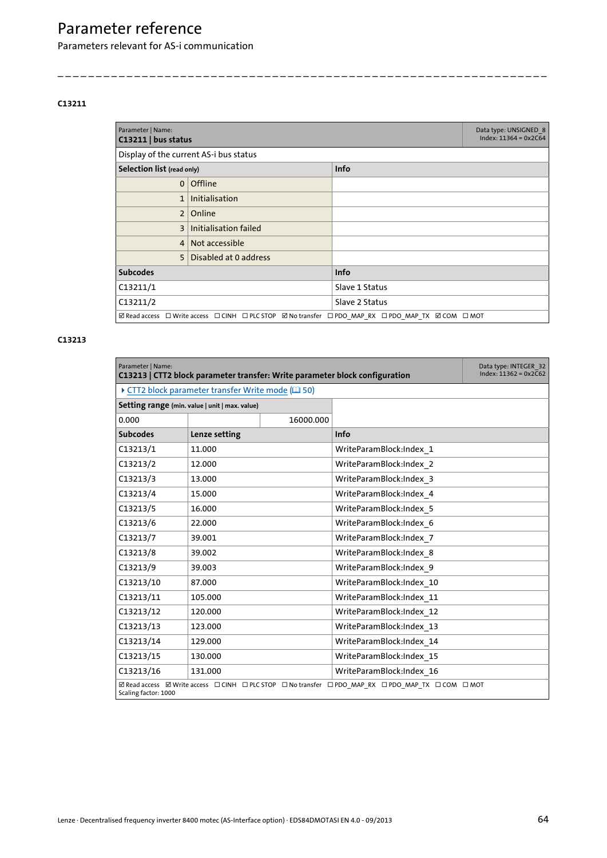Parameters relevant for AS-i communication

#### <span id="page-63-2"></span><span id="page-63-1"></span>**C13211**

<span id="page-63-5"></span><span id="page-63-4"></span>

| Parameter   Name:<br>$C13211$   bus status                                                         | Data type: UNSIGNED 8<br>$Index: 11364 = 0x2C64$ |                |  |
|----------------------------------------------------------------------------------------------------|--------------------------------------------------|----------------|--|
|                                                                                                    | Display of the current AS-i bus status           |                |  |
| Selection list (read only)                                                                         |                                                  | <b>Info</b>    |  |
| $\Omega$                                                                                           | <b>Offline</b>                                   |                |  |
| $\mathbf{1}$                                                                                       | <b>Initialisation</b>                            |                |  |
| 2 <sup>1</sup>                                                                                     | Online                                           |                |  |
| 3                                                                                                  | Initialisation failed                            |                |  |
| 4 <sup>1</sup>                                                                                     | Not accessible                                   |                |  |
| 5 <sup>1</sup>                                                                                     | Disabled at 0 address                            |                |  |
| <b>Subcodes</b>                                                                                    |                                                  | Info           |  |
| C13211/1                                                                                           |                                                  | Slave 1 Status |  |
| C13211/2                                                                                           |                                                  | Slave 2 Status |  |
| ⊠ Read access □ Write access □ CINH □ PLC STOP Ø No transfer □ PDO MAP RX □ PDO MAP TX Ø COM □ MOT |                                                  |                |  |

\_ \_ \_ \_ \_ \_ \_ \_ \_ \_ \_ \_ \_ \_ \_ \_ \_ \_ \_ \_ \_ \_ \_ \_ \_ \_ \_ \_ \_ \_ \_ \_ \_ \_ \_ \_ \_ \_ \_ \_ \_ \_ \_ \_ \_ \_ \_ \_ \_ \_ \_ \_ \_ \_ \_ \_ \_ \_ \_ \_ \_ \_ \_ \_

<span id="page-63-7"></span><span id="page-63-6"></span><span id="page-63-3"></span><span id="page-63-0"></span>

| Parameter   Name:<br>C13213   CTT2 block parameter transfer: Write parameter block configuration                  |                                                   |           |                          | Data type: INTEGER 32<br>$Index: 11362 = 0x2C62$ |
|-------------------------------------------------------------------------------------------------------------------|---------------------------------------------------|-----------|--------------------------|--------------------------------------------------|
|                                                                                                                   | ▶ CTT2 block parameter transfer Write mode (□ 50) |           |                          |                                                  |
|                                                                                                                   | Setting range (min. value   unit   max. value)    |           |                          |                                                  |
| 0.000                                                                                                             |                                                   | 16000.000 |                          |                                                  |
| <b>Subcodes</b>                                                                                                   | Lenze setting                                     |           | Info                     |                                                  |
| C13213/1                                                                                                          | 11.000                                            |           | WriteParamBlock:Index 1  |                                                  |
| C13213/2                                                                                                          | 12.000                                            |           | WriteParamBlock:Index 2  |                                                  |
| C13213/3                                                                                                          | 13.000                                            |           | WriteParamBlock:Index 3  |                                                  |
| C13213/4                                                                                                          | 15.000                                            |           | WriteParamBlock:Index 4  |                                                  |
| C13213/5                                                                                                          | 16.000                                            |           | WriteParamBlock:Index 5  |                                                  |
| C13213/6                                                                                                          | 22.000                                            |           | WriteParamBlock:Index 6  |                                                  |
| C13213/7                                                                                                          | 39.001                                            |           | WriteParamBlock:Index 7  |                                                  |
| C13213/8                                                                                                          | 39.002                                            |           | WriteParamBlock:Index 8  |                                                  |
| C13213/9                                                                                                          | 39.003                                            |           | WriteParamBlock:Index 9  |                                                  |
| C13213/10                                                                                                         | 87.000                                            |           | WriteParamBlock:Index 10 |                                                  |
| C13213/11                                                                                                         | 105.000                                           |           | WriteParamBlock:Index_11 |                                                  |
| C13213/12                                                                                                         | 120.000                                           |           | WriteParamBlock:Index 12 |                                                  |
| C13213/13                                                                                                         | 123.000                                           |           | WriteParamBlock:Index 13 |                                                  |
| C13213/14                                                                                                         | 129.000                                           |           | WriteParamBlock:Index 14 |                                                  |
| C13213/15                                                                                                         | 130.000                                           |           | WriteParamBlock:Index 15 |                                                  |
| C13213/16                                                                                                         | 131.000                                           |           | WriteParamBlock:Index 16 |                                                  |
| ØRead access ØWrite access □CINH □PLC STOP □No transfer □PDO MAP RX □PDO MAP TX □COM □MOT<br>Scaling factor: 1000 |                                                   |           |                          |                                                  |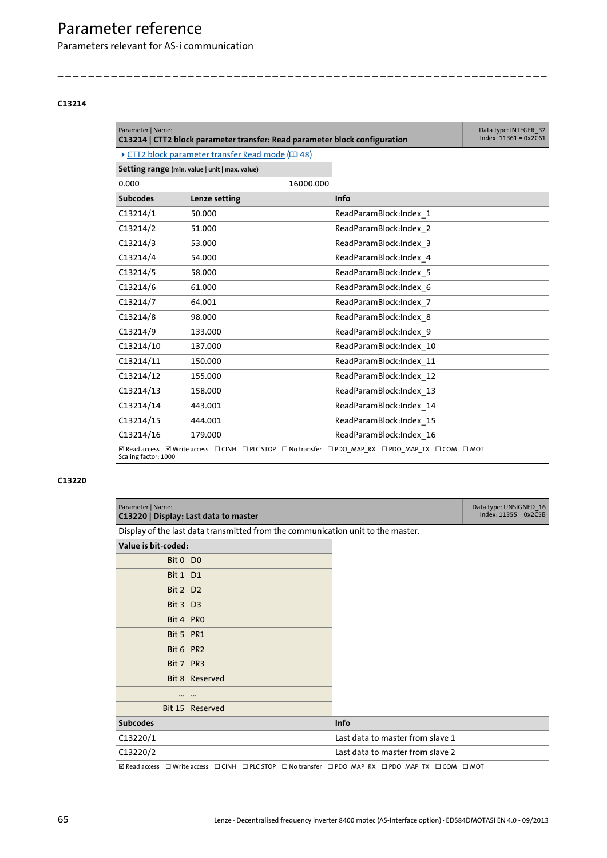Parameters relevant for AS-i communication

#### <span id="page-64-1"></span><span id="page-64-0"></span>**C13214**

<span id="page-64-5"></span><span id="page-64-3"></span>

| Parameter   Name:<br>C13214   CTT2 block parameter transfer: Read parameter block configuration                   |                                                                           |           |                         | Data type: INTEGER 32<br>$Index: 11361 = 0x2C61$ |
|-------------------------------------------------------------------------------------------------------------------|---------------------------------------------------------------------------|-----------|-------------------------|--------------------------------------------------|
|                                                                                                                   | $\triangleright$ CTT2 block parameter transfer Read mode ( $\boxplus$ 48) |           |                         |                                                  |
|                                                                                                                   | Setting range (min. value   unit   max. value)                            |           |                         |                                                  |
| 0.000                                                                                                             |                                                                           | 16000.000 |                         |                                                  |
| <b>Subcodes</b>                                                                                                   | Lenze setting                                                             |           | Info                    |                                                  |
| C13214/1                                                                                                          | 50.000                                                                    |           | ReadParamBlock:Index 1  |                                                  |
| C13214/2                                                                                                          | 51.000                                                                    |           | ReadParamBlock:Index 2  |                                                  |
| C13214/3                                                                                                          | 53.000                                                                    |           | ReadParamBlock:Index 3  |                                                  |
| C13214/4                                                                                                          | 54.000                                                                    |           | ReadParamBlock:Index 4  |                                                  |
| C13214/5                                                                                                          | 58.000                                                                    |           | ReadParamBlock:Index 5  |                                                  |
| C13214/6                                                                                                          | 61.000                                                                    |           | ReadParamBlock:Index 6  |                                                  |
| C13214/7                                                                                                          | 64.001                                                                    |           | ReadParamBlock:Index 7  |                                                  |
| C13214/8                                                                                                          | 98.000                                                                    |           | ReadParamBlock:Index 8  |                                                  |
| C13214/9                                                                                                          | 133.000                                                                   |           | ReadParamBlock:Index 9  |                                                  |
| C13214/10                                                                                                         | 137.000                                                                   |           | ReadParamBlock:Index 10 |                                                  |
| C13214/11                                                                                                         | 150.000                                                                   |           | ReadParamBlock:Index 11 |                                                  |
| C13214/12                                                                                                         | 155.000                                                                   |           | ReadParamBlock:Index 12 |                                                  |
| C13214/13                                                                                                         | 158.000                                                                   |           | ReadParamBlock:Index 13 |                                                  |
| C13214/14                                                                                                         | 443.001                                                                   |           | ReadParamBlock:Index 14 |                                                  |
| C13214/15                                                                                                         | 444.001                                                                   |           | ReadParamBlock:Index 15 |                                                  |
| C13214/16                                                                                                         | 179.000                                                                   |           | ReadParamBlock:Index 16 |                                                  |
| ØRead access ØWrite access □CINH □PLC STOP □No transfer □PDO MAP RX □PDO MAP TX □COM □MOT<br>Scaling factor: 1000 |                                                                           |           |                         |                                                  |

\_ \_ \_ \_ \_ \_ \_ \_ \_ \_ \_ \_ \_ \_ \_ \_ \_ \_ \_ \_ \_ \_ \_ \_ \_ \_ \_ \_ \_ \_ \_ \_ \_ \_ \_ \_ \_ \_ \_ \_ \_ \_ \_ \_ \_ \_ \_ \_ \_ \_ \_ \_ \_ \_ \_ \_ \_ \_ \_ \_ \_ \_ \_ \_

<span id="page-64-6"></span><span id="page-64-4"></span><span id="page-64-2"></span>

| Parameter   Name:   | C13220   Display: Last data to master                                                                    |                                  | Data type: UNSIGNED 16<br>$Index: 11355 = 0x2C5B$ |
|---------------------|----------------------------------------------------------------------------------------------------------|----------------------------------|---------------------------------------------------|
|                     | Display of the last data transmitted from the communication unit to the master.                          |                                  |                                                   |
| Value is bit-coded: |                                                                                                          |                                  |                                                   |
| Bit $0   D0$        |                                                                                                          |                                  |                                                   |
| Bit $1 D1$          |                                                                                                          |                                  |                                                   |
| Bit $2 $            | D <sub>2</sub>                                                                                           |                                  |                                                   |
| Bit $3$             | D <sub>3</sub>                                                                                           |                                  |                                                   |
| Bit 4               | <b>PRO</b>                                                                                               |                                  |                                                   |
| Bit $5 $            | PR1                                                                                                      |                                  |                                                   |
| Bit $6 PR2$         |                                                                                                          |                                  |                                                   |
| Bit $71$            | PR <sub>3</sub>                                                                                          |                                  |                                                   |
|                     | Bit 8   Reserved                                                                                         |                                  |                                                   |
|                     |                                                                                                          |                                  |                                                   |
|                     | Bit 15   Reserved                                                                                        |                                  |                                                   |
| <b>Subcodes</b>     |                                                                                                          | Info                             |                                                   |
| C13220/1            |                                                                                                          | Last data to master from slave 1 |                                                   |
| C13220/2            |                                                                                                          | Last data to master from slave 2 |                                                   |
|                     | <b>ØRead access □ Write access □ CINH □ PLC STOP □ No transfer □ PDO_MAP_RX □ PDO_MAP_TX □ COM □ MOT</b> |                                  |                                                   |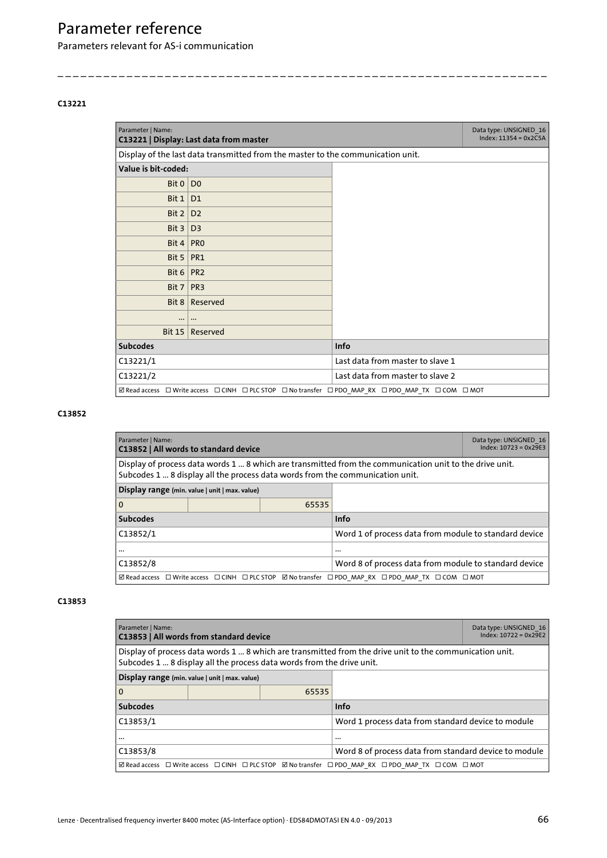Parameters relevant for AS-i communication

#### <span id="page-65-0"></span>**C13221**

<span id="page-65-8"></span><span id="page-65-5"></span>

| Parameter   Name:   | C13221   Display: Last data from master                                                                  |                                  | Data type: UNSIGNED 16<br>$Index: 11354 = 0x2C5A$ |
|---------------------|----------------------------------------------------------------------------------------------------------|----------------------------------|---------------------------------------------------|
|                     | Display of the last data transmitted from the master to the communication unit.                          |                                  |                                                   |
| Value is bit-coded: |                                                                                                          |                                  |                                                   |
| Bit $0$             | D <sub>0</sub>                                                                                           |                                  |                                                   |
| Bit $1$             | D <sub>1</sub>                                                                                           |                                  |                                                   |
| Bit $2 $            | D <sub>2</sub>                                                                                           |                                  |                                                   |
| Bit $3 $            | D <sub>3</sub>                                                                                           |                                  |                                                   |
| Bit $4 PR0$         |                                                                                                          |                                  |                                                   |
| Bit $5 PR1$         |                                                                                                          |                                  |                                                   |
| Bit $6 PR2$         |                                                                                                          |                                  |                                                   |
| Bit $7$   PR3       |                                                                                                          |                                  |                                                   |
| Bit $8$             | Reserved                                                                                                 |                                  |                                                   |
| $\cdots$            |                                                                                                          |                                  |                                                   |
| Bit $15$            | Reserved                                                                                                 |                                  |                                                   |
| <b>Subcodes</b>     |                                                                                                          | Info                             |                                                   |
| C13221/1            |                                                                                                          | Last data from master to slave 1 |                                                   |
| C13221/2            |                                                                                                          | Last data from master to slave 2 |                                                   |
|                     | <b>ØRead access</b> □ Write access □ CINH □ PLC STOP □ No transfer □ PDO_MAP_RX □ PDO_MAP_TX □ COM □ MOT |                                  |                                                   |

\_ \_ \_ \_ \_ \_ \_ \_ \_ \_ \_ \_ \_ \_ \_ \_ \_ \_ \_ \_ \_ \_ \_ \_ \_ \_ \_ \_ \_ \_ \_ \_ \_ \_ \_ \_ \_ \_ \_ \_ \_ \_ \_ \_ \_ \_ \_ \_ \_ \_ \_ \_ \_ \_ \_ \_ \_ \_ \_ \_ \_ \_ \_ \_

### <span id="page-65-1"></span>**C13852**

<span id="page-65-6"></span><span id="page-65-4"></span>

| Parameter   Name:<br>C13852   All words to standard device |                                                                                                    |                                                       | Data type: UNSIGNED 16<br>$Index: 10723 = 0x29E3$                                                                                                                                        |  |
|------------------------------------------------------------|----------------------------------------------------------------------------------------------------|-------------------------------------------------------|------------------------------------------------------------------------------------------------------------------------------------------------------------------------------------------|--|
|                                                            |                                                                                                    |                                                       | Display of process data words 1  8 which are transmitted from the communication unit to the drive unit.<br>Subcodes 1  8 display all the process data words from the communication unit. |  |
| Display range (min. value   unit   max. value)             |                                                                                                    |                                                       |                                                                                                                                                                                          |  |
| 0                                                          |                                                                                                    | 65535                                                 |                                                                                                                                                                                          |  |
| <b>Subcodes</b>                                            |                                                                                                    | <b>Info</b>                                           |                                                                                                                                                                                          |  |
| C13852/1                                                   |                                                                                                    |                                                       | Word 1 of process data from module to standard device                                                                                                                                    |  |
|                                                            |                                                                                                    | $\cdots$                                              |                                                                                                                                                                                          |  |
| C13852/8                                                   |                                                                                                    | Word 8 of process data from module to standard device |                                                                                                                                                                                          |  |
|                                                            | ⊠ Read access □ Write access □ CINH □ PLC STOP Ø No transfer □ PDO MAP RX □ PDO MAP TX □ COM □ MOT |                                                       |                                                                                                                                                                                          |  |

<span id="page-65-7"></span><span id="page-65-3"></span><span id="page-65-2"></span>

| Parameter   Name:<br>C13853   All words from standard device                                                                                                                     |  |                                                       | Data type: UNSIGNED 16<br>$Index: 10722 = 0x29E2$  |  |
|----------------------------------------------------------------------------------------------------------------------------------------------------------------------------------|--|-------------------------------------------------------|----------------------------------------------------|--|
| Display of process data words 1  8 which are transmitted from the drive unit to the communication unit.<br>Subcodes 1  8 display all the process data words from the drive unit. |  |                                                       |                                                    |  |
| Display range (min. value   unit   max. value)                                                                                                                                   |  |                                                       |                                                    |  |
| 0                                                                                                                                                                                |  | 65535                                                 |                                                    |  |
| <b>Subcodes</b>                                                                                                                                                                  |  |                                                       | <b>Info</b>                                        |  |
| C13853/1                                                                                                                                                                         |  |                                                       | Word 1 process data from standard device to module |  |
| $\cdots$                                                                                                                                                                         |  | $\cdots$                                              |                                                    |  |
| C13853/8                                                                                                                                                                         |  | Word 8 of process data from standard device to module |                                                    |  |
| ⊠ Read access □ Write access □ CINH □ PLC STOP Ø No transfer □ PDO MAP RX □ PDO MAP TX □ COM □ MOT                                                                               |  |                                                       |                                                    |  |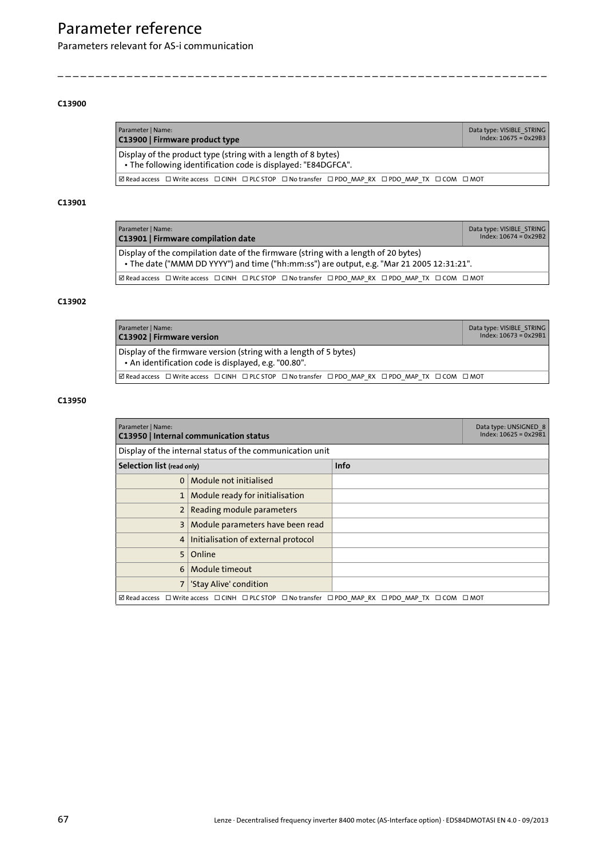Parameters relevant for AS-i communication

#### <span id="page-66-1"></span>**C13900**

<span id="page-66-10"></span><span id="page-66-5"></span>

| Parameter   Name:<br>C13900   Firmware product type                                                                            | Data type: VISIBLE STRING<br>$Index: 10675 = 0x29B3$ |
|--------------------------------------------------------------------------------------------------------------------------------|------------------------------------------------------|
| Display of the product type (string with a length of 8 bytes)<br>• The following identification code is displayed: "E84DGFCA". |                                                      |
| <b>ØRead access</b> □ Write access □ CINH □ PLC STOP □ No transfer □ PDO MAP RX □ PDO MAP TX □ COM □ MOT                       |                                                      |

\_ \_ \_ \_ \_ \_ \_ \_ \_ \_ \_ \_ \_ \_ \_ \_ \_ \_ \_ \_ \_ \_ \_ \_ \_ \_ \_ \_ \_ \_ \_ \_ \_ \_ \_ \_ \_ \_ \_ \_ \_ \_ \_ \_ \_ \_ \_ \_ \_ \_ \_ \_ \_ \_ \_ \_ \_ \_ \_ \_ \_ \_ \_ \_

#### <span id="page-66-2"></span>**C13901**

<span id="page-66-9"></span><span id="page-66-6"></span>

| Parameter   Name:<br>C13901   Firmware compilation date                                                                                                                         | Data type: VISIBLE STRING<br>$Index: 10674 = 0x29B2$ |
|---------------------------------------------------------------------------------------------------------------------------------------------------------------------------------|------------------------------------------------------|
| Display of the compilation date of the firmware (string with a length of 20 bytes)<br>• The date ("MMM DD YYYY") and time ("hh:mm:ss") are output, e.g. "Mar 21 2005 12:31:21". |                                                      |
| ⊠ Read access □ Write access □ CINH □ PLC STOP □ No transfer □ PDO MAP RX □ PDO MAP TX □ COM □ MOT                                                                              |                                                      |

### <span id="page-66-3"></span>**C13902**

<span id="page-66-11"></span><span id="page-66-7"></span>

| Parameter   Name:<br>C13902   Firmware version                                                                                 | Data type: VISIBLE STRING<br>$Index: 10673 = 0x29B1$ |  |  |  |  |  |  |
|--------------------------------------------------------------------------------------------------------------------------------|------------------------------------------------------|--|--|--|--|--|--|
| Display of the firmware version (string with a length of 5 bytes)<br>• An identification code is displayed, e.g. "00.80".      |                                                      |  |  |  |  |  |  |
| <b><math>\boxtimes</math> Read access</b> □ Write access □ CINH □ PLC STOP □ No transfer □ PDO MAP RX □ PDO MAP TX □ COM □ MOT |                                                      |  |  |  |  |  |  |

<span id="page-66-12"></span><span id="page-66-8"></span><span id="page-66-4"></span><span id="page-66-0"></span>

| Parameter   Name:<br>C13950   Internal communication status                                        | Data type: UNSIGNED 8<br>$Index: 10625 = 0x2981$ |      |  |  |  |  |
|----------------------------------------------------------------------------------------------------|--------------------------------------------------|------|--|--|--|--|
| Display of the internal status of the communication unit                                           |                                                  |      |  |  |  |  |
| Selection list (read only)                                                                         |                                                  | Info |  |  |  |  |
| $\Omega$                                                                                           | Module not initialised                           |      |  |  |  |  |
|                                                                                                    | Module ready for initialisation                  |      |  |  |  |  |
| $\overline{2}$                                                                                     | Reading module parameters                        |      |  |  |  |  |
| 3                                                                                                  | Module parameters have been read                 |      |  |  |  |  |
| 4                                                                                                  | Initialisation of external protocol              |      |  |  |  |  |
| 5                                                                                                  | Online                                           |      |  |  |  |  |
| 6                                                                                                  | Module timeout                                   |      |  |  |  |  |
| 7                                                                                                  | 'Stay Alive' condition                           |      |  |  |  |  |
| ⊠ Read access □ Write access □ CINH □ PLC STOP □ No transfer □ PDO MAP RX □ PDO MAP TX □ COM □ MOT |                                                  |      |  |  |  |  |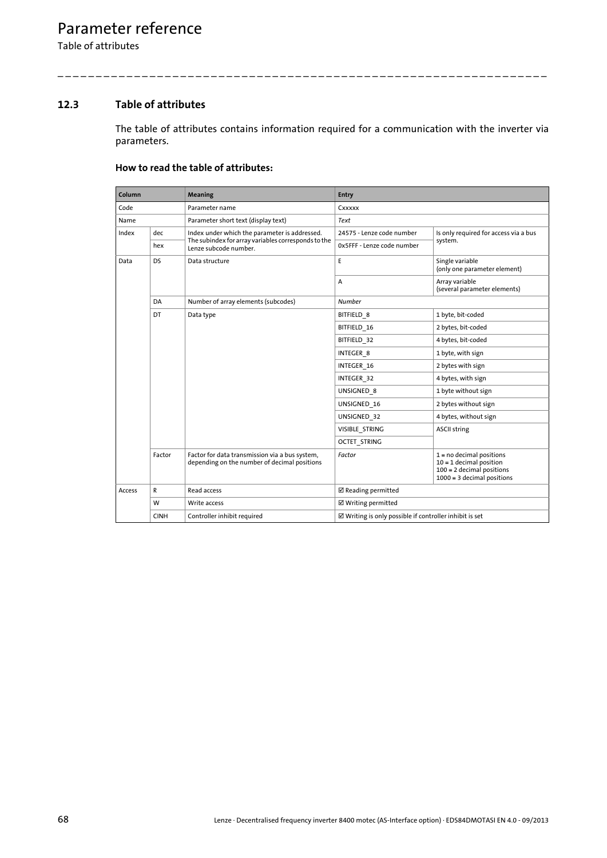Table of attributes

## **12.3 Table of attributes**

<span id="page-67-0"></span>The table of attributes contains information required for a communication with the inverter via parameters.

\_ \_ \_ \_ \_ \_ \_ \_ \_ \_ \_ \_ \_ \_ \_ \_ \_ \_ \_ \_ \_ \_ \_ \_ \_ \_ \_ \_ \_ \_ \_ \_ \_ \_ \_ \_ \_ \_ \_ \_ \_ \_ \_ \_ \_ \_ \_ \_ \_ \_ \_ \_ \_ \_ \_ \_ \_ \_ \_ \_ \_ \_ \_ \_

### **How to read the table of attributes:**

| Column            |             | <b>Meaning</b>                                                                                 | Entry                                                             |                                                                                                                        |  |  |
|-------------------|-------------|------------------------------------------------------------------------------------------------|-------------------------------------------------------------------|------------------------------------------------------------------------------------------------------------------------|--|--|
| Code              |             | Parameter name                                                                                 | Cxxxxx                                                            |                                                                                                                        |  |  |
| Name              |             | Parameter short text (display text)                                                            | Text                                                              |                                                                                                                        |  |  |
| Index             | dec         | Index under which the parameter is addressed.                                                  | 24575 - Lenze code number                                         | Is only required for access via a bus<br>system.                                                                       |  |  |
|                   | hex         | The subindex for array variables corresponds to the<br>Lenze subcode number.                   | 0x5FFF - Lenze code number                                        |                                                                                                                        |  |  |
| <b>DS</b><br>Data |             | Data structure                                                                                 | E                                                                 | Single variable<br>(only one parameter element)                                                                        |  |  |
|                   |             |                                                                                                | A                                                                 | Array variable<br>(several parameter elements)                                                                         |  |  |
|                   | DA          | Number of array elements (subcodes)                                                            | <b>Number</b>                                                     |                                                                                                                        |  |  |
|                   | DT          | Data type                                                                                      | BITFIELD 8                                                        | 1 byte, bit-coded                                                                                                      |  |  |
|                   |             |                                                                                                | BITFIELD 16                                                       | 2 bytes, bit-coded                                                                                                     |  |  |
|                   |             |                                                                                                | BITFIELD 32                                                       | 4 bytes, bit-coded                                                                                                     |  |  |
|                   |             |                                                                                                | INTEGER 8                                                         | 1 byte, with sign                                                                                                      |  |  |
|                   |             |                                                                                                | INTEGER 16                                                        | 2 bytes with sign                                                                                                      |  |  |
|                   |             |                                                                                                | INTEGER 32                                                        | 4 bytes, with sign                                                                                                     |  |  |
|                   |             |                                                                                                | UNSIGNED 8                                                        | 1 byte without sign                                                                                                    |  |  |
|                   |             |                                                                                                | UNSIGNED_16                                                       | 2 bytes without sign                                                                                                   |  |  |
|                   |             |                                                                                                | UNSIGNED 32                                                       | 4 bytes, without sign                                                                                                  |  |  |
|                   |             |                                                                                                | VISIBLE STRING                                                    | <b>ASCII string</b>                                                                                                    |  |  |
|                   |             |                                                                                                | <b>OCTET STRING</b>                                               |                                                                                                                        |  |  |
|                   | Factor      | Factor for data transmission via a bus system,<br>depending on the number of decimal positions | Factor                                                            | $1 = no$ decimal positions<br>$10 = 1$ decimal position<br>$100 = 2$ decimal positions<br>$1000 = 3$ decimal positions |  |  |
| Access            | R           | Read access                                                                                    | ☑ Reading permitted                                               |                                                                                                                        |  |  |
|                   | W           | Write access                                                                                   | ☑ Writing permitted                                               |                                                                                                                        |  |  |
|                   | <b>CINH</b> | Controller inhibit required                                                                    | $\boxtimes$ Writing is only possible if controller inhibit is set |                                                                                                                        |  |  |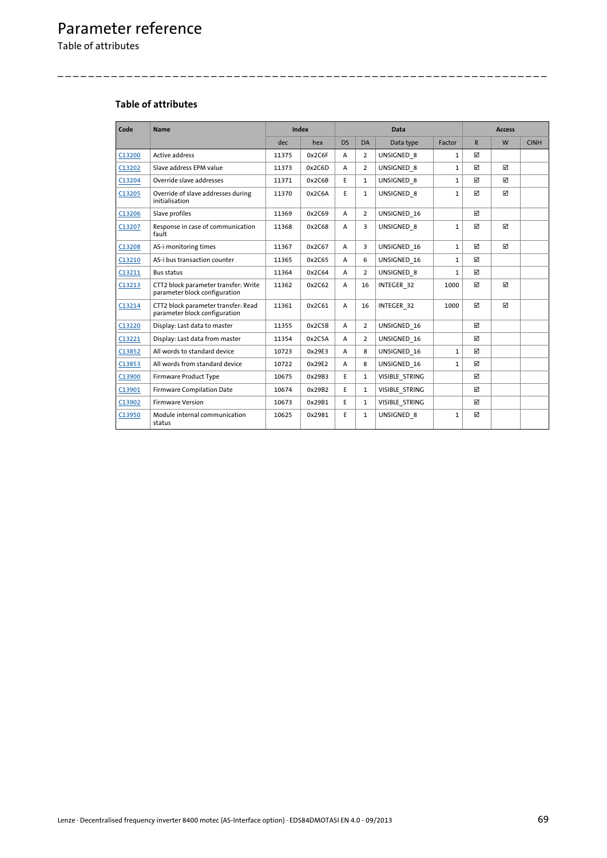Table of attributes

## **Table of attributes**

| Code   | <b>Name</b>                                                           |       | <b>Index</b> | <b>Data</b> |                |                |              | <b>Access</b> |                         |             |
|--------|-----------------------------------------------------------------------|-------|--------------|-------------|----------------|----------------|--------------|---------------|-------------------------|-------------|
|        |                                                                       | dec.  | hex          | <b>DS</b>   | <b>DA</b>      | Data type      | Factor       | $\mathsf{R}$  | W                       | <b>CINH</b> |
| C13200 | <b>Active address</b>                                                 | 11375 | 0x2C6F       | A           | 2              | UNSIGNED 8     | 1            | ☑             |                         |             |
| C13202 | Slave address EPM value                                               | 11373 | 0x2C6D       | A           | $\overline{2}$ | UNSIGNED 8     | $\mathbf{1}$ | ☑             | ☑                       |             |
| C13204 | Override slave addresses                                              | 11371 | 0x2C6B       | E           | $\mathbf{1}$   | UNSIGNED 8     | $\mathbf{1}$ | ☑             | ☑                       |             |
| C13205 | Override of slave addresses during<br>initialisation                  | 11370 | 0x2C6A       | E           | $\mathbf{1}$   | UNSIGNED 8     | $\mathbf{1}$ | ☑             | $\overline{\mathbf{M}}$ |             |
| C13206 | Slave profiles                                                        | 11369 | 0x2C69       | A           | $\overline{2}$ | UNSIGNED 16    |              | ☑             |                         |             |
| C13207 | Response in case of communication<br>fault                            | 11368 | 0x2C68       | A           | 3              | UNSIGNED 8     | $\mathbf{1}$ | ☑             | $\triangledown$         |             |
| C13208 | AS-i monitoring times                                                 | 11367 | 0x2C67       | A           | 3              | UNSIGNED 16    | $\mathbf{1}$ | ☑             | ☑                       |             |
| C13210 | AS-i bus transaction counter                                          | 11365 | 0x2C65       | A           | 6              | UNSIGNED 16    | $\mathbf{1}$ | ☑             |                         |             |
| C13211 | <b>Bus status</b>                                                     | 11364 | 0x2C64       | A           | $\overline{2}$ | UNSIGNED 8     | $\mathbf{1}$ | ☑             |                         |             |
| C13213 | CTT2 block parameter transfer: Write<br>parameter block configuration | 11362 | 0x2C62       | A           | 16             | INTEGER 32     | 1000         | ☑             | ☑                       |             |
| C13214 | CTT2 block parameter transfer: Read<br>parameter block configuration  | 11361 | 0x2C61       | A           | 16             | INTEGER 32     | 1000         | М             | ⊠                       |             |
| C13220 | Display: Last data to master                                          | 11355 | 0x2C5B       | A           | $\overline{2}$ | UNSIGNED 16    |              | ☑             |                         |             |
| C13221 | Display: Last data from master                                        | 11354 | 0x2C5A       | A           | $\overline{2}$ | UNSIGNED 16    |              | ☑             |                         |             |
| C13852 | All words to standard device                                          | 10723 | 0x29E3       | A           | 8              | UNSIGNED 16    | $\mathbf{1}$ | ☑             |                         |             |
| C13853 | All words from standard device                                        | 10722 | 0x29E2       | A           | 8              | UNSIGNED 16    | $\mathbf{1}$ | ☑             |                         |             |
| C13900 | Firmware Product Type                                                 | 10675 | 0x29B3       | E           | $\mathbf{1}$   | VISIBLE STRING |              | ⊠             |                         |             |
| C13901 | <b>Firmware Compilation Date</b>                                      | 10674 | 0x29B2       | E           | $\mathbf{1}$   | VISIBLE STRING |              | ☑             |                         |             |
| C13902 | <b>Firmware Version</b>                                               | 10673 | 0x29B1       | E           | $\mathbf{1}$   | VISIBLE STRING |              | ⊠             |                         |             |
| C13950 | Module internal communication<br>status                               | 10625 | 0x2981       | E           | $\mathbf{1}$   | UNSIGNED 8     | $\mathbf{1}$ | ☑             |                         |             |

\_ \_ \_ \_ \_ \_ \_ \_ \_ \_ \_ \_ \_ \_ \_ \_ \_ \_ \_ \_ \_ \_ \_ \_ \_ \_ \_ \_ \_ \_ \_ \_ \_ \_ \_ \_ \_ \_ \_ \_ \_ \_ \_ \_ \_ \_ \_ \_ \_ \_ \_ \_ \_ \_ \_ \_ \_ \_ \_ \_ \_ \_ \_ \_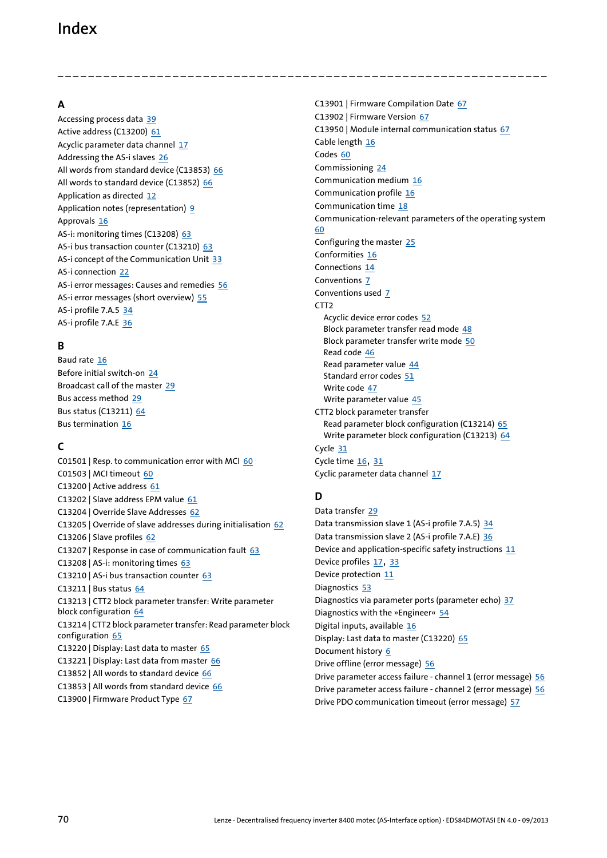## Index

## **A**

Accessing process data [39](#page-38-0) Active address (C13200) [61](#page-60-2) Acyclic parameter data channel [17](#page-16-0) Addressing the AS-i slaves [26](#page-25-0) All words from standard device (C13853) [66](#page-65-3) All words to standard device (C13852) [66](#page-65-4) Application as directed [12](#page-11-0) Application notes (representation) [9](#page-8-0) Approvals [16](#page-15-0) AS-i: monitoring times (C13208) [63](#page-62-5) AS-i bus transaction counter (C13210) [63](#page-62-6) AS-i concept of the Communication Unit [33](#page-32-0) AS-i connection [22](#page-21-0) AS-i error messages: Causes and remedies [56](#page-55-3) AS-i error messages (short overview) [55](#page-54-0) AS-i profile 7.A.5 [34](#page-33-0) AS-i profile 7.A.E [36](#page-35-0)

## **B**

Baud rate [16](#page-15-1) Before initial switch-on [24](#page-23-0) Broadcast call of the master [29](#page-28-0) Bus access method [29](#page-28-1) Bus status (C13211) [64](#page-63-4) Bus termination [16](#page-15-2)

## **C**

C01501 | Resp. to communication error with MCI [60](#page-59-2) C01503 | MCI timeout [60](#page-59-3) C13200 | Active address [61](#page-60-3) C13202 | Slave address EPM value [61](#page-60-4) C13204 | Override Slave Addresses [62](#page-61-3) C13205 | Override of slave addresses during initialisation [62](#page-61-4) C13206 | Slave profiles [62](#page-61-5) C13207 | Response in case of communication fault [63](#page-62-7) C13208 | AS-i: monitoring times [63](#page-62-8) C13210 | AS-i bus transaction counter [63](#page-62-9) C13211 | Bus status [64](#page-63-5) C13213 | CTT2 block [parameter transfer: Write parameter](#page-63-6)  block configuration 64 C13214 | CTT2 [block parameter transfer: Read parameter block](#page-64-3)  configuration 65 C13220 | Display: Last data to master [65](#page-64-4) C13221 | Display: Last data from master [66](#page-65-5) C13852 | All words to standard device [66](#page-65-6) C13853 | All words from standard device [66](#page-65-7) C13900 | Firmware Product Type [67](#page-66-5)

C13901 | Firmware Compilation Date [67](#page-66-6) C13902 | Firmware Version [67](#page-66-7) C13950 | Module internal communication status [67](#page-66-8) Cable length [16](#page-15-3) Codes [60](#page-59-4) Commissioning [24](#page-23-1) Communication medium [16](#page-15-4) Communication profile [16](#page-15-5) Communication time [18](#page-17-0) Communication-relevant parameters of the operating system [60](#page-59-5) Configuring the master [25](#page-24-0) Conformities [16](#page-15-6) Connections [14](#page-13-0) Conventions [7](#page-6-0) Conventions used [7](#page-6-1) CTT2 Acyclic device error codes [52](#page-51-1) Block parameter transfer read mode [48](#page-47-0) Block para[meter transfer write mode](#page-45-0) [50](#page-49-0) Read code 46 Read parameter value [44](#page-43-0) Standard error codes [51](#page-50-1) Write code [47](#page-46-0) Write parameter value [45](#page-44-0) CTT2 block parameter transfer Read parameter block configuration (C13214) [65](#page-64-5) Wri[te parameter block configuration \(C13213\)](#page-30-0) [64](#page-63-7) Cycle 31 Cycle time  $16, 31$  $16, 31$  $16, 31$ Cyclic parameter data channel [17](#page-16-1)

## **D**

\_ \_ \_ \_ \_ \_ \_ \_ \_ \_ \_ \_ \_ \_ \_ \_ \_ \_ \_ \_ \_ \_ \_ \_ \_ \_ \_ \_ \_ \_ \_ \_ \_ \_ \_ \_ \_ \_ \_ \_ \_ \_ \_ \_ \_ \_ \_ \_ \_ \_ \_ \_ \_ \_ \_ \_ \_ \_ \_ \_ \_ \_ \_ \_

Data transfer [29](#page-28-2) Data transmission slave 1 (AS-i profile 7.A.5) [34](#page-33-1) Data transmission slave 2 (AS-i profile 7.A.E) [36](#page-35-1) Device and application-specific safety instructions [11](#page-10-0) Device profiles [17](#page-16-2), [33](#page-32-1) Device protection [11](#page-10-1) Diagnostics [53](#page-52-0) Diagnostics via parameter ports (parameter echo) [37](#page-36-0) Diagnostics with the »Engineer« [54](#page-53-0) Digital inputs, available [16](#page-15-8) Display: Last data t[o master \(C13220\)](#page-5-0) [65](#page-64-6) Document history 6 Drive offline (error message) [56](#page-55-4) Drive parameter access failure - channel 1 (error message) [56](#page-55-5) Drive parameter access failure - channel 2 (error message) [56](#page-55-6) Drive PDO communication timeout (error message) [57](#page-56-4)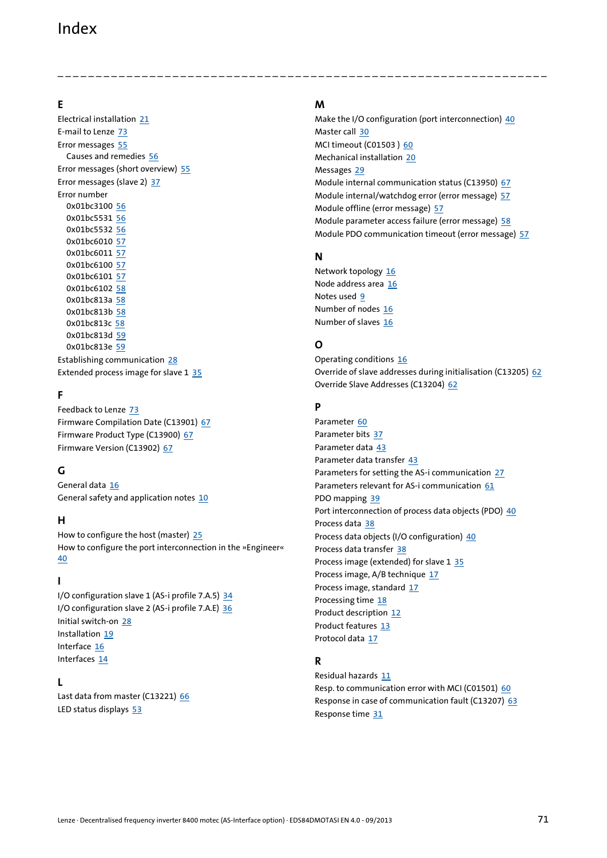## Index

### **E**

Electrical installation [21](#page-20-0) E-mail to Lenze [73](#page-72-0) Error messages [55](#page-54-1) Causes and remedies [56](#page-55-3) Error messages (short overview) [55](#page-54-0) Error messages (slave 2) [37](#page-36-1) Error number 0x01bc3100 [56](#page-55-4) 0x01bc5531 [56](#page-55-5) 0x01bc5532 [56](#page-55-6) 0x01bc6010 [57](#page-56-5) 0x01bc6011 [57](#page-56-4) 0x01bc6100 [57](#page-56-6) 0x01bc6101 [57](#page-56-7) 0x01bc6102 [58](#page-57-4) 0x01bc813a [58](#page-57-5) 0x01bc813b [58](#page-57-6) 0x01bc813c [58](#page-57-7) 0x01bc813d [59](#page-58-2) 0x01bc813e [59](#page-58-3) Establishing communication [28](#page-27-0) Extended process image for slave 1 [35](#page-34-0)

## **F**

Feedback to Lenze [73](#page-72-0) Firmware Compilation Date (C13901) [67](#page-66-9) Firmware Product Type (C13900) [67](#page-66-10) Firmware Version (C13902) [67](#page-66-11)

### **G**

General data [16](#page-15-9) General safety and application notes [10](#page-9-0)

### **H**

How to configure the host (master) [25](#page-24-0) How to configure the port interconnection in the »Engineer« [40](#page-39-0)

### **I**

I/O configuration slave 1 (AS-i profile 7.A.5) [34](#page-33-2) I/O configuration slave 2 (AS-i profile 7.A.E) [36](#page-35-2) Initial switch-on [28](#page-27-1) Installation [19](#page-18-0) Interface [16](#page-15-10) Interfaces [14](#page-13-0)

### **L**

Last data from master (C13221) [66](#page-65-8) LED status displays [53](#page-52-1)

### **M**

\_ \_ \_ \_ \_ \_ \_ \_ \_ \_ \_ \_ \_ \_ \_ \_ \_ \_ \_ \_ \_ \_ \_ \_ \_ \_ \_ \_ \_ \_ \_ \_ \_ \_ \_ \_ \_ \_ \_ \_ \_ \_ \_ \_ \_ \_ \_ \_ \_ \_ \_ \_ \_ \_ \_ \_ \_ \_ \_ \_ \_ \_ \_ \_

Make the I/O configuration (port interconnection) [40](#page-39-1) Master call [30](#page-29-0) MCI timeout (C01503 ) [60](#page-59-6) Mechanical installation [20](#page-19-0) Messages [29](#page-28-3) Module internal communication status (C13950) [67](#page-66-12) Module internal/watchdog error (error message) [57](#page-56-5) Module offline (error message) [57](#page-56-6) Module parameter access failure (error message) [58](#page-57-4) Module PDO communication timeout (error message) [57](#page-56-7)

### **N**

Network topology [16](#page-15-11) Node address area [16](#page-15-12) Notes used [9](#page-8-1) Number of nodes [16](#page-15-13) Number of slaves [16](#page-15-14)

### **O**

Operating conditions [16](#page-15-15) Override of slave addresses during initialisation (C13205) [62](#page-61-6) Override Slave Addresses (C13204) [62](#page-61-7)

## **P**

Parameter [60](#page-59-4) Parameter bits [37](#page-36-2) Parameter data [43](#page-42-0) Parameter data transfer [43](#page-42-1) Parameters for setting the AS-i communication [27](#page-26-0) Parameters relevant for AS-i communication [61](#page-60-5) PDO mapping [39](#page-38-1) Port interconnection of process data objects (PDO) [40](#page-39-2) Process data [38](#page-37-0) Process data objects (I/O configuration) [40](#page-39-3) Process data transfer [38](#page-37-1) Process image (extended) for slave 1 [35](#page-34-0) Process image, A/B technique [17](#page-16-3) Process image, standard [17](#page-16-4) Processing time [18](#page-17-1) Product description [12](#page-11-1) Product features [13](#page-12-0) Protocol data [17](#page-16-5)

### **R**

Residual hazards [11](#page-10-2) Resp. to communication error with MCI (C01501) [60](#page-59-7) Response in case of communication fault (C13207) [63](#page-62-10) Response time [31](#page-30-2)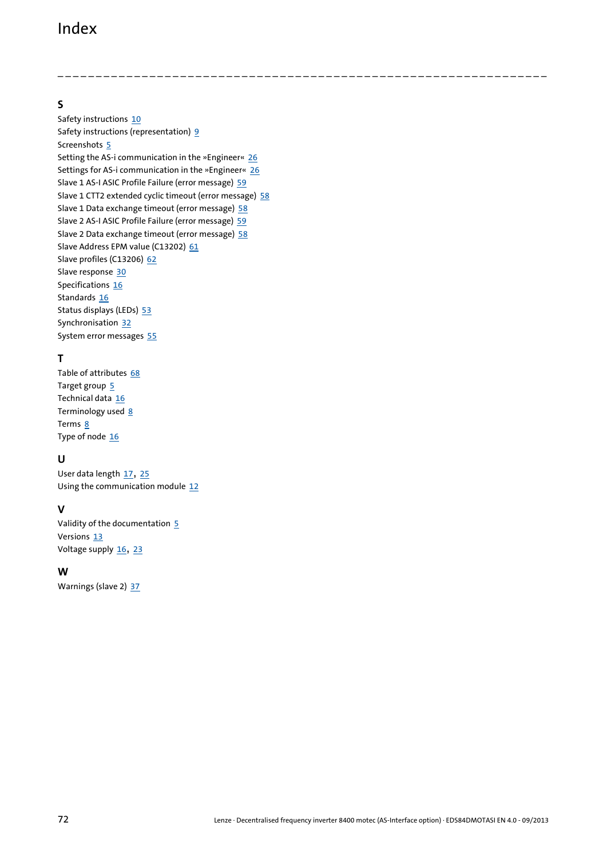## Index

**S**

Safety instructions [10](#page-9-1) Safety instru[ctions \(representation\)](#page-4-0) [9](#page-8-2) Screenshots 5 Setting the AS-i communication in the »Engineer« [26](#page-25-1) Settings for AS-i communication in the »Engineer« [26](#page-25-1) Slave 1 AS-I ASIC Profile Failure (error message) [59](#page-58-2) Slave 1 CTT2 extended cyclic timeout (error message) [58](#page-57-6) Slave 1 Data exchange timeout (error message) [58](#page-57-5) Slave 2 AS-I ASIC Profile Failure (error message) [59](#page-58-3) Slave 2 Data exchange timeout (error message) [58](#page-57-7) Slave Address EPM value (C13202) [61](#page-60-6) Slave profiles (C13206) [62](#page-61-8) Slave response [30](#page-29-1) Specifications [16](#page-15-16) Standards [16](#page-15-17) Status displays (LEDs) [53](#page-52-1) Synchronisation [32](#page-31-0) System error messages [55](#page-54-1)

\_ \_ \_ \_ \_ \_ \_ \_ \_ \_ \_ \_ \_ \_ \_ \_ \_ \_ \_ \_ \_ \_ \_ \_ \_ \_ \_ \_ \_ \_ \_ \_ \_ \_ \_ \_ \_ \_ \_ \_ \_ \_ \_ \_ \_ \_ \_ \_ \_ \_ \_ \_ \_ \_ \_ \_ \_ \_ \_ \_ \_ \_ \_ \_

## **T**

Table of attributes [68](#page-67-0) Target group [5](#page-4-1) Technical data [16](#page-15-18) Terminology used [8](#page-7-0) Terms [8](#page-7-1) Type of node [16](#page-15-19)

## **U**

User data length [17](#page-16-6), [25](#page-24-1) Using the communication module [12](#page-11-0)

## **V**

Validity of the documentation [5](#page-4-2) Versions [13](#page-12-0) Voltage supply [16](#page-15-20), [23](#page-22-0)

### **W**

Warnings (slave 2) [37](#page-36-1)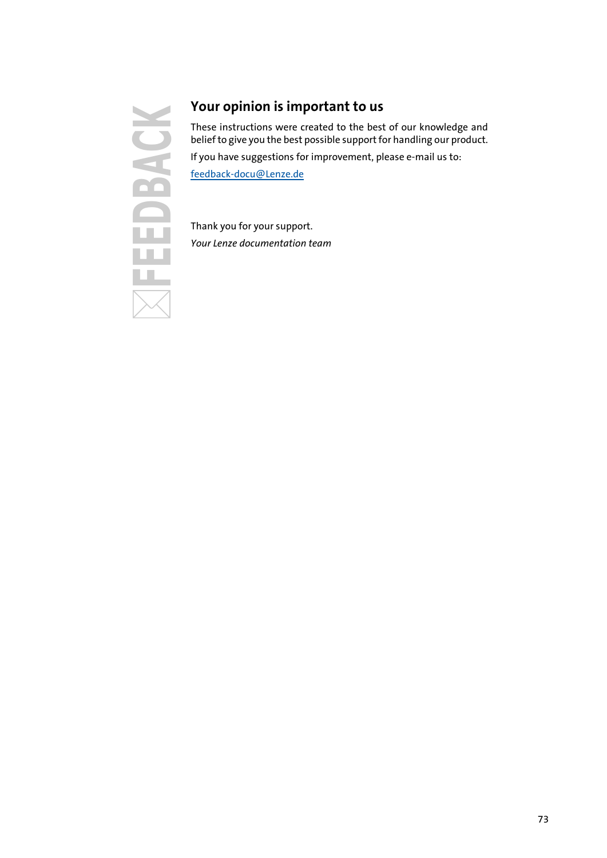## **SACK**

## **Your opinion is important to us**

These instructions were created to the best of our knowledge and belief to give you the best possible support for handling our product.

If you have suggestions for improvement, please e-mail us to:

[feedback-docu@Lenze.de](mailto:feedback-docu@Lenze.de)

Thank you for your support. *Your Lenze documentation team*